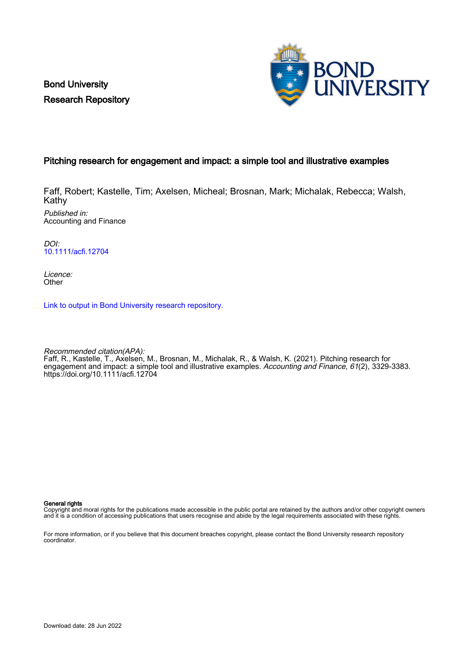Bond University Research Repository



# Pitching research for engagement and impact: a simple tool and illustrative examples

Faff, Robert; Kastelle, Tim; Axelsen, Micheal; Brosnan, Mark; Michalak, Rebecca; Walsh, Kathy Published in: Accounting and Finance

DOI: [10.1111/acfi.12704](https://doi.org/10.1111/acfi.12704)

Licence: **Other** 

[Link to output in Bond University research repository.](https://research.bond.edu.au/en/publications/b1310961-745a-489d-97e8-695b145ecb45)

Recommended citation(APA): Faff, R., Kastelle, T., Axelsen, M., Brosnan, M., Michalak, R., & Walsh, K. (2021). Pitching research for engagement and impact: a simple tool and illustrative examples. Accounting and Finance, 61(2), 3329-3383. <https://doi.org/10.1111/acfi.12704>

General rights

Copyright and moral rights for the publications made accessible in the public portal are retained by the authors and/or other copyright owners and it is a condition of accessing publications that users recognise and abide by the legal requirements associated with these rights.

For more information, or if you believe that this document breaches copyright, please contact the Bond University research repository coordinator.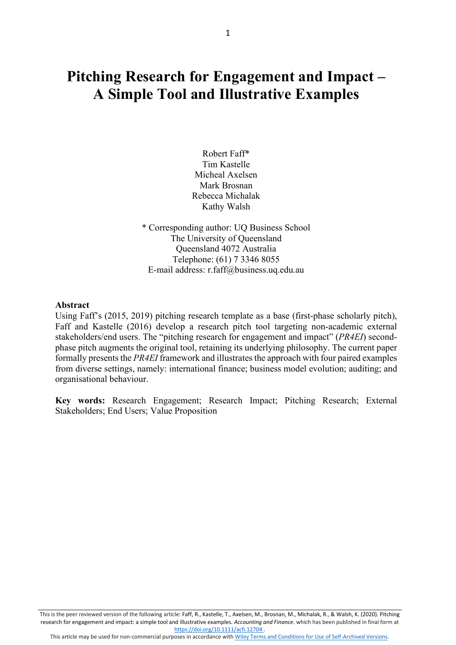# **Pitching Research for Engagement and Impact – A Simple Tool and Illustrative Examples**

Robert Faff\* Tim Kastelle Micheal Axelsen Mark Brosnan Rebecca Michalak Kathy Walsh

\* Corresponding author: UQ Business School The University of Queensland Queensland 4072 Australia Telephone: (61) 7 3346 8055 E-mail address: r.faff@business.uq.edu.au

#### **Abstract**

Using Faff's (2015, 2019) pitching research template as a base (first-phase scholarly pitch), Faff and Kastelle (2016) develop a research pitch tool targeting non-academic external stakeholders/end users. The "pitching research for engagement and impact" (*PR4EI*) secondphase pitch augments the original tool, retaining its underlying philosophy. The current paper formally presents the *PR4EI* framework and illustrates the approach with four paired examples from diverse settings, namely: international finance; business model evolution; auditing; and organisational behaviour.

**Key words:** Research Engagement; Research Impact; Pitching Research; External Stakeholders; End Users; Value Proposition

This is the peer reviewed version of the following article: Faff, R., Kastelle, T., Axelsen, M., Brosnan, M., Michalak, R., & Walsh, K. (2020). Pitching research for engagement and impact: a simple tool and illustrative examples. *Accounting and Finance*. which has been published in final form at <https://doi.org/10.1111/acfi.12704>.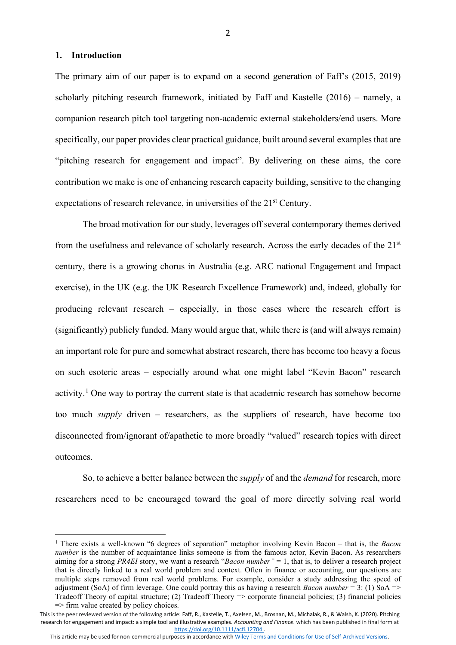#### **1. Introduction**

The primary aim of our paper is to expand on a second generation of Faff's (2015, 2019) scholarly pitching research framework, initiated by Faff and Kastelle (2016) – namely, a companion research pitch tool targeting non-academic external stakeholders/end users. More specifically, our paper provides clear practical guidance, built around several examples that are "pitching research for engagement and impact". By delivering on these aims, the core contribution we make is one of enhancing research capacity building, sensitive to the changing expectations of research relevance, in universities of the  $21<sup>st</sup>$  Century.

The broad motivation for our study, leverages off several contemporary themes derived from the usefulness and relevance of scholarly research. Across the early decades of the 21<sup>st</sup> century, there is a growing chorus in Australia (e.g. ARC national Engagement and Impact exercise), in the UK (e.g. the UK Research Excellence Framework) and, indeed, globally for producing relevant research – especially, in those cases where the research effort is (significantly) publicly funded. Many would argue that, while there is (and will always remain) an important role for pure and somewhat abstract research, there has become too heavy a focus on such esoteric areas – especially around what one might label "Kevin Bacon" research activity.<sup>[1](#page-2-0)</sup> One way to portray the current state is that academic research has somehow become too much *supply* driven – researchers, as the suppliers of research, have become too disconnected from/ignorant of/apathetic to more broadly "valued" research topics with direct outcomes.

So, to achieve a better balance between the *supply* of and the *demand* for research, more researchers need to be encouraged toward the goal of more directly solving real world

<span id="page-2-0"></span><sup>1</sup> There exists a well-known "6 degrees of separation" metaphor involving Kevin Bacon – that is, the *Bacon number* is the number of acquaintance links someone is from the famous actor, Kevin Bacon. As researchers aiming for a strong *PR4EI* story, we want a research "*Bacon number"* = 1, that is, to deliver a research project that is directly linked to a real world problem and context. Often in finance or accounting, our questions are multiple steps removed from real world problems. For example, consider a study addressing the speed of adjustment (SoA) of firm leverage. One could portray this as having a research *Bacon number* = 3: (1) SoA => Tradeoff Theory of capital structure; (2) Tradeoff Theory => corporate financial policies; (3) financial policies => firm value created by policy choices.

This is the peer reviewed version of the following article: Faff, R., Kastelle, T., Axelsen, M., Brosnan, M., Michalak, R., & Walsh, K. (2020). Pitching research for engagement and impact: a simple tool and illustrative examples. *Accounting and Finance*. which has been published in final form at <https://doi.org/10.1111/acfi.12704> .

This article may be used for non-commercial purposes in accordance wit[h Wiley Terms and Conditions for Use of Self-Archived Versions.](https://authorservices.wiley.com/author-resources/Journal-Authors/licensing/self-archiving.html)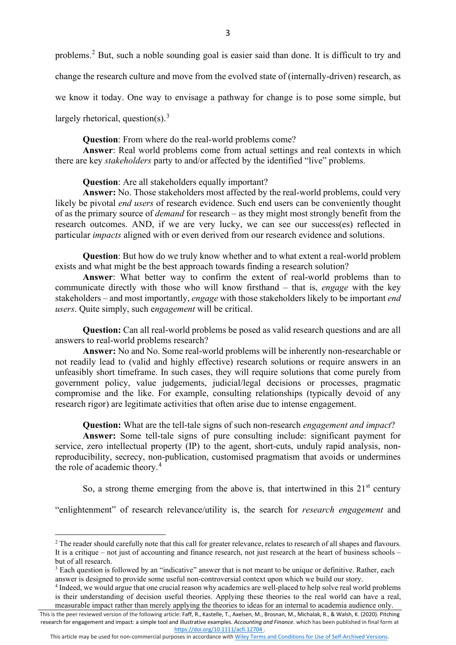problems.[2](#page-3-0) But, such a noble sounding goal is easier said than done. It is difficult to try and change the research culture and move from the evolved state of (internally-driven) research, as we know it today. One way to envisage a pathway for change is to pose some simple, but largely rhetorical, question(s). $3$ 

**Question**: From where do the real-world problems come?

**Answer**: Real world problems come from actual settings and real contexts in which there are key *stakeholders* party to and/or affected by the identified "live" problems.

**Question:** Are all stakeholders equally important?

**Answer:** No. Those stakeholders most affected by the real-world problems, could very likely be pivotal *end users* of research evidence. Such end users can be conveniently thought of as the primary source of *demand* for research – as they might most strongly benefit from the research outcomes. AND, if we are very lucky, we can see our success(es) reflected in particular *impacts* aligned with or even derived from our research evidence and solutions.

**Question**: But how do we truly know whether and to what extent a real-world problem exists and what might be the best approach towards finding a research solution?

**Answer**: What better way to confirm the extent of real-world problems than to communicate directly with those who will know firsthand – that is, *engage* with the key stakeholders – and most importantly, *engage* with those stakeholders likely to be important *end users*. Quite simply, such e*ngagement* will be critical.

**Question:** Can all real-world problems be posed as valid research questions and are all answers to real-world problems research?

**Answer:** No and No. Some real-world problems will be inherently non-researchable or not readily lead to (valid and highly effective) research solutions or require answers in an unfeasibly short timeframe. In such cases, they will require solutions that come purely from government policy, value judgements, judicial/legal decisions or processes, pragmatic compromise and the like. For example, consulting relationships (typically devoid of any research rigor) are legitimate activities that often arise due to intense engagement.

**Question:** What are the tell-tale signs of such non-research *engagement and impact*?

**Answer:** Some tell-tale signs of pure consulting include: significant payment for service, zero intellectual property (IP) to the agent, short-cuts, unduly rapid analysis, nonreproducibility, secrecy, non-publication, customised pragmatism that avoids or undermines the role of academic theory. [4](#page-3-2)

So, a strong theme emerging from the above is, that intertwined in this  $21<sup>st</sup>$  century

"enlightenment" of research relevance/utility is, the search for *research engagement* and

<span id="page-3-0"></span><sup>&</sup>lt;sup>2</sup> The reader should carefully note that this call for greater relevance, relates to research of all shapes and flavours. It is a critique – not just of accounting and finance research, not just research at the heart of business schools – but of all research.

<span id="page-3-1"></span><sup>&</sup>lt;sup>3</sup> Each question is followed by an "indicative" answer that is not meant to be unique or definitive. Rather, each answer is designed to provide some useful non-controversial context upon which we build our story.

<sup>&</sup>lt;sup>4</sup> Indeed, we would argue that one crucial reason why academics are well-placed to help solve real world problems is their understanding of decision useful theories. Applying these theories to the real world can have a real, measurable impact rather than merely applying the theories to ideas for an internal to academia audience only.

<span id="page-3-2"></span>This is the peer reviewed version of the following article: Faff, R., Kastelle, T., Axelsen, M., Brosnan, M., Michalak, R., & Walsh, K. (2020). Pitching research for engagement and impact: a simple tool and illustrative examples. *Accounting and Finance*. which has been published in final form at <https://doi.org/10.1111/acfi.12704> .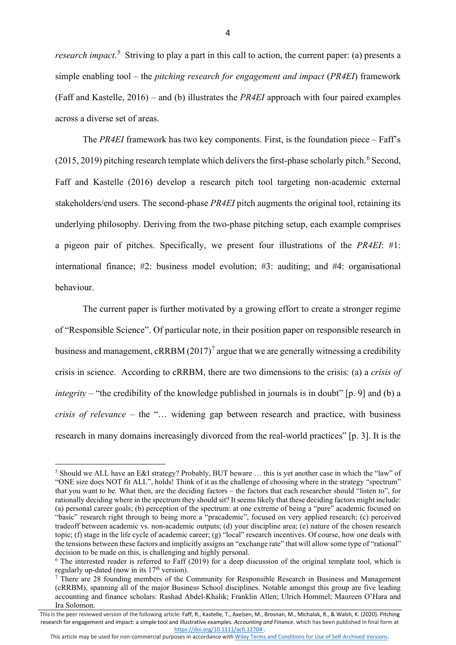*research impact*. [5](#page-4-0) Striving to play a part in this call to action, the current paper: (a) presents a simple enabling tool – the *pitching research for engagement and impact* (*PR4EI*) framework (Faff and Kastelle, 2016) – and (b) illustrates the *PR4EI* approach with four paired examples across a diverse set of areas.

The *PR4EI* framework has two key components. First, is the foundation piece – Faff's  $(2015, 2019)$  pitching research template which delivers the first-phase scholarly pitch.<sup>[6](#page-4-1)</sup> Second, Faff and Kastelle (2016) develop a research pitch tool targeting non-academic external stakeholders/end users. The second-phase *PR4EI* pitch augments the original tool, retaining its underlying philosophy. Deriving from the two-phase pitching setup, each example comprises a pigeon pair of pitches. Specifically, we present four illustrations of the *PR4EI*: #1: international finance; #2: business model evolution; #3: auditing; and #4: organisational behaviour.

The current paper is further motivated by a growing effort to create a stronger regime of "Responsible Science". Of particular note, in their position paper on responsible research in business and management, cRRBM  $(2017)^7$  $(2017)^7$  $(2017)^7$  argue that we are generally witnessing a credibility crisis in science. According to cRRBM, there are two dimensions to the crisis: (a) a *crisis of integrity* – "the credibility of the knowledge published in journals is in doubt" [p. 9] and (b) a *crisis of relevance* – the "… widening gap between research and practice, with business research in many domains increasingly divorced from the real-world practices" [p. 3]. It is the

<span id="page-4-0"></span><sup>5</sup> Should we ALL have an E&I strategy? Probably, BUT beware … this is yet another case in which the "law" of "ONE size does NOT fit ALL", holds! Think of it as the challenge of choosing where in the strategy "spectrum" that you want to be. What then, are the deciding factors – the factors that each researcher should "listen to", for rationally deciding where in the spectrum they should sit? It seems likely that these deciding factors might include: (a) personal career goals; (b) perception of the spectrum: at one extreme of being a "pure" academic focused on "basic" research right through to being more a "pracademic", focused on very applied research; (c) perceived tradeoff between academic vs. non-academic outputs; (d) your discipline area; (e) nature of the chosen research topic; (f) stage in the life cycle of academic career; (g) "local" research incentives. Of course, how one deals with the tensions between these factors and implicitly assigns an "exchange rate" that will allow some type of "rational" decision to be made on this, is challenging and highly personal.

<span id="page-4-1"></span><sup>&</sup>lt;sup>6</sup> The interested reader is referred to Faff (2019) for a deep discussion of the original template tool, which is regularly up-dated (now in its  $17<sup>th</sup>$  version).

<span id="page-4-2"></span><sup>7</sup> There are 28 founding members of the Community for Responsible Research in Business and Management (cRRBM), spanning all of the major Business School disciplines. Notable amongst this group are five leading accounting and finance scholars: Rashad Abdel-Khalik; Franklin Allen; Ulrich Hommel; Maureen O'Hara and Ira Solomon.

This is the peer reviewed version of the following article: Faff, R., Kastelle, T., Axelsen, M., Brosnan, M., Michalak, R., & Walsh, K. (2020). Pitching research for engagement and impact: a simple tool and illustrative examples. *Accounting and Finance*. which has been published in final form at <https://doi.org/10.1111/acfi.12704> .

This article may be used for non-commercial purposes in accordance wit[h Wiley Terms and Conditions for Use of Self-Archived Versions.](https://authorservices.wiley.com/author-resources/Journal-Authors/licensing/self-archiving.html)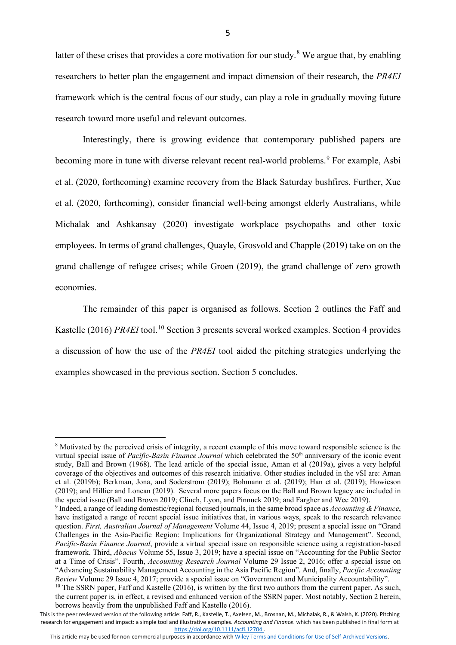latter of these crises that provides a core motivation for our study.<sup>[8](#page-5-0)</sup> We argue that, by enabling researchers to better plan the engagement and impact dimension of their research, the *PR4EI* framework which is the central focus of our study, can play a role in gradually moving future research toward more useful and relevant outcomes.

Interestingly, there is growing evidence that contemporary published papers are becoming more in tune with diverse relevant recent real-world problems.<sup>[9](#page-5-1)</sup> For example, Asbi et al. (2020, forthcoming) examine recovery from the Black Saturday bushfires. Further, Xue et al. (2020, forthcoming), consider financial well‐being amongst elderly Australians, while Michalak and Ashkansay (2020) investigate workplace psychopaths and other toxic employees. In terms of grand challenges, Quayle, Grosvold and Chapple (2019) take on on the grand challenge of refugee crises; while Groen (2019), the grand challenge of zero growth economies.

The remainder of this paper is organised as follows. Section 2 outlines the Faff and Kastelle (2016) *PR4EI* tool.<sup>[10](#page-5-2)</sup> Section 3 presents several worked examples. Section 4 provides a discussion of how the use of the *PR4EI* tool aided the pitching strategies underlying the examples showcased in the previous section. Section 5 concludes.

<span id="page-5-0"></span><sup>8</sup> Motivated by the perceived crisis of integrity, a recent example of this move toward responsible science is the virtual special issue of *Pacific-Basin Finance Journal* which celebrated the 50<sup>th</sup> anniversary of the iconic event study, Ball and Brown (1968). The lead article of the special issue, Aman et al (2019a), gives a very helpful coverage of the objectives and outcomes of this research initiative. Other studies included in the vSI are: Aman et al. (2019b); Berkman, Jona, and Soderstrom (2019); Bohmann et al. (2019); Han et al. (2019); Howieson (2019); and Hillier and Loncan (2019). Several more papers focus on the Ball and Brown legacy are included in the special issue (Ball and Brown 2019; Clinch, Lyon, and Pinnuck 2019; and Fargher and Wee 2019).

<span id="page-5-1"></span><sup>9</sup> Indeed, a range of leading domestic/regional focused journals, in the same broad space as *Accounting & Finance*, have instigated a range of recent special issue initiatives that, in various ways, speak to the research relevance question. *First, Australian Journal of Management* Volume 44, Issue 4, 2019; present a special issue on "Grand Challenges in the Asia-Pacific Region: Implications for Organizational Strategy and Management". Second, *Pacific-Basin Finance Journal*, provide a virtual special issue on responsible science using a registration-based framework. Third, *Abacus* Volume 55, Issue 3, 2019; have a special issue on "Accounting for the Public Sector at a Time of Crisis". Fourth, *Accounting Research Journal* Volume 29 Issue 2, 2016; offer a special issue on "Advancing Sustainability Management Accounting in the Asia Pacific Region". And, finally, *Pacific Accounting Review* Volume 29 Issue 4, 2017; provide a special issue on "Government and Municipality Accountability".

 $10$  The SSRN paper, Faff and Kastelle (2016), is written by the first two authors from the current paper. As such, the current paper is, in effect, a revised and enhanced version of the SSRN paper. Most notably, Section 2 herein, borrows heavily from the unpublished Faff and Kastelle (2016).

<span id="page-5-2"></span>This is the peer reviewed version of the following article: Faff, R., Kastelle, T., Axelsen, M., Brosnan, M., Michalak, R., & Walsh, K. (2020). Pitching research for engagement and impact: a simple tool and illustrative examples. *Accounting and Finance*. which has been published in final form at <https://doi.org/10.1111/acfi.12704> .

This article may be used for non-commercial purposes in accordance wit[h Wiley Terms and Conditions for Use of Self-Archived Versions.](https://authorservices.wiley.com/author-resources/Journal-Authors/licensing/self-archiving.html)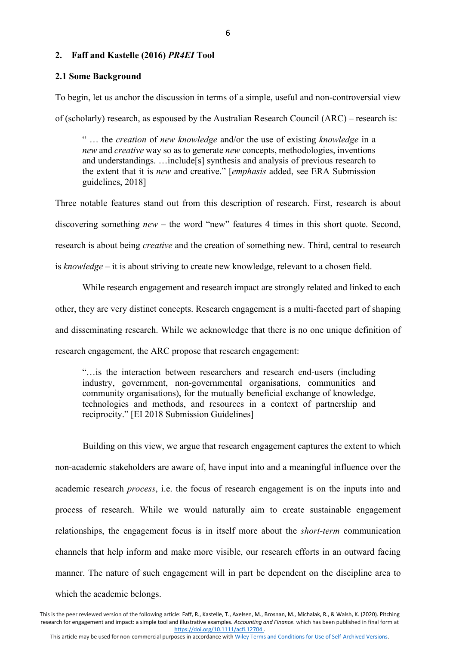## **2. Faff and Kastelle (2016)** *PR4EI* **Tool**

#### **2.1 Some Background**

To begin, let us anchor the discussion in terms of a simple, useful and non-controversial view

of (scholarly) research, as espoused by the Australian Research Council (ARC) – research is:

" … the *creation* of *new knowledge* and/or the use of existing *knowledge* in a *new* and *creative* way so as to generate *new* concepts, methodologies, inventions and understandings. …include[s] synthesis and analysis of previous research to the extent that it is *new* and creative." [*emphasis* added, see ERA Submission guidelines, 2018]

Three notable features stand out from this description of research. First, research is about discovering something *new* – the word "new" features 4 times in this short quote. Second, research is about being *creative* and the creation of something new. Third, central to research is *knowledge* – it is about striving to create new knowledge, relevant to a chosen field.

While research engagement and research impact are strongly related and linked to each other, they are very distinct concepts. Research engagement is a multi-faceted part of shaping and disseminating research. While we acknowledge that there is no one unique definition of research engagement, the ARC propose that research engagement:

"…is the interaction between researchers and research end-users (including industry, government, non-governmental organisations, communities and community organisations), for the mutually beneficial exchange of knowledge, technologies and methods, and resources in a context of partnership and reciprocity." [EI 2018 Submission Guidelines]

Building on this view, we argue that research engagement captures the extent to which non-academic stakeholders are aware of, have input into and a meaningful influence over the academic research *process*, i.e. the focus of research engagement is on the inputs into and process of research. While we would naturally aim to create sustainable engagement relationships, the engagement focus is in itself more about the *short-term* communication channels that help inform and make more visible, our research efforts in an outward facing manner. The nature of such engagement will in part be dependent on the discipline area to

which the academic belongs.

This is the peer reviewed version of the following article: Faff, R., Kastelle, T., Axelsen, M., Brosnan, M., Michalak, R., & Walsh, K. (2020). Pitching research for engagement and impact: a simple tool and illustrative examples. *Accounting and Finance*. which has been published in final form at <https://doi.org/10.1111/acfi.12704> .

This article may be used for non-commercial purposes in accordance wit[h Wiley Terms and Conditions for Use of Self-Archived Versions.](https://authorservices.wiley.com/author-resources/Journal-Authors/licensing/self-archiving.html)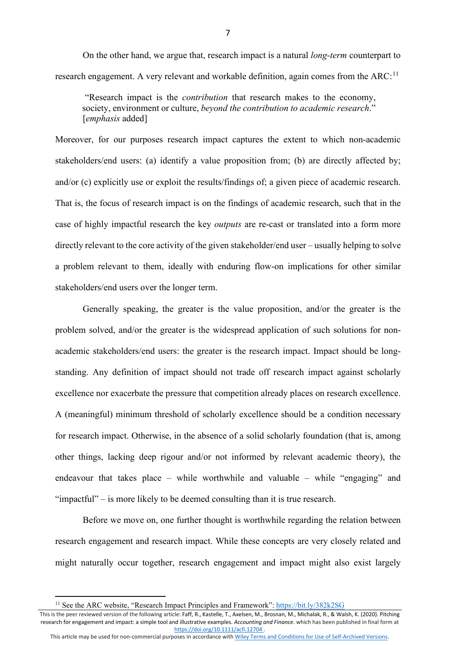On the other hand, we argue that, research impact is a natural *long-term* counterpart to research engagement. A very relevant and workable definition, again comes from the ARC:  $^{11}$  $^{11}$  $^{11}$ 

"Research impact is the *contribution* that research makes to the economy, society, environment or culture, *beyond the contribution to academic research*." [*emphasis* added]

Moreover, for our purposes research impact captures the extent to which non-academic stakeholders/end users: (a) identify a value proposition from; (b) are directly affected by; and/or (c) explicitly use or exploit the results/findings of; a given piece of academic research. That is, the focus of research impact is on the findings of academic research, such that in the case of highly impactful research the key *outputs* are re-cast or translated into a form more directly relevant to the core activity of the given stakeholder/end user – usually helping to solve a problem relevant to them, ideally with enduring flow-on implications for other similar stakeholders/end users over the longer term.

Generally speaking, the greater is the value proposition, and/or the greater is the problem solved, and/or the greater is the widespread application of such solutions for nonacademic stakeholders/end users: the greater is the research impact. Impact should be longstanding. Any definition of impact should not trade off research impact against scholarly excellence nor exacerbate the pressure that competition already places on research excellence. A (meaningful) minimum threshold of scholarly excellence should be a condition necessary for research impact. Otherwise, in the absence of a solid scholarly foundation (that is, among other things, lacking deep rigour and/or not informed by relevant academic theory), the endeavour that takes place – while worthwhile and valuable – while "engaging" and "impactful" – is more likely to be deemed consulting than it is true research.

Before we move on, one further thought is worthwhile regarding the relation between research engagement and research impact. While these concepts are very closely related and might naturally occur together, research engagement and impact might also exist largely

<sup>&</sup>lt;sup>11</sup> See the ARC website, "Research Impact Principles and Framework":<https://bit.ly/382k2SG>

<span id="page-7-0"></span>This is the peer reviewed version of the following article: Faff, R., Kastelle, T., Axelsen, M., Brosnan, M., Michalak, R., & Walsh, K. (2020). Pitching research for engagement and impact: a simple tool and illustrative examples. *Accounting and Finance*. which has been published in final form at <https://doi.org/10.1111/acfi.12704> .

This article may be used for non-commercial purposes in accordance wit[h Wiley Terms and Conditions for Use of Self-Archived Versions.](https://authorservices.wiley.com/author-resources/Journal-Authors/licensing/self-archiving.html)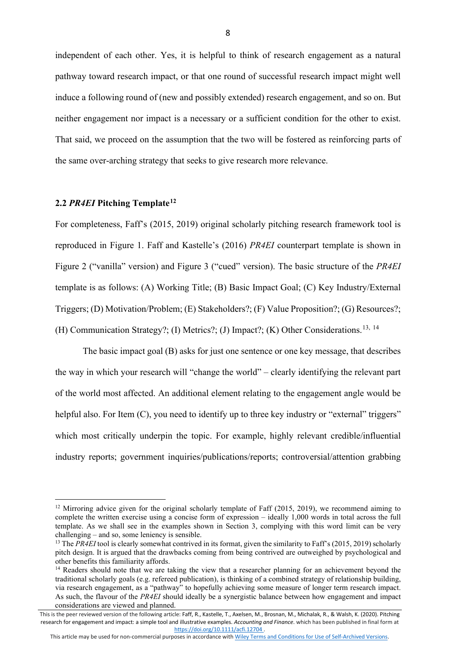independent of each other. Yes, it is helpful to think of research engagement as a natural pathway toward research impact, or that one round of successful research impact might well induce a following round of (new and possibly extended) research engagement, and so on. But neither engagement nor impact is a necessary or a sufficient condition for the other to exist. That said, we proceed on the assumption that the two will be fostered as reinforcing parts of the same over-arching strategy that seeks to give research more relevance.

## **2.2** *PR4EI* **Pitching Template[12](#page-8-0)**

For completeness, Faff's (2015, 2019) original scholarly pitching research framework tool is reproduced in Figure 1. Faff and Kastelle's (2016) *PR4EI* counterpart template is shown in Figure 2 ("vanilla" version) and Figure 3 ("cued" version). The basic structure of the *PR4EI* template is as follows: (A) Working Title; (B) Basic Impact Goal; (C) Key Industry/External Triggers; (D) Motivation/Problem; (E) Stakeholders?; (F) Value Proposition?; (G) Resources?; (H) Communication Strategy?; (I) Metrics?; (J) Impact?; (K) Other Considerations.<sup>[13](#page-8-1), [14](#page-8-2)</sup>

The basic impact goal (B) asks for just one sentence or one key message, that describes the way in which your research will "change the world" – clearly identifying the relevant part of the world most affected. An additional element relating to the engagement angle would be helpful also. For Item (C), you need to identify up to three key industry or "external" triggers" which most critically underpin the topic. For example, highly relevant credible/influential industry reports; government inquiries/publications/reports; controversial/attention grabbing

<span id="page-8-0"></span><sup>&</sup>lt;sup>12</sup> Mirroring advice given for the original scholarly template of Faff (2015, 2019), we recommend aiming to complete the written exercise using a concise form of expression – ideally 1,000 words in total across the full template. As we shall see in the examples shown in Section 3, complying with this word limit can be very challenging – and so, some leniency is sensible.

<span id="page-8-1"></span><sup>&</sup>lt;sup>13</sup> The *PR4EI* tool is clearly somewhat contrived in its format, given the similarity to Faff's (2015, 2019) scholarly pitch design. It is argued that the drawbacks coming from being contrived are outweighed by psychological and other benefits this familiarity affords.

<span id="page-8-2"></span><sup>&</sup>lt;sup>14</sup> Readers should note that we are taking the view that a researcher planning for an achievement beyond the traditional scholarly goals (e.g. refereed publication), is thinking of a combined strategy of relationship building, via research engagement, as a "pathway" to hopefully achieving some measure of longer term research impact. As such, the flavour of the *PR4EI* should ideally be a synergistic balance between how engagement and impact considerations are viewed and planned.

This is the peer reviewed version of the following article: Faff, R., Kastelle, T., Axelsen, M., Brosnan, M., Michalak, R., & Walsh, K. (2020). Pitching research for engagement and impact: a simple tool and illustrative examples. *Accounting and Finance*. which has been published in final form at <https://doi.org/10.1111/acfi.12704> .

This article may be used for non-commercial purposes in accordance wit[h Wiley Terms and Conditions for Use of Self-Archived Versions.](https://authorservices.wiley.com/author-resources/Journal-Authors/licensing/self-archiving.html)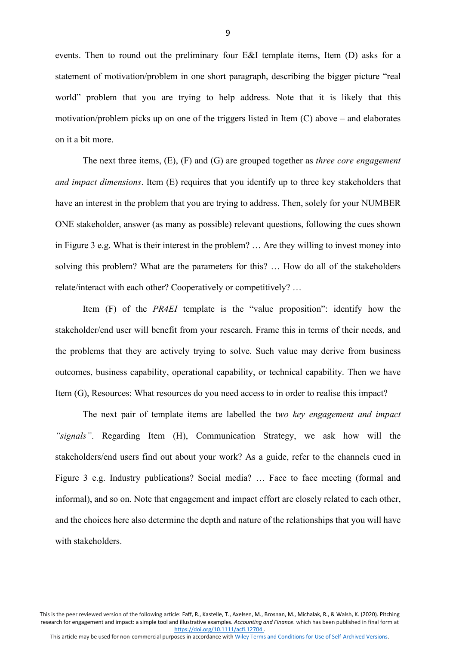events. Then to round out the preliminary four E&I template items, Item (D) asks for a statement of motivation/problem in one short paragraph, describing the bigger picture "real world" problem that you are trying to help address. Note that it is likely that this motivation/problem picks up on one of the triggers listed in Item (C) above – and elaborates on it a bit more.

The next three items, (E), (F) and (G) are grouped together as *three core engagement and impact dimensions*. Item (E) requires that you identify up to three key stakeholders that have an interest in the problem that you are trying to address. Then, solely for your NUMBER ONE stakeholder, answer (as many as possible) relevant questions, following the cues shown in Figure 3 e.g. What is their interest in the problem? … Are they willing to invest money into solving this problem? What are the parameters for this? … How do all of the stakeholders relate/interact with each other? Cooperatively or competitively? …

Item (F) of the *PR4EI* template is the "value proposition": identify how the stakeholder/end user will benefit from your research. Frame this in terms of their needs, and the problems that they are actively trying to solve. Such value may derive from business outcomes, business capability, operational capability, or technical capability. Then we have Item (G), Resources: What resources do you need access to in order to realise this impact?

The next pair of template items are labelled the t*wo key engagement and impact "signals"*. Regarding Item (H), Communication Strategy, we ask how will the stakeholders/end users find out about your work? As a guide, refer to the channels cued in Figure 3 e.g. Industry publications? Social media? … Face to face meeting (formal and informal), and so on. Note that engagement and impact effort are closely related to each other, and the choices here also determine the depth and nature of the relationships that you will have with stakeholders.

9

This is the peer reviewed version of the following article: Faff, R., Kastelle, T., Axelsen, M., Brosnan, M., Michalak, R., & Walsh, K. (2020). Pitching research for engagement and impact: a simple tool and illustrative examples. *Accounting and Finance*. which has been published in final form at <https://doi.org/10.1111/acfi.12704> .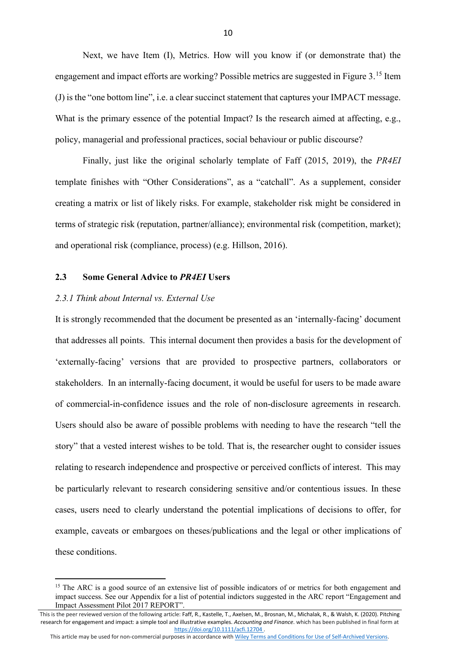Next, we have Item (I), Metrics. How will you know if (or demonstrate that) the engagement and impact efforts are working? Possible metrics are suggested in Figure 3.<sup>[15](#page-10-0)</sup> Item (J) is the "one bottom line", i.e. a clear succinct statement that captures your IMPACT message. What is the primary essence of the potential Impact? Is the research aimed at affecting, e.g., policy, managerial and professional practices, social behaviour or public discourse?

Finally, just like the original scholarly template of Faff (2015, 2019), the *PR4EI* template finishes with "Other Considerations", as a "catchall". As a supplement, consider creating a matrix or list of likely risks. For example, stakeholder risk might be considered in terms of strategic risk (reputation, partner/alliance); environmental risk (competition, market); and operational risk (compliance, process) (e.g. Hillson, 2016).

#### **2.3 Some General Advice to** *PR4EI* **Users**

# *2.3.1 Think about Internal vs. External Use*

It is strongly recommended that the document be presented as an 'internally-facing' document that addresses all points. This internal document then provides a basis for the development of 'externally-facing' versions that are provided to prospective partners, collaborators or stakeholders. In an internally-facing document, it would be useful for users to be made aware of commercial-in-confidence issues and the role of non-disclosure agreements in research. Users should also be aware of possible problems with needing to have the research "tell the story" that a vested interest wishes to be told. That is, the researcher ought to consider issues relating to research independence and prospective or perceived conflicts of interest. This may be particularly relevant to research considering sensitive and/or contentious issues. In these cases, users need to clearly understand the potential implications of decisions to offer, for example, caveats or embargoes on theses/publications and the legal or other implications of these conditions.

<sup>&</sup>lt;sup>15</sup> The ARC is a good source of an extensive list of possible indicators of or metrics for both engagement and impact success. See our Appendix for a list of potential indictors suggested in the ARC report "Engagement and Impact Assessment Pilot 2017 REPORT".

<span id="page-10-0"></span>This is the peer reviewed version of the following article: Faff, R., Kastelle, T., Axelsen, M., Brosnan, M., Michalak, R., & Walsh, K. (2020). Pitching research for engagement and impact: a simple tool and illustrative examples. *Accounting and Finance*. which has been published in final form at <https://doi.org/10.1111/acfi.12704> .

This article may be used for non-commercial purposes in accordance wit[h Wiley Terms and Conditions for Use of Self-Archived Versions.](https://authorservices.wiley.com/author-resources/Journal-Authors/licensing/self-archiving.html)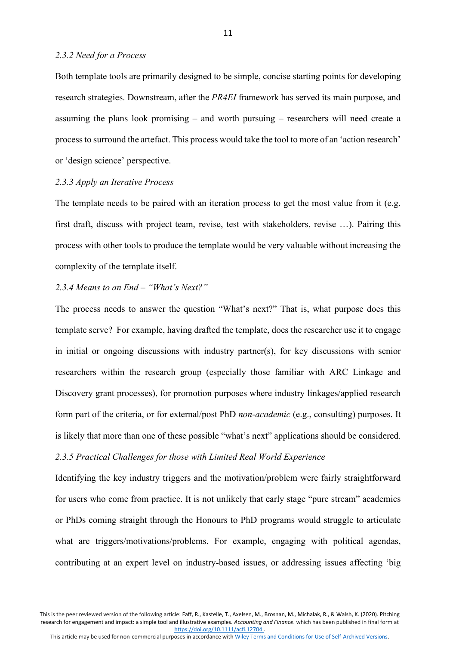## *2.3.2 Need for a Process*

Both template tools are primarily designed to be simple, concise starting points for developing research strategies. Downstream, after the *PR4EI* framework has served its main purpose, and assuming the plans look promising – and worth pursuing – researchers will need create a process to surround the artefact. This process would take the tool to more of an 'action research' or 'design science' perspective.

#### *2.3.3 Apply an Iterative Process*

The template needs to be paired with an iteration process to get the most value from it (e.g. first draft, discuss with project team, revise, test with stakeholders, revise …). Pairing this process with other tools to produce the template would be very valuable without increasing the complexity of the template itself.

#### *2.3.4 Means to an End – "What's Next?"*

The process needs to answer the question "What's next?" That is, what purpose does this template serve? For example, having drafted the template, does the researcher use it to engage in initial or ongoing discussions with industry partner(s), for key discussions with senior researchers within the research group (especially those familiar with ARC Linkage and Discovery grant processes), for promotion purposes where industry linkages/applied research form part of the criteria, or for external/post PhD *non-academic* (e.g., consulting) purposes. It is likely that more than one of these possible "what's next" applications should be considered.

# *2.3.5 Practical Challenges for those with Limited Real World Experience*

Identifying the key industry triggers and the motivation/problem were fairly straightforward for users who come from practice. It is not unlikely that early stage "pure stream" academics or PhDs coming straight through the Honours to PhD programs would struggle to articulate what are triggers/motivations/problems. For example, engaging with political agendas, contributing at an expert level on industry-based issues, or addressing issues affecting 'big

This is the peer reviewed version of the following article: Faff, R., Kastelle, T., Axelsen, M., Brosnan, M., Michalak, R., & Walsh, K. (2020). Pitching research for engagement and impact: a simple tool and illustrative examples. *Accounting and Finance*. which has been published in final form at <https://doi.org/10.1111/acfi.12704> .

This article may be used for non-commercial purposes in accordance wit[h Wiley Terms and Conditions for Use of Self-Archived Versions.](https://authorservices.wiley.com/author-resources/Journal-Authors/licensing/self-archiving.html)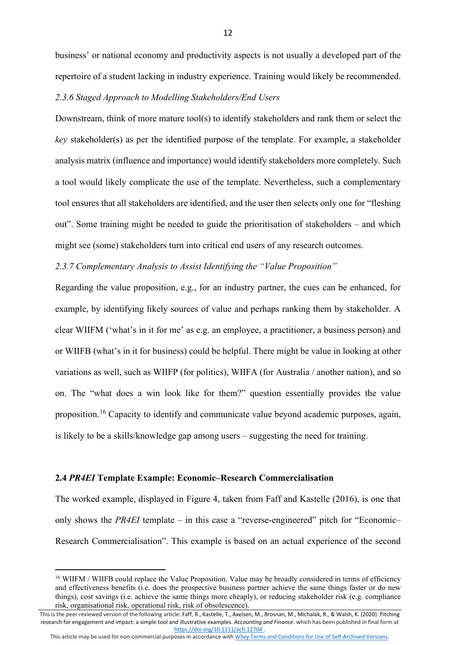business' or national economy and productivity aspects is not usually a developed part of the repertoire of a student lacking in industry experience. Training would likely be recommended. *2.3.6 Staged Approach to Modelling Stakeholders/End Users*

Downstream, think of more mature tool(s) to identify stakeholders and rank them or select the *key* stakeholder(s) as per the identified purpose of the template. For example, a stakeholder analysis matrix (influence and importance) would identify stakeholders more completely. Such a tool would likely complicate the use of the template. Nevertheless, such a complementary tool ensures that all stakeholders are identified, and the user then selects only one for "fleshing out". Some training might be needed to guide the prioritisation of stakeholders – and which might see (some) stakeholders turn into critical end users of any research outcomes.

## *2.3.7 Complementary Analysis to Assist Identifying the "Value Proposition"*

Regarding the value proposition, e.g., for an industry partner, the cues can be enhanced, for example, by identifying likely sources of value and perhaps ranking them by stakeholder. A clear WIIFM ('what's in it for me' as e.g. an employee, a practitioner, a business person) and or WIIFB (what's in it for business) could be helpful. There might be value in looking at other variations as well, such as WIIFP (for politics), WIIFA (for Australia / another nation), and so on. The "what does a win look like for them?" question essentially provides the value proposition.<sup>[16](#page-12-0)</sup> Capacity to identify and communicate value beyond academic purposes, again, is likely to be a skills/knowledge gap among users – suggesting the need for training.

## **2.4** *PR4EI* **Template Example: Economic–Research Commercialisation**

The worked example, displayed in Figure 4, taken from Faff and Kastelle (2016), is one that only shows the *PR4EI* template – in this case a "reverse-engineered" pitch for "Economic– Research Commercialisation". This example is based on an actual experience of the second

<sup>&</sup>lt;sup>16</sup> WIIFM / WIIFB could replace the Value Proposition. Value may be broadly considered in terms of efficiency and effectiveness benefits (i.e. does the prospective business partner achieve the same things faster or do new things), cost savings (i.e. achieve the same things more cheaply), or reducing stakeholder risk (e.g. compliance risk, organisational risk, operational risk, risk of obsolescence).

<span id="page-12-0"></span>This is the peer reviewed version of the following article: Faff, R., Kastelle, T., Axelsen, M., Brosnan, M., Michalak, R., & Walsh, K. (2020). Pitching research for engagement and impact: a simple tool and illustrative examples. *Accounting and Finance*. which has been published in final form at <https://doi.org/10.1111/acfi.12704> .

This article may be used for non-commercial purposes in accordance wit[h Wiley Terms and Conditions for Use of Self-Archived Versions.](https://authorservices.wiley.com/author-resources/Journal-Authors/licensing/self-archiving.html)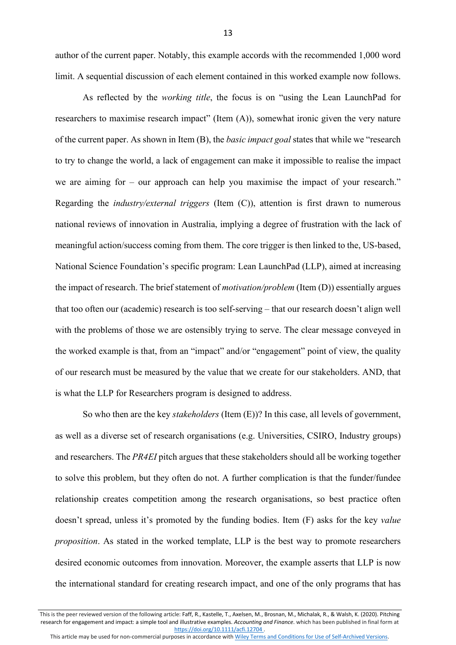author of the current paper. Notably, this example accords with the recommended 1,000 word limit. A sequential discussion of each element contained in this worked example now follows.

As reflected by the *working title*, the focus is on "using the Lean LaunchPad for researchers to maximise research impact" (Item (A)), somewhat ironic given the very nature of the current paper. As shown in Item (B), the *basic impact goal* states that while we "research to try to change the world, a lack of engagement can make it impossible to realise the impact we are aiming for – our approach can help you maximise the impact of your research." Regarding the *industry/external triggers* (Item (C)), attention is first drawn to numerous national reviews of innovation in Australia, implying a degree of frustration with the lack of meaningful action/success coming from them. The core trigger is then linked to the, US-based, National Science Foundation's specific program: Lean LaunchPad (LLP), aimed at increasing the impact of research. The brief statement of *motivation/problem* (Item (D)) essentially argues that too often our (academic) research is too self-serving – that our research doesn't align well with the problems of those we are ostensibly trying to serve. The clear message conveyed in the worked example is that, from an "impact" and/or "engagement" point of view, the quality of our research must be measured by the value that we create for our stakeholders. AND, that is what the LLP for Researchers program is designed to address.

So who then are the key *stakeholders* (Item (E))? In this case, all levels of government, as well as a diverse set of research organisations (e.g. Universities, CSIRO, Industry groups) and researchers. The *PR4EI* pitch argues that these stakeholders should all be working together to solve this problem, but they often do not. A further complication is that the funder/fundee relationship creates competition among the research organisations, so best practice often doesn't spread, unless it's promoted by the funding bodies. Item (F) asks for the key *value proposition*. As stated in the worked template, LLP is the best way to promote researchers desired economic outcomes from innovation. Moreover, the example asserts that LLP is now the international standard for creating research impact, and one of the only programs that has

This is the peer reviewed version of the following article: Faff, R., Kastelle, T., Axelsen, M., Brosnan, M., Michalak, R., & Walsh, K. (2020). Pitching research for engagement and impact: a simple tool and illustrative examples. *Accounting and Finance*. which has been published in final form at <https://doi.org/10.1111/acfi.12704> .

This article may be used for non-commercial purposes in accordance wit[h Wiley Terms and Conditions for Use of Self-Archived Versions.](https://authorservices.wiley.com/author-resources/Journal-Authors/licensing/self-archiving.html)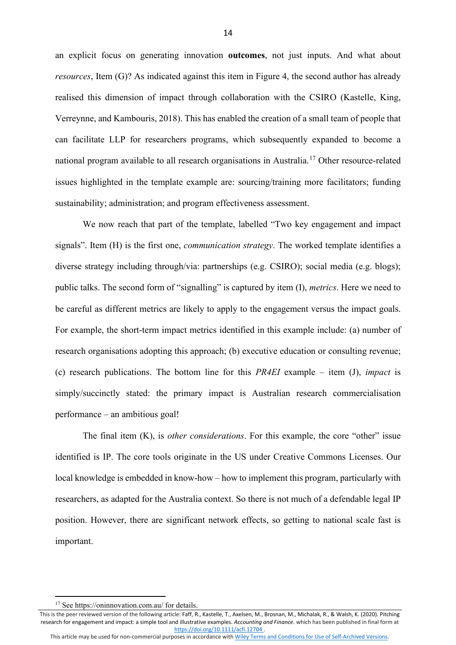an explicit focus on generating innovation **outcomes**, not just inputs. And what about *resources*, Item (G)? As indicated against this item in Figure 4, the second author has already realised this dimension of impact through collaboration with the CSIRO (Kastelle, King, Verreynne, and Kambouris, 2018). This has enabled the creation of a small team of people that can facilitate LLP for researchers programs, which subsequently expanded to become a national program available to all research organisations in Australia. [17](#page-14-0) Other resource-related issues highlighted in the template example are: sourcing/training more facilitators; funding sustainability; administration; and program effectiveness assessment.

We now reach that part of the template, labelled "Two key engagement and impact signals". Item (H) is the first one, *communication strategy*. The worked template identifies a diverse strategy including through/via: partnerships (e.g. CSIRO); social media (e.g. blogs); public talks. The second form of "signalling" is captured by item (I), *metrics*. Here we need to be careful as different metrics are likely to apply to the engagement versus the impact goals. For example, the short-term impact metrics identified in this example include: (a) number of research organisations adopting this approach; (b) executive education or consulting revenue; (c) research publications. The bottom line for this *PR4EI* example – item (J), *impact* is simply/succinctly stated: the primary impact is Australian research commercialisation performance – an ambitious goal!

The final item (K), is *other considerations*. For this example, the core "other" issue identified is IP. The core tools originate in the US under Creative Commons Licenses. Our local knowledge is embedded in know-how – how to implement this program, particularly with researchers, as adapted for the Australia context. So there is not much of a defendable legal IP position. However, there are significant network effects, so getting to national scale fast is important.

<sup>17</sup> See https://oninnovation.com.au/ for details.

<span id="page-14-0"></span>This is the peer reviewed version of the following article: Faff, R., Kastelle, T., Axelsen, M., Brosnan, M., Michalak, R., & Walsh, K. (2020). Pitching research for engagement and impact: a simple tool and illustrative examples. *Accounting and Finance*. which has been published in final form at <https://doi.org/10.1111/acfi.12704> .

This article may be used for non-commercial purposes in accordance wit[h Wiley Terms and Conditions for Use of Self-Archived Versions.](https://authorservices.wiley.com/author-resources/Journal-Authors/licensing/self-archiving.html)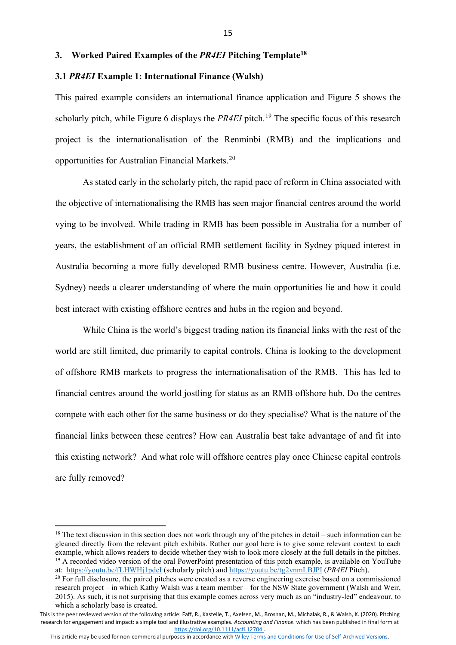## **3. Worked Paired Examples of the** *PR4EI* **Pitching Template[18](#page-15-0)**

#### **3.1** *PR4EI* **Example 1: International Finance (Walsh)**

This paired example considers an international finance application and Figure 5 shows the scholarly pitch, while Figure 6 displays the *PR4EI* pitch.<sup>[19](#page-15-1)</sup> The specific focus of this research project is the internationalisation of the Renminbi (RMB) and the implications and opportunities for Australian Financial Markets. [20](#page-15-2)

As stated early in the scholarly pitch, the rapid pace of reform in China associated with the objective of internationalising the RMB has seen major financial centres around the world vying to be involved. While trading in RMB has been possible in Australia for a number of years, the establishment of an official RMB settlement facility in Sydney piqued interest in Australia becoming a more fully developed RMB business centre. However, Australia (i.e. Sydney) needs a clearer understanding of where the main opportunities lie and how it could best interact with existing offshore centres and hubs in the region and beyond.

While China is the world's biggest trading nation its financial links with the rest of the world are still limited, due primarily to capital controls. China is looking to the development of offshore RMB markets to progress the internationalisation of the RMB. This has led to financial centres around the world jostling for status as an RMB offshore hub. Do the centres compete with each other for the same business or do they specialise? What is the nature of the financial links between these centres? How can Australia best take advantage of and fit into this existing network? And what role will offshore centres play once Chinese capital controls are fully removed?

<span id="page-15-0"></span> $18$  The text discussion in this section does not work through any of the pitches in detail – such information can be gleaned directly from the relevant pitch exhibits. Rather our goal here is to give some relevant context to each example, which allows readers to decide whether they wish to look more closely at the full details in the pitches. <sup>19</sup> A recorded video version of the oral PowerPoint presentation of this pitch example, is available on YouTube at: <https://youtu.be/fLHWHj1pdeI> (scholarly pitch) and <https://youtu.be/tg2vnmLBJPI> (*PR4EI* Pitch).

<span id="page-15-2"></span><span id="page-15-1"></span> $20$  For full disclosure, the paired pitches were created as a reverse engineering exercise based on a commissioned research project – in which Kathy Walsh was a team member – for the NSW State government (Walsh and Weir, 2015). As such, it is not surprising that this example comes across very much as an "industry-led" endeavour, to which a scholarly base is created.

This is the peer reviewed version of the following article: Faff, R., Kastelle, T., Axelsen, M., Brosnan, M., Michalak, R., & Walsh, K. (2020). Pitching research for engagement and impact: a simple tool and illustrative examples. *Accounting and Finance*. which has been published in final form at <https://doi.org/10.1111/acfi.12704> .

This article may be used for non-commercial purposes in accordance wit[h Wiley Terms and Conditions for Use of Self-Archived Versions.](https://authorservices.wiley.com/author-resources/Journal-Authors/licensing/self-archiving.html)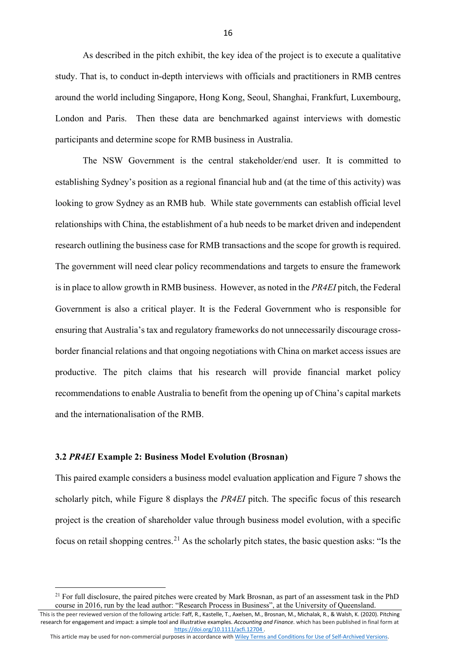As described in the pitch exhibit, the key idea of the project is to execute a qualitative study. That is, to conduct in-depth interviews with officials and practitioners in RMB centres around the world including Singapore, Hong Kong, Seoul, Shanghai, Frankfurt, Luxembourg, London and Paris. Then these data are benchmarked against interviews with domestic participants and determine scope for RMB business in Australia.

The NSW Government is the central stakeholder/end user. It is committed to establishing Sydney's position as a regional financial hub and (at the time of this activity) was looking to grow Sydney as an RMB hub. While state governments can establish official level relationships with China, the establishment of a hub needs to be market driven and independent research outlining the business case for RMB transactions and the scope for growth is required. The government will need clear policy recommendations and targets to ensure the framework is in place to allow growth in RMB business. However, as noted in the *PR4EI* pitch, the Federal Government is also a critical player. It is the Federal Government who is responsible for ensuring that Australia's tax and regulatory frameworks do not unnecessarily discourage crossborder financial relations and that ongoing negotiations with China on market access issues are productive. The pitch claims that his research will provide financial market policy recommendations to enable Australia to benefit from the opening up of China's capital markets and the internationalisation of the RMB.

# **3.2** *PR4EI* **Example 2: Business Model Evolution (Brosnan)**

This paired example considers a business model evaluation application and Figure 7 shows the scholarly pitch, while Figure 8 displays the *PR4EI* pitch. The specific focus of this research project is the creation of shareholder value through business model evolution, with a specific focus on retail shopping centres.<sup>[21](#page-16-0)</sup> As the scholarly pitch states, the basic question asks: "Is the

<sup>&</sup>lt;sup>21</sup> For full disclosure, the paired pitches were created by Mark Brosnan, as part of an assessment task in the PhD course in 2016, run by the lead author: "Research Process in Business", at the University of Queensland.

<span id="page-16-0"></span>This is the peer reviewed version of the following article: Faff, R., Kastelle, T., Axelsen, M., Brosnan, M., Michalak, R., & Walsh, K. (2020). Pitching research for engagement and impact: a simple tool and illustrative examples. *Accounting and Finance*. which has been published in final form at <https://doi.org/10.1111/acfi.12704> .

This article may be used for non-commercial purposes in accordance wit[h Wiley Terms and Conditions for Use of Self-Archived Versions.](https://authorservices.wiley.com/author-resources/Journal-Authors/licensing/self-archiving.html)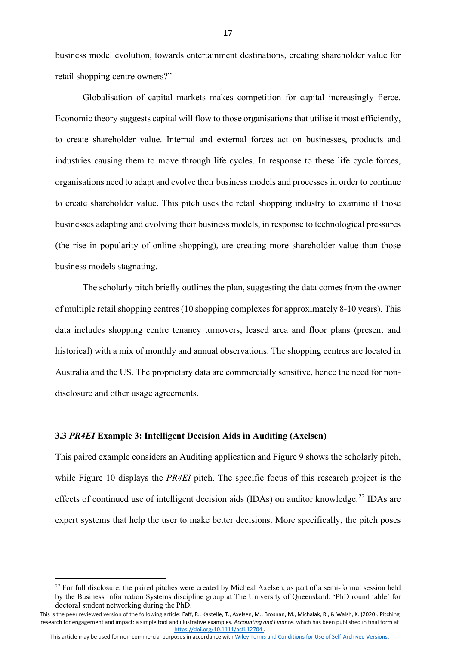business model evolution, towards entertainment destinations, creating shareholder value for retail shopping centre owners?"

Globalisation of capital markets makes competition for capital increasingly fierce. Economic theory suggests capital will flow to those organisations that utilise it most efficiently, to create shareholder value. Internal and external forces act on businesses, products and industries causing them to move through life cycles. In response to these life cycle forces, organisations need to adapt and evolve their business models and processes in order to continue to create shareholder value. This pitch uses the retail shopping industry to examine if those businesses adapting and evolving their business models, in response to technological pressures (the rise in popularity of online shopping), are creating more shareholder value than those business models stagnating.

The scholarly pitch briefly outlines the plan, suggesting the data comes from the owner of multiple retail shopping centres (10 shopping complexes for approximately 8-10 years). This data includes shopping centre tenancy turnovers, leased area and floor plans (present and historical) with a mix of monthly and annual observations. The shopping centres are located in Australia and the US. The proprietary data are commercially sensitive, hence the need for nondisclosure and other usage agreements.

# **3.3** *PR4EI* **Example 3: Intelligent Decision Aids in Auditing (Axelsen)**

This paired example considers an Auditing application and Figure 9 shows the scholarly pitch, while Figure 10 displays the *PR4EI* pitch. The specific focus of this research project is the effects of continued use of intelligent decision aids (IDAs) on auditor knowledge.<sup>[22](#page-17-0)</sup> IDAs are expert systems that help the user to make better decisions. More specifically, the pitch poses

<sup>&</sup>lt;sup>22</sup> For full disclosure, the paired pitches were created by Micheal Axelsen, as part of a semi-formal session held by the Business Information Systems discipline group at The University of Queensland: 'PhD round table' for doctoral student networking during the PhD.

<span id="page-17-0"></span>This is the peer reviewed version of the following article: Faff, R., Kastelle, T., Axelsen, M., Brosnan, M., Michalak, R., & Walsh, K. (2020). Pitching research for engagement and impact: a simple tool and illustrative examples. *Accounting and Finance*. which has been published in final form at <https://doi.org/10.1111/acfi.12704> .

This article may be used for non-commercial purposes in accordance wit[h Wiley Terms and Conditions for Use of Self-Archived Versions.](https://authorservices.wiley.com/author-resources/Journal-Authors/licensing/self-archiving.html)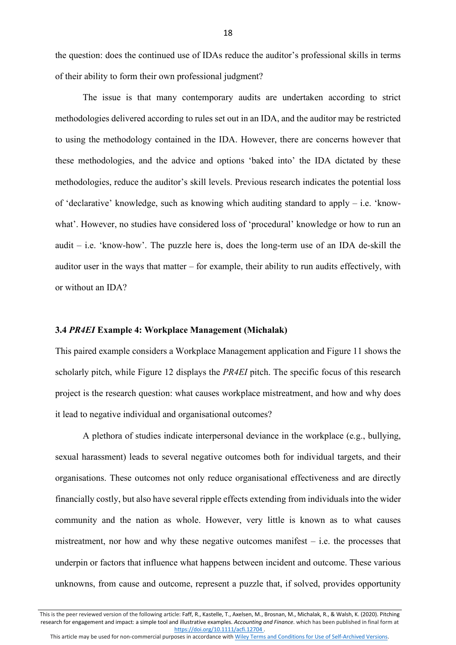the question: does the continued use of IDAs reduce the auditor's professional skills in terms of their ability to form their own professional judgment?

The issue is that many contemporary audits are undertaken according to strict methodologies delivered according to rules set out in an IDA, and the auditor may be restricted to using the methodology contained in the IDA. However, there are concerns however that these methodologies, and the advice and options 'baked into' the IDA dictated by these methodologies, reduce the auditor's skill levels. Previous research indicates the potential loss of 'declarative' knowledge, such as knowing which auditing standard to apply – i.e. 'knowwhat'. However, no studies have considered loss of 'procedural' knowledge or how to run an audit  $-$  i.e. 'know-how'. The puzzle here is, does the long-term use of an IDA de-skill the auditor user in the ways that matter – for example, their ability to run audits effectively, with or without an IDA?

#### **3.4** *PR4EI* **Example 4: Workplace Management (Michalak)**

This paired example considers a Workplace Management application and Figure 11 shows the scholarly pitch, while Figure 12 displays the *PR4EI* pitch. The specific focus of this research project is the research question: what causes workplace mistreatment, and how and why does it lead to negative individual and organisational outcomes?

A plethora of studies indicate interpersonal deviance in the workplace (e.g., bullying, sexual harassment) leads to several negative outcomes both for individual targets, and their organisations. These outcomes not only reduce organisational effectiveness and are directly financially costly, but also have several ripple effects extending from individuals into the wider community and the nation as whole. However, very little is known as to what causes mistreatment, nor how and why these negative outcomes manifest  $-$  i.e. the processes that underpin or factors that influence what happens between incident and outcome. These various unknowns, from cause and outcome, represent a puzzle that, if solved, provides opportunity

This is the peer reviewed version of the following article: Faff, R., Kastelle, T., Axelsen, M., Brosnan, M., Michalak, R., & Walsh, K. (2020). Pitching research for engagement and impact: a simple tool and illustrative examples. *Accounting and Finance*. which has been published in final form at <https://doi.org/10.1111/acfi.12704> .

This article may be used for non-commercial purposes in accordance wit[h Wiley Terms and Conditions for Use of Self-Archived Versions.](https://authorservices.wiley.com/author-resources/Journal-Authors/licensing/self-archiving.html)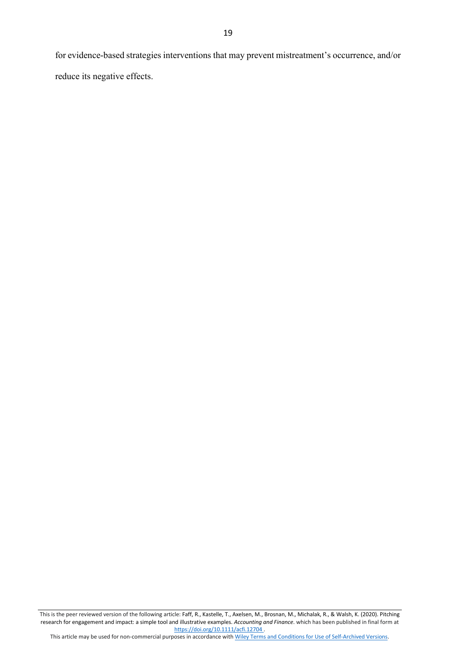for evidence-based strategies interventions that may prevent mistreatment's occurrence, and/or reduce its negative effects.

This is the peer reviewed version of the following article: Faff, R., Kastelle, T., Axelsen, M., Brosnan, M., Michalak, R., & Walsh, K. (2020). Pitching research for engagement and impact: a simple tool and illustrative examples. *Accounting and Finance*. which has been published in final form at <https://doi.org/10.1111/acfi.12704> .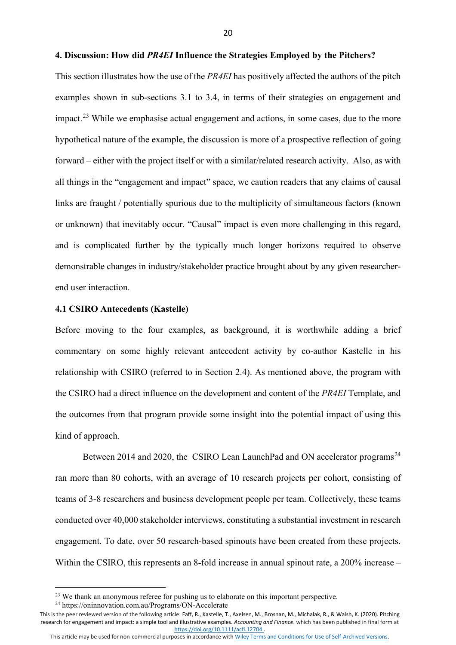#### **4. Discussion: How did** *PR4EI* **Influence the Strategies Employed by the Pitchers?**

This section illustrates how the use of the *PR4EI* has positively affected the authors of the pitch examples shown in sub-sections 3.1 to 3.4, in terms of their strategies on engagement and impact.<sup>[23](#page-20-0)</sup> While we emphasise actual engagement and actions, in some cases, due to the more hypothetical nature of the example, the discussion is more of a prospective reflection of going forward – either with the project itself or with a similar/related research activity. Also, as with all things in the "engagement and impact" space, we caution readers that any claims of causal links are fraught / potentially spurious due to the multiplicity of simultaneous factors (known or unknown) that inevitably occur. "Causal" impact is even more challenging in this regard, and is complicated further by the typically much longer horizons required to observe demonstrable changes in industry/stakeholder practice brought about by any given researcherend user interaction.

# **4.1 CSIRO Antecedents (Kastelle)**

Before moving to the four examples, as background, it is worthwhile adding a brief commentary on some highly relevant antecedent activity by co-author Kastelle in his relationship with CSIRO (referred to in Section 2.4). As mentioned above, the program with the CSIRO had a direct influence on the development and content of the *PR4EI* Template, and the outcomes from that program provide some insight into the potential impact of using this kind of approach.

Between 2014 and 2020, the CSIRO Lean LaunchPad and ON accelerator programs<sup>[24](#page-20-1)</sup> ran more than 80 cohorts, with an average of 10 research projects per cohort, consisting of teams of 3-8 researchers and business development people per team. Collectively, these teams conducted over 40,000 stakeholder interviews, constituting a substantial investment in research engagement. To date, over 50 research-based spinouts have been created from these projects. Within the CSIRO, this represents an 8-fold increase in annual spinout rate, a 200% increase –

<sup>&</sup>lt;sup>23</sup> We thank an anonymous referee for pushing us to elaborate on this important perspective.

<sup>24</sup> https://oninnovation.com.au/Programs/ON-Accelerate

<span id="page-20-1"></span><span id="page-20-0"></span>This is the peer reviewed version of the following article: Faff, R., Kastelle, T., Axelsen, M., Brosnan, M., Michalak, R., & Walsh, K. (2020). Pitching research for engagement and impact: a simple tool and illustrative examples. *Accounting and Finance*. which has been published in final form at <https://doi.org/10.1111/acfi.12704> .

This article may be used for non-commercial purposes in accordance wit[h Wiley Terms and Conditions for Use of Self-Archived Versions.](https://authorservices.wiley.com/author-resources/Journal-Authors/licensing/self-archiving.html)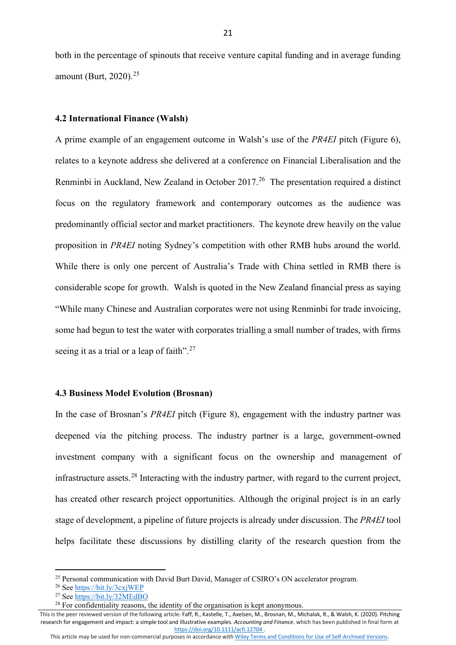both in the percentage of spinouts that receive venture capital funding and in average funding amount (Burt, 2020).<sup>[25](#page-21-0)</sup>

#### **4.2 International Finance (Walsh)**

A prime example of an engagement outcome in Walsh's use of the *PR4EI* pitch (Figure 6), relates to a keynote address she delivered at a conference on Financial Liberalisation and the Renminbi in Auckland, New Zealand in October 2017.<sup>26</sup> The presentation required a distinct focus on the regulatory framework and contemporary outcomes as the audience was predominantly official sector and market practitioners. The keynote drew heavily on the value proposition in *PR4EI* noting Sydney's competition with other RMB hubs around the world. While there is only one percent of Australia's Trade with China settled in RMB there is considerable scope for growth. Walsh is quoted in the New Zealand financial press as saying "While many Chinese and Australian corporates were not using Renminbi for trade invoicing, some had begun to test the water with corporates trialling a small number of trades, with firms seeing it as a trial or a leap of faith".<sup>[27](#page-21-2)</sup>

#### **4.3 Business Model Evolution (Brosnan)**

In the case of Brosnan's *PR4EI* pitch (Figure 8), engagement with the industry partner was deepened via the pitching process. The industry partner is a large, government-owned investment company with a significant focus on the ownership and management of infrastructure assets.<sup>[28](#page-21-3)</sup> Interacting with the industry partner, with regard to the current project, has created other research project opportunities. Although the original project is in an early stage of development, a pipeline of future projects is already under discussion. The *PR4EI* tool helps facilitate these discussions by distilling clarity of the research question from the

<sup>&</sup>lt;sup>25</sup> Personal communication with David Burt David, Manager of CSIRO's ON accelerator program.

<sup>26</sup> See<https://bit.ly/3cxjWEP>

<sup>27</sup> See<https://bit.ly/32MEdBO>

<sup>&</sup>lt;sup>28</sup> For confidentiality reasons, the identity of the organisation is kept anonymous.

<span id="page-21-3"></span><span id="page-21-2"></span><span id="page-21-1"></span><span id="page-21-0"></span>This is the peer reviewed version of the following article: Faff, R., Kastelle, T., Axelsen, M., Brosnan, M., Michalak, R., & Walsh, K. (2020). Pitching research for engagement and impact: a simple tool and illustrative examples. *Accounting and Finance*. which has been published in final form at <https://doi.org/10.1111/acfi.12704> .

This article may be used for non-commercial purposes in accordance wit[h Wiley Terms and Conditions for Use of Self-Archived Versions.](https://authorservices.wiley.com/author-resources/Journal-Authors/licensing/self-archiving.html)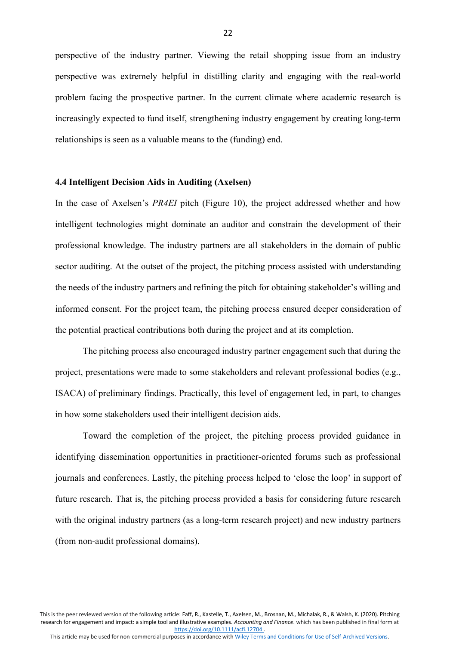perspective of the industry partner. Viewing the retail shopping issue from an industry perspective was extremely helpful in distilling clarity and engaging with the real-world problem facing the prospective partner. In the current climate where academic research is increasingly expected to fund itself, strengthening industry engagement by creating long-term relationships is seen as a valuable means to the (funding) end.

## **4.4 Intelligent Decision Aids in Auditing (Axelsen)**

In the case of Axelsen's *PR4EI* pitch (Figure 10), the project addressed whether and how intelligent technologies might dominate an auditor and constrain the development of their professional knowledge. The industry partners are all stakeholders in the domain of public sector auditing. At the outset of the project, the pitching process assisted with understanding the needs of the industry partners and refining the pitch for obtaining stakeholder's willing and informed consent. For the project team, the pitching process ensured deeper consideration of the potential practical contributions both during the project and at its completion.

The pitching process also encouraged industry partner engagement such that during the project, presentations were made to some stakeholders and relevant professional bodies (e.g., ISACA) of preliminary findings. Practically, this level of engagement led, in part, to changes in how some stakeholders used their intelligent decision aids.

Toward the completion of the project, the pitching process provided guidance in identifying dissemination opportunities in practitioner-oriented forums such as professional journals and conferences. Lastly, the pitching process helped to 'close the loop' in support of future research. That is, the pitching process provided a basis for considering future research with the original industry partners (as a long-term research project) and new industry partners (from non-audit professional domains).

This is the peer reviewed version of the following article: Faff, R., Kastelle, T., Axelsen, M., Brosnan, M., Michalak, R., & Walsh, K. (2020). Pitching research for engagement and impact: a simple tool and illustrative examples. *Accounting and Finance*. which has been published in final form at <https://doi.org/10.1111/acfi.12704> .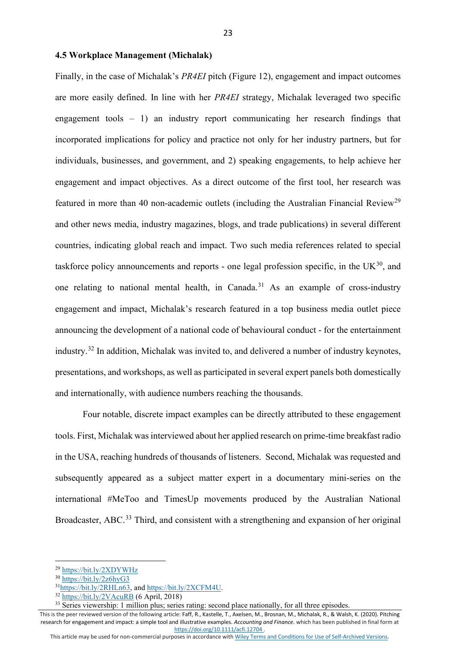## **4.5 Workplace Management (Michalak)**

Finally, in the case of Michalak's *PR4EI* pitch (Figure 12), engagement and impact outcomes are more easily defined. In line with her *PR4EI* strategy, Michalak leveraged two specific engagement tools – 1) an industry report communicating her research findings that incorporated implications for policy and practice not only for her industry partners, but for individuals, businesses, and government, and 2) speaking engagements, to help achieve her engagement and impact objectives. As a direct outcome of the first tool, her research was featured in more than 40 non-academic outlets (including the Australian Financial Review<sup>[29](#page-23-0)</sup> and other news media, industry magazines, blogs, and trade publications) in several different countries, indicating global reach and impact. Two such media references related to special taskforce policy announcements and reports - one legal profession specific, in the  $UK^{30}$  $UK^{30}$  $UK^{30}$ , and one relating to national mental health, in Canada.<sup>[31](#page-23-2)</sup> As an example of cross-industry engagement and impact, Michalak's research featured in a top business media outlet piece announcing the development of a national code of behavioural conduct - for the entertainment industry.[32](#page-23-3) In addition, Michalak was invited to, and delivered a number of industry keynotes, presentations, and workshops, as well as participated in several expert panels both domestically and internationally, with audience numbers reaching the thousands.

Four notable, discrete impact examples can be directly attributed to these engagement tools. First, Michalak was interviewed about her applied research on prime-time breakfast radio in the USA, reaching hundreds of thousands of listeners. Second, Michalak was requested and subsequently appeared as a subject matter expert in a documentary mini-series on the international #MeToo and TimesUp movements produced by the Australian National Broadcaster, ABC.<sup>[33](#page-23-4)</sup> Third, and consistent with a strengthening and expansion of her original

<span id="page-23-0"></span><sup>29</sup> <https://bit.ly/2XDYWHz>

<sup>30</sup> <https://bit.ly/2z6hyG3>

<sup>&</sup>lt;sup>31</sup>https://bit.ly/2RHLn63, and [https://bit.ly/2XCFM4U.](https://bit.ly/2XCFM4U)

<sup>32</sup> <https://bit.ly/2VAcuRB> (6 April, 2018)

<sup>&</sup>lt;sup>33</sup> Series viewership: 1 million plus; series rating: second place nationally, for all three episodes.

<span id="page-23-4"></span><span id="page-23-3"></span><span id="page-23-2"></span><span id="page-23-1"></span>This is the peer reviewed version of the following article: Faff, R., Kastelle, T., Axelsen, M., Brosnan, M., Michalak, R., & Walsh, K. (2020). Pitching research for engagement and impact: a simple tool and illustrative examples. *Accounting and Finance*. which has been published in final form at <https://doi.org/10.1111/acfi.12704> .

This article may be used for non-commercial purposes in accordance wit[h Wiley Terms and Conditions for Use of Self-Archived Versions.](https://authorservices.wiley.com/author-resources/Journal-Authors/licensing/self-archiving.html)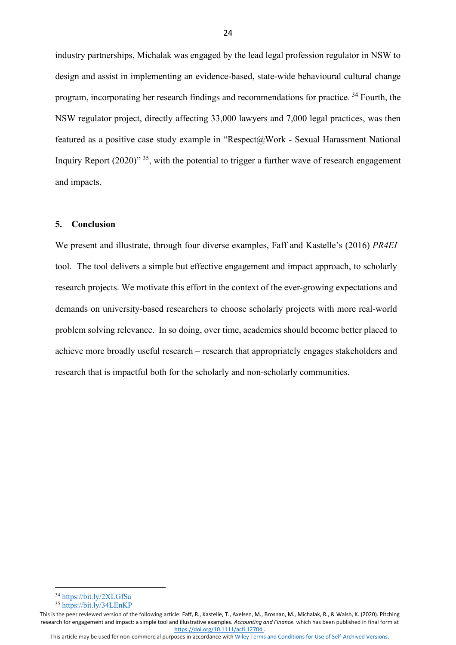industry partnerships, Michalak was engaged by the lead legal profession regulator in NSW to design and assist in implementing an evidence-based, state-wide behavioural cultural change program, incorporating her research findings and recommendations for practice. [34](#page-24-0) Fourth, the NSW regulator project, directly affecting 33,000 lawyers and 7,000 legal practices, was then featured as a positive case study example in "Respect@Work - Sexual Harassment National Inquiry Report (2020)" [35,](#page-24-1) with the potential to trigger a further wave of research engagement and impacts.

# **5. Conclusion**

We present and illustrate, through four diverse examples, Faff and Kastelle's (2016) *PR4EI* tool. The tool delivers a simple but effective engagement and impact approach, to scholarly research projects. We motivate this effort in the context of the ever-growing expectations and demands on university-based researchers to choose scholarly projects with more real-world problem solving relevance. In so doing, over time, academics should become better placed to achieve more broadly useful research – research that appropriately engages stakeholders and research that is impactful both for the scholarly and non-scholarly communities.

<sup>34</sup> <https://bit.ly/2XLGfSa>

<sup>35</sup> <https://bit.ly/34LEnKP>

<span id="page-24-1"></span><span id="page-24-0"></span>This is the peer reviewed version of the following article: Faff, R., Kastelle, T., Axelsen, M., Brosnan, M., Michalak, R., & Walsh, K. (2020). Pitching research for engagement and impact: a simple tool and illustrative examples. *Accounting and Finance*. which has been published in final form at <https://doi.org/10.1111/acfi.12704> .

This article may be used for non-commercial purposes in accordance wit[h Wiley Terms and Conditions for Use of Self-Archived Versions.](https://authorservices.wiley.com/author-resources/Journal-Authors/licensing/self-archiving.html)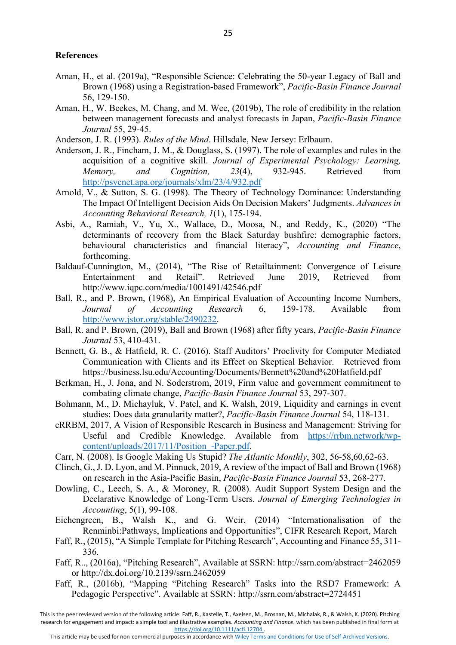#### **References**

- Aman, H., et al. (2019a), "Responsible Science: Celebrating the 50-year Legacy of Ball and Brown (1968) using a Registration-based Framework", *Pacific-Basin Finance Journal*  56, 129-150.
- Aman, H., W. Beekes, M. Chang, and M. Wee, (2019b), The role of credibility in the relation between management forecasts and analyst forecasts in Japan, *Pacific-Basin Finance Journal* 55, 29-45.
- Anderson, J. R. (1993). *Rules of the Mind*. Hillsdale, New Jersey: Erlbaum.
- Anderson, J. R., Fincham, J. M., & Douglass, S. (1997). The role of examples and rules in the acquisition of a cognitive skill. *Journal of Experimental Psychology: Learning, Memory, and Cognition, 23*(4), 932-945. Retrieved from <http://psycnet.apa.org/journals/xlm/23/4/932.pdf>
- Arnold, V., & Sutton, S. G. (1998). The Theory of Technology Dominance: Understanding The Impact Of Intelligent Decision Aids On Decision Makers' Judgments. *Advances in Accounting Behavioral Research, 1*(1), 175-194.
- Asbi, A., Ramiah, V., Yu, X., Wallace, D., Moosa, N., and Reddy, K., (2020) "The determinants of recovery from the Black Saturday bushfire: demographic factors, behavioural characteristics and financial literacy", *Accounting and Finance*, forthcoming.
- Baldauf-Cunnington, M., (2014), "The Rise of Retailtainment: Convergence of Leisure Entertainment and Retail". Retrieved June 2019, Retrieved from <http://www.iqpc.com/media/1001491/42546.pdf>
- Ball, R., and P. Brown, (1968), An Empirical Evaluation of Accounting Income Numbers, *Journal of Accounting Research* 6, 159-178. Available from [http://www.jstor.org/stable/2490232.](http://www.jstor.org/stable/2490232)
- Ball, R. and P. Brown, (2019), Ball and Brown (1968) after fifty years, *Pacific-Basin Finance Journal* 53, 410-431.
- Bennett, G. B., & Hatfield, R. C. (2016). Staff Auditors' Proclivity for Computer Mediated Communication with Clients and its Effect on Skeptical Behavior. Retrieved from https://business.lsu.edu/Accounting/Documents/Bennett%20and%20Hatfield.pdf
- Berkman, H., J. Jona, and N. Soderstrom, 2019, Firm value and government commitment to combating climate change, *Pacific-Basin Finance Journal* 53, 297-307.
- Bohmann, M., D. Michayluk, V. Patel, and K. Walsh, 2019, Liquidity and earnings in event studies: Does data granularity matter?, *Pacific-Basin Finance Journal* 54, 118-131.
- cRRBM, 2017, A Vision of Responsible Research in Business and Management: Striving for Useful and Credible Knowledge. Available from [https://rrbm.network/wp](https://rrbm.network/wp-content/uploads/2017/11/Position_-Paper.pdf)[content/uploads/2017/11/Position\\_-Paper.pdf.](https://rrbm.network/wp-content/uploads/2017/11/Position_-Paper.pdf)
- Carr, N. (2008). Is Google Making Us Stupid? *The Atlantic Monthly*, 302, 56-58,60,62-63.
- Clinch, G., J. D. Lyon, and M. Pinnuck, 2019, A review of the impact of Ball and Brown (1968) on research in the Asia-Pacific Basin, *Pacific-Basin Finance Journal* 53, 268-277.
- Dowling, C., Leech, S. A., & Moroney, R. (2008). Audit Support System Design and the Declarative Knowledge of Long-Term Users. *Journal of Emerging Technologies in Accounting*, 5(1), 99-108.
- Eichengreen, B., Walsh K., and G. Weir, (2014) "Internationalisation of the Renminbi:Pathways, Implications and Opportunities", CIFR Research Report, March
- Faff, R., (2015), "A Simple Template for Pitching Research", Accounting and Finance 55, 311- 336.
- Faff, R.., (2016a), "Pitching Research", Available at SSRN: http://ssrn.com/abstract=2462059 or http://dx.doi.org/10.2139/ssrn.2462059
- Faff, R., (2016b), "Mapping "Pitching Research" Tasks into the RSD7 Framework: A Pedagogic Perspective". Available at SSRN: http://ssrn.com/abstract=2724451

This is the peer reviewed version of the following article: Faff, R., Kastelle, T., Axelsen, M., Brosnan, M., Michalak, R., & Walsh, K. (2020). Pitching research for engagement and impact: a simple tool and illustrative examples. *Accounting and Finance*. which has been published in final form at <https://doi.org/10.1111/acfi.12704> .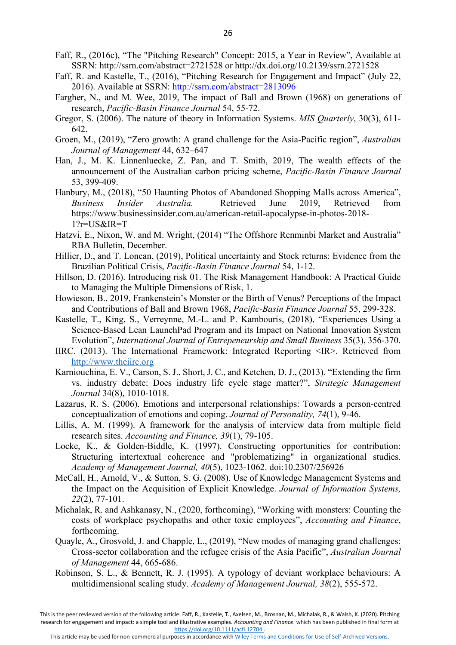- Faff, R., (2016c), "The "Pitching Research" Concept: 2015, a Year in Review", Available at SSRN: http://ssrn.com/abstract=2721528 or http://dx.doi.org/10.2139/ssrn.2721528
- Faff, R. and Kastelle, T., (2016), "Pitching Research for Engagement and Impact" (July 22, 2016). Available at SSRN:<http://ssrn.com/abstract=2813096>
- Fargher, N., and M. Wee, 2019, The impact of Ball and Brown (1968) on generations of research, *Pacific-Basin Finance Journal* 54, 55-72.
- Gregor, S. (2006). The nature of theory in Information Systems. *MIS Quarterly*, 30(3), 611- 642.
- Groen, M., (2019), "Zero growth: A grand challenge for the Asia-Pacific region", *Australian Journal of Management* 44, 632–647
- Han, J., M. K. Linnenluecke, Z. Pan, and T. Smith, 2019, The wealth effects of the announcement of the Australian carbon pricing scheme, *Pacific-Basin Finance Journal* 53, 399-409.
- Hanbury, M., (2018), "50 Haunting Photos of Abandoned Shopping Malls across America", *Business Insider Australia.* Retrieved June 2019, Retrieved from [https://www.businessinsider.com.au/american-retail-apocalypse-in-photos-2018-](https://www.businessinsider.com.au/american-retail-apocalypse-in-photos-2018-1?r=US&IR=T) [1?r=US&IR=T](https://www.businessinsider.com.au/american-retail-apocalypse-in-photos-2018-1?r=US&IR=T)
- Hatzvi, E., Nixon, W. and M. Wright, (2014) "The Offshore Renminbi Market and Australia" RBA Bulletin, December.
- Hillier, D., and T. Loncan, (2019), Political uncertainty and Stock returns: Evidence from the Brazilian Political Crisis, *Pacific-Basin Finance Journal* 54, 1-12.
- Hillson, D. (2016). Introducing risk 01. The Risk Management Handbook: A Practical Guide to Managing the Multiple Dimensions of Risk, 1.
- Howieson, B., 2019, Frankenstein's Monster or the Birth of Venus? Perceptions of the Impact and Contributions of Ball and Brown 1968, *Pacific-Basin Finance Journal* 55, 299-328.
- Kastelle, T., King, S., Verreynne, M.-L. and P. Kambouris, (2018), "Experiences Using a Science-Based Lean LaunchPad Program and its Impact on National Innovation System Evolution", *International Journal of Entrepeneurship and Small Business* 35(3), 356-370.
- IIRC. (2013). The International Framework: Integrated Reporting <IR>. Retrieved from [http://www.theiirc.org](http://www.theiirc.org/)
- Karniouchina, E. V., Carson, S. J., Short, J. C., and Ketchen, D. J., (2013). "Extending the firm vs. industry debate: Does industry life cycle stage matter?", *Strategic Management Journal* 34(8), 1010-1018.
- Lazarus, R. S. (2006). Emotions and interpersonal relationships: Towards a person-centred conceptualization of emotions and coping. *Journal of Personality, 74*(1), 9-46.
- Lillis, A. M. (1999). A framework for the analysis of interview data from multiple field research sites. *Accounting and Finance, 39*(1), 79-105.
- Locke, K., & Golden-Biddle, K. (1997). Constructing opportunities for contribution: Structuring intertextual coherence and "problematizing" in organizational studies. *Academy of Management Journal, 40*(5), 1023-1062. doi:10.2307/256926
- McCall, H., Arnold, V., & Sutton, S. G. (2008). Use of Knowledge Management Systems and the Impact on the Acquisition of Explicit Knowledge. *Journal of Information Systems, 22*(2), 77-101.
- Michalak, R. and Ashkanasy, N., (2020, forthcoming), "Working with monsters: Counting the costs of workplace psychopaths and other toxic employees", *Accounting and Finance*, forthcoming.
- Quayle, A., Grosvold, J. and Chapple, L., (2019), "New modes of managing grand challenges: Cross-sector collaboration and the refugee crisis of the Asia Pacific", *Australian Journal of Management* 44, 665-686.
- Robinson, S. L., & Bennett, R. J. (1995). A typology of deviant workplace behaviours: A multidimensional scaling study. *Academy of Management Journal, 38*(2), 555-572.

This is the peer reviewed version of the following article: Faff, R., Kastelle, T., Axelsen, M., Brosnan, M., Michalak, R., & Walsh, K. (2020). Pitching research for engagement and impact: a simple tool and illustrative examples. *Accounting and Finance*. which has been published in final form at <https://doi.org/10.1111/acfi.12704> .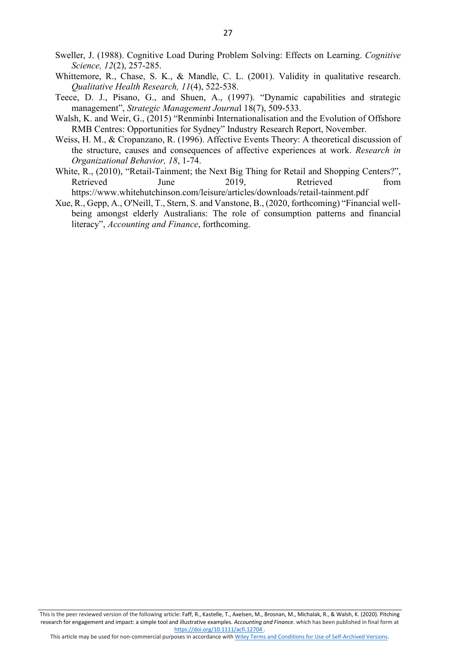- Sweller, J. (1988). Cognitive Load During Problem Solving: Effects on Learning. *Cognitive Science, 12*(2), 257-285.
- Whittemore, R., Chase, S. K., & Mandle, C. L. (2001). Validity in qualitative research. *Qualitative Health Research, 11*(4), 522-538.
- Teece, D. J., Pisano, G., and Shuen, A., (1997). "Dynamic capabilities and strategic management", *Strategic Management Journa*l 18(7), 509-533.
- Walsh, K. and Weir, G., (2015) "Renminbi Internationalisation and the Evolution of Offshore RMB Centres: Opportunities for Sydney" Industry Research Report, November.
- Weiss, H. M., & Cropanzano, R. (1996). Affective Events Theory: A theoretical discussion of the structure, causes and consequences of affective experiences at work. *Research in Organizational Behavior, 18*, 1-74.
- White, R., (2010), "Retail-Tainment; the Next Big Thing for Retail and Shopping Centers?",<br>Retrieved June 2019. Retrieved from Retrieved June 2019, Retrieved from <https://www.whitehutchinson.com/leisure/articles/downloads/retail-tainment.pdf>
- Xue, R., Gepp, A., O'Neill, T., Stern, S. and Vanstone, B., (2020, forthcoming) "Financial well‐ being amongst elderly Australians: The role of consumption patterns and financial literacy", *Accounting and Finance*, forthcoming.

This is the peer reviewed version of the following article: Faff, R., Kastelle, T., Axelsen, M., Brosnan, M., Michalak, R., & Walsh, K. (2020). Pitching research for engagement and impact: a simple tool and illustrative examples. *Accounting and Finance*. which has been published in final form at <https://doi.org/10.1111/acfi.12704>.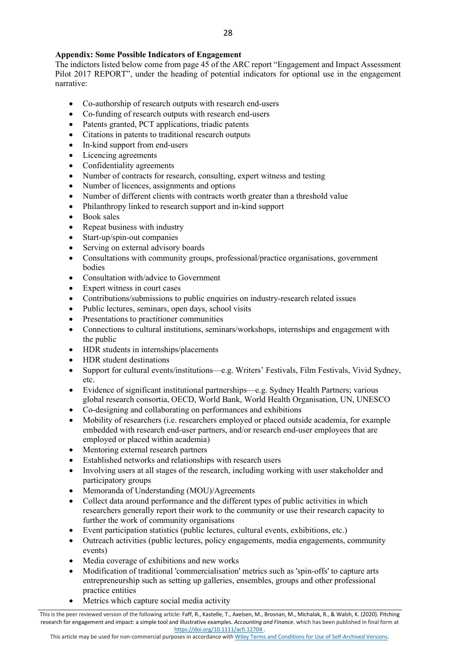## **Appendix: Some Possible Indicators of Engagement**

The indictors listed below come from page 45 of the ARC report "Engagement and Impact Assessment Pilot 2017 REPORT", under the heading of potential indicators for optional use in the engagement narrative:

- Co-authorship of research outputs with research end-users
- Co-funding of research outputs with research end-users
- Patents granted, PCT applications, triadic patents
- Citations in patents to traditional research outputs
- In-kind support from end-users
- Licencing agreements
- Confidentiality agreements
- Number of contracts for research, consulting, expert witness and testing
- Number of licences, assignments and options
- Number of different clients with contracts worth greater than a threshold value
- Philanthropy linked to research support and in-kind support
- Book sales
- Repeat business with industry
- Start-up/spin-out companies
- Serving on external advisory boards
- Consultations with community groups, professional/practice organisations, government bodies
- Consultation with/advice to Government
- Expert witness in court cases
- Contributions/submissions to public enquiries on industry-research related issues
- Public lectures, seminars, open days, school visits
- Presentations to practitioner communities
- Connections to cultural institutions, seminars/workshops, internships and engagement with the public
- HDR students in internships/placements
- HDR student destinations
- Support for cultural events/institutions—e.g. Writers' Festivals, Film Festivals, Vivid Sydney, etc.
- Evidence of significant institutional partnerships—e.g. Sydney Health Partners; various global research consortia, OECD, World Bank, World Health Organisation, UN, UNESCO
- Co-designing and collaborating on performances and exhibitions
- Mobility of researchers (i.e. researchers employed or placed outside academia, for example embedded with research end-user partners, and/or research end-user employees that are employed or placed within academia)
- Mentoring external research partners
- Established networks and relationships with research users
- Involving users at all stages of the research, including working with user stakeholder and participatory groups
- Memoranda of Understanding (MOU)/Agreements
- Collect data around performance and the different types of public activities in which researchers generally report their work to the community or use their research capacity to further the work of community organisations
- Event participation statistics (public lectures, cultural events, exhibitions, etc.)
- Outreach activities (public lectures, policy engagements, media engagements, community events)
- Media coverage of exhibitions and new works
- Modification of traditional 'commercialisation' metrics such as 'spin-offs' to capture arts entrepreneurship such as setting up galleries, ensembles, groups and other professional practice entities
- Metrics which capture social media activity

This is the peer reviewed version of the following article: Faff, R., Kastelle, T., Axelsen, M., Brosnan, M., Michalak, R., & Walsh, K. (2020). Pitching research for engagement and impact: a simple tool and illustrative examples. *Accounting and Finance*. which has been published in final form at <https://doi.org/10.1111/acfi.12704> .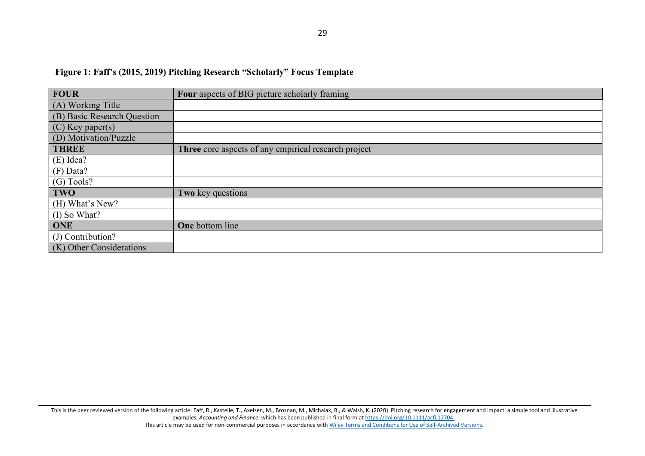# **Figure 1: Faff's (2015, 2019) Pitching Research "Scholarly" Focus Template**

| <b>FOUR</b>                 | <b>Four</b> aspects of BIG picture scholarly framing |
|-----------------------------|------------------------------------------------------|
| (A) Working Title           |                                                      |
| (B) Basic Research Question |                                                      |
| $(C)$ Key paper(s)          |                                                      |
| (D) Motivation/Puzzle       |                                                      |
| <b>THREE</b>                | Three core aspects of any empirical research project |
| $(E)$ Idea?                 |                                                      |
| (F) Data?                   |                                                      |
| (G) Tools?                  |                                                      |
| <b>TWO</b>                  | Two key questions                                    |
| (H) What's New?             |                                                      |
| $\sqrt{(I) So What?}$       |                                                      |
| <b>ONE</b>                  | <b>One</b> bottom line                               |
| $(J)$ Contribution?         |                                                      |
| (K) Other Considerations    |                                                      |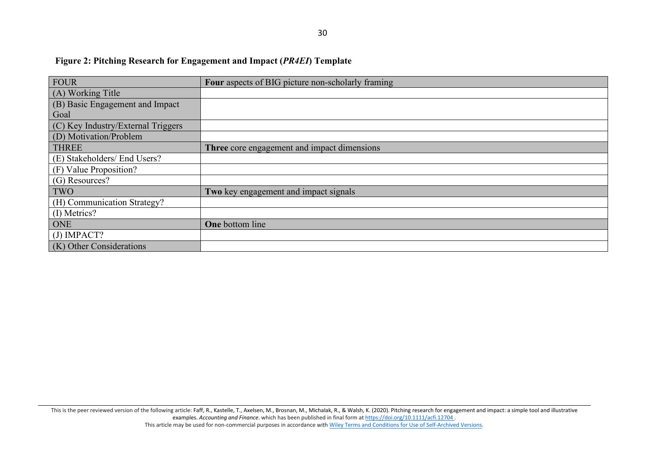# **Figure 2: Pitching Research for Engagement and Impact (***PR4EI***) Template**

| <b>FOUR</b>                        | <b>Four</b> aspects of BIG picture non-scholarly framing |
|------------------------------------|----------------------------------------------------------|
| (A) Working Title                  |                                                          |
| (B) Basic Engagement and Impact    |                                                          |
| Goal                               |                                                          |
| (C) Key Industry/External Triggers |                                                          |
| (D) Motivation/Problem             |                                                          |
| <b>THREE</b>                       | Three core engagement and impact dimensions              |
| (E) Stakeholders/ End Users?       |                                                          |
| (F) Value Proposition?             |                                                          |
| (G) Resources?                     |                                                          |
| <b>TWO</b>                         | Two key engagement and impact signals                    |
| (H) Communication Strategy?        |                                                          |
| (I) Metrics?                       |                                                          |
| <b>ONE</b>                         | <b>One</b> bottom line                                   |
| $(J)$ IMPACT?                      |                                                          |
| (K) Other Considerations           |                                                          |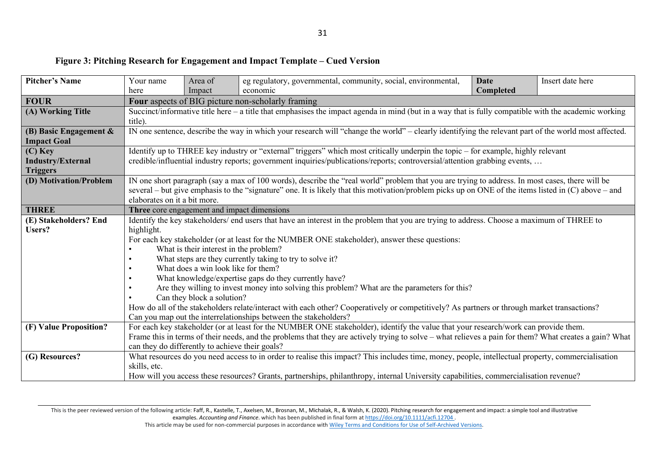| <b>Pitcher's Name</b>     | Your name                                                                                                                                                                                                 | Area of                                                                                                                                                | eg regulatory, governmental, community, social, environmental,                                                                                       | <b>Date</b> | Insert date here |
|---------------------------|-----------------------------------------------------------------------------------------------------------------------------------------------------------------------------------------------------------|--------------------------------------------------------------------------------------------------------------------------------------------------------|------------------------------------------------------------------------------------------------------------------------------------------------------|-------------|------------------|
|                           | here                                                                                                                                                                                                      | Impact                                                                                                                                                 | economic                                                                                                                                             | Completed   |                  |
| <b>FOUR</b>               |                                                                                                                                                                                                           | Four aspects of BIG picture non-scholarly framing                                                                                                      |                                                                                                                                                      |             |                  |
| (A) Working Title         |                                                                                                                                                                                                           | Succinct/informative title here $-$ a title that emphasises the impact agenda in mind (but in a way that is fully compatible with the academic working |                                                                                                                                                      |             |                  |
|                           | title).                                                                                                                                                                                                   |                                                                                                                                                        |                                                                                                                                                      |             |                  |
| (B) Basic Engagement $\&$ |                                                                                                                                                                                                           | IN one sentence, describe the way in which your research will "change the world" – clearly identifying the relevant part of the world most affected.   |                                                                                                                                                      |             |                  |
| <b>Impact Goal</b>        |                                                                                                                                                                                                           |                                                                                                                                                        |                                                                                                                                                      |             |                  |
| $(C)$ Key                 |                                                                                                                                                                                                           |                                                                                                                                                        | Identify up to THREE key industry or "external" triggers" which most critically underpin the topic – for example, highly relevant                    |             |                  |
| <b>Industry/External</b>  |                                                                                                                                                                                                           |                                                                                                                                                        | credible/influential industry reports; government inquiries/publications/reports; controversial/attention grabbing events,                           |             |                  |
| <b>Triggers</b>           |                                                                                                                                                                                                           |                                                                                                                                                        |                                                                                                                                                      |             |                  |
| (D) Motivation/Problem    |                                                                                                                                                                                                           | IN one short paragraph (say a max of 100 words), describe the "real world" problem that you are trying to address. In most cases, there will be        |                                                                                                                                                      |             |                  |
|                           |                                                                                                                                                                                                           |                                                                                                                                                        | several – but give emphasis to the "signature" one. It is likely that this motivation/problem picks up on ONE of the items listed in (C) above – and |             |                  |
|                           |                                                                                                                                                                                                           | elaborates on it a bit more.                                                                                                                           |                                                                                                                                                      |             |                  |
| <b>THREE</b>              |                                                                                                                                                                                                           | Three core engagement and impact dimensions                                                                                                            |                                                                                                                                                      |             |                  |
| (E) Stakeholders? End     |                                                                                                                                                                                                           | Identify the key stakeholders/ end users that have an interest in the problem that you are trying to address. Choose a maximum of THREE to             |                                                                                                                                                      |             |                  |
| Users?                    | highlight.                                                                                                                                                                                                |                                                                                                                                                        |                                                                                                                                                      |             |                  |
|                           | For each key stakeholder (or at least for the NUMBER ONE stakeholder), answer these questions:                                                                                                            |                                                                                                                                                        |                                                                                                                                                      |             |                  |
|                           | What is their interest in the problem?                                                                                                                                                                    |                                                                                                                                                        |                                                                                                                                                      |             |                  |
|                           | What steps are they currently taking to try to solve it?                                                                                                                                                  |                                                                                                                                                        |                                                                                                                                                      |             |                  |
|                           | What does a win look like for them?                                                                                                                                                                       |                                                                                                                                                        |                                                                                                                                                      |             |                  |
|                           | What knowledge/expertise gaps do they currently have?                                                                                                                                                     |                                                                                                                                                        |                                                                                                                                                      |             |                  |
|                           | Are they willing to invest money into solving this problem? What are the parameters for this?                                                                                                             |                                                                                                                                                        |                                                                                                                                                      |             |                  |
|                           | Can they block a solution?                                                                                                                                                                                |                                                                                                                                                        |                                                                                                                                                      |             |                  |
|                           | How do all of the stakeholders relate/interact with each other? Cooperatively or competitively? As partners or through market transactions?                                                               |                                                                                                                                                        |                                                                                                                                                      |             |                  |
| (F) Value Proposition?    | Can you map out the interrelationships between the stakeholders?<br>For each key stakeholder (or at least for the NUMBER ONE stakeholder), identify the value that your research/work can provide them.   |                                                                                                                                                        |                                                                                                                                                      |             |                  |
|                           |                                                                                                                                                                                                           |                                                                                                                                                        |                                                                                                                                                      |             |                  |
|                           | Frame this in terms of their needs, and the problems that they are actively trying to solve – what relieves a pain for them? What creates a gain? What<br>can they do differently to achieve their goals? |                                                                                                                                                        |                                                                                                                                                      |             |                  |
| (G) Resources?            |                                                                                                                                                                                                           |                                                                                                                                                        |                                                                                                                                                      |             |                  |
|                           | skills, etc.                                                                                                                                                                                              |                                                                                                                                                        | What resources do you need access to in order to realise this impact? This includes time, money, people, intellectual property, commercialisation    |             |                  |
|                           |                                                                                                                                                                                                           |                                                                                                                                                        |                                                                                                                                                      |             |                  |
|                           | How will you access these resources? Grants, partnerships, philanthropy, internal University capabilities, commercialisation revenue?                                                                     |                                                                                                                                                        |                                                                                                                                                      |             |                  |

This is the peer reviewed version of the following article: Faff, R., Kastelle, T., Axelsen, M., Brosnan, M., Michalak, R., & Walsh, K. (2020). Pitching research for engagement and impact: a simple tool and illustrative examples. *Accounting and Finance*. which has been published in final form a[t https://doi.org/10.1111/acfi.12704](https://doi.org/10.1111/acfi.12704) .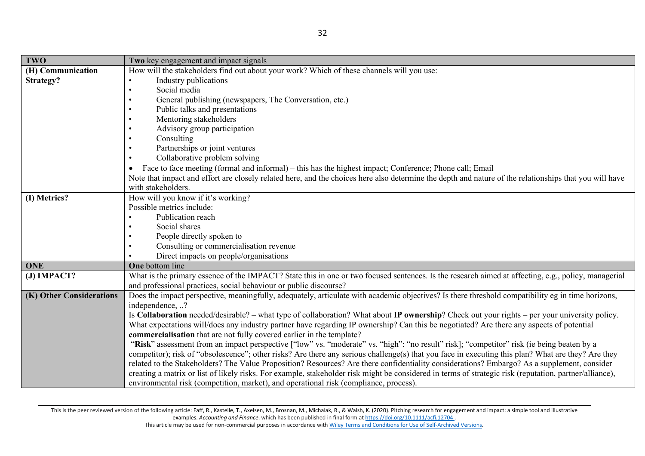| <b>TWO</b>               | Two key engagement and impact signals                                                                                                                   |
|--------------------------|---------------------------------------------------------------------------------------------------------------------------------------------------------|
| (H) Communication        | How will the stakeholders find out about your work? Which of these channels will you use:                                                               |
| Strategy?                | Industry publications                                                                                                                                   |
|                          | Social media<br>$\bullet$                                                                                                                               |
|                          | General publishing (newspapers, The Conversation, etc.)<br>$\bullet$                                                                                    |
|                          | Public talks and presentations<br>$\bullet$                                                                                                             |
|                          | Mentoring stakeholders<br>$\bullet$                                                                                                                     |
|                          | Advisory group participation                                                                                                                            |
|                          | Consulting                                                                                                                                              |
|                          | Partnerships or joint ventures                                                                                                                          |
|                          | Collaborative problem solving                                                                                                                           |
|                          | Face to face meeting (formal and informal) – this has the highest impact; Conference; Phone call; Email<br>$\bullet$                                    |
|                          | Note that impact and effort are closely related here, and the choices here also determine the depth and nature of the relationships that you will have  |
|                          | with stakeholders.                                                                                                                                      |
| (I) Metrics?             | How will you know if it's working?                                                                                                                      |
|                          | Possible metrics include:                                                                                                                               |
|                          | Publication reach<br>$\bullet$                                                                                                                          |
|                          | Social shares                                                                                                                                           |
|                          | People directly spoken to                                                                                                                               |
|                          | Consulting or commercialisation revenue                                                                                                                 |
|                          | Direct impacts on people/organisations                                                                                                                  |
| <b>ONE</b>               | <b>One</b> bottom line                                                                                                                                  |
| (J) IMPACT?              | What is the primary essence of the IMPACT? State this in one or two focused sentences. Is the research aimed at affecting, e.g., policy, managerial     |
|                          | and professional practices, social behaviour or public discourse?                                                                                       |
| (K) Other Considerations | Does the impact perspective, meaningfully, adequately, articulate with academic objectives? Is there threshold compatibility eg in time horizons,       |
|                          | independence, ?                                                                                                                                         |
|                          | Is Collaboration needed/desirable? – what type of collaboration? What about IP ownership? Check out your rights – per your university policy.           |
|                          | What expectations will/does any industry partner have regarding IP ownership? Can this be negotiated? Are there any aspects of potential                |
|                          | commercialisation that are not fully covered earlier in the template?                                                                                   |
|                          | "Risk" assessment from an impact perspective ["low" vs. "moderate" vs. "high": "no result" risk]; "competitor" risk (ie being beaten by a               |
|                          | competitor); risk of "obsolescence"; other risks? Are there any serious challenge(s) that you face in executing this plan? What are they? Are they      |
|                          | related to the Stakeholders? The Value Proposition? Resources? Are there confidentiality considerations? Embargo? As a supplement, consider             |
|                          | creating a matrix or list of likely risks. For example, stakeholder risk might be considered in terms of strategic risk (reputation, partner/alliance), |
|                          | environmental risk (competition, market), and operational risk (compliance, process).                                                                   |

This is the peer reviewed version of the following article: Faff, R., Kastelle, T., Axelsen, M., Brosnan, M., Michalak, R., & Walsh, K. (2020). Pitching research for engagement and impact: a simple tool and illustrative examples. *Accounting and Finance*. which has been published in final form a[t https://doi.org/10.1111/acfi.12704](https://doi.org/10.1111/acfi.12704). This article may be used for non-commercial purposes in accordance wit[h Wiley Terms and Conditions for Use of Self-Archived Versions.](https://authorservices.wiley.com/author-resources/Journal-Authors/licensing/self-archiving.html)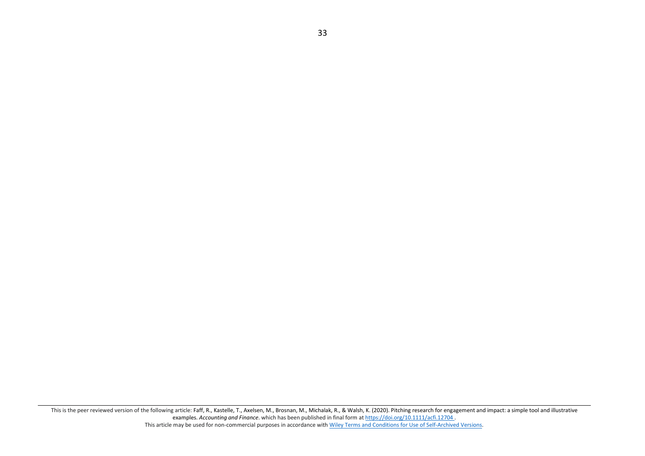This is the peer reviewed version of the following article: Faff, R., Kastelle, T., Axelsen, M., Brosnan, M., Michalak, R., & Walsh, K. (2020). Pitching research for engagement and impact: a simple tool and illustrative examples. *Accounting and Finance*. which has been published in final form a[t https://doi.org/10.1111/acfi.12704](https://doi.org/10.1111/acfi.12704). This article may be used for non-commercial purposes in accordance wit[h Wiley Terms and Conditions for Use of Self-Archived Versions.](https://authorservices.wiley.com/author-resources/Journal-Authors/licensing/self-archiving.html)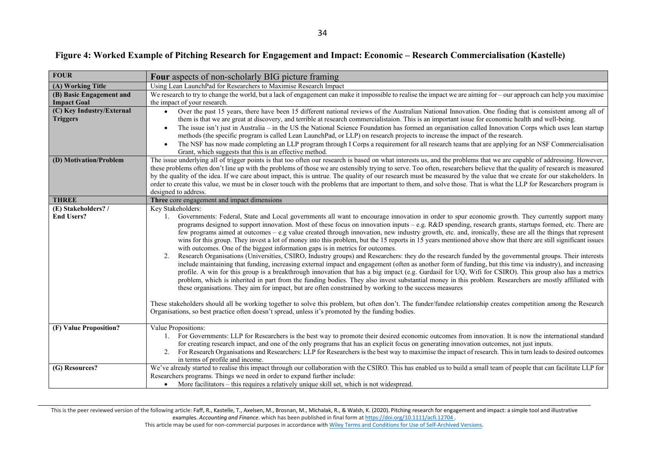# **Figure 4: Worked Example of Pitching Research for Engagement and Impact: Economic – Research Commercialisation (Kastelle)**

| <b>FOUR</b>                                  | <b>Four</b> aspects of non-scholarly BIG picture framing                                                                                                                                                                                                                                                                                                                                                                                                                                                                                                                                                                                                                                                                                                                                                                                                                                                                                                                                                                                                                                                                                                                                                                                                                                                                                                                                                                                                                                                                                                                                                                                                                                                                                                             |
|----------------------------------------------|----------------------------------------------------------------------------------------------------------------------------------------------------------------------------------------------------------------------------------------------------------------------------------------------------------------------------------------------------------------------------------------------------------------------------------------------------------------------------------------------------------------------------------------------------------------------------------------------------------------------------------------------------------------------------------------------------------------------------------------------------------------------------------------------------------------------------------------------------------------------------------------------------------------------------------------------------------------------------------------------------------------------------------------------------------------------------------------------------------------------------------------------------------------------------------------------------------------------------------------------------------------------------------------------------------------------------------------------------------------------------------------------------------------------------------------------------------------------------------------------------------------------------------------------------------------------------------------------------------------------------------------------------------------------------------------------------------------------------------------------------------------------|
| (A) Working Title                            | Using Lean LaunchPad for Researchers to Maximise Research Impact                                                                                                                                                                                                                                                                                                                                                                                                                                                                                                                                                                                                                                                                                                                                                                                                                                                                                                                                                                                                                                                                                                                                                                                                                                                                                                                                                                                                                                                                                                                                                                                                                                                                                                     |
| (B) Basic Engagement and                     | We research to try to change the world, but a lack of engagement can make it impossible to realise the impact we are aiming for – our approach can help you maximise                                                                                                                                                                                                                                                                                                                                                                                                                                                                                                                                                                                                                                                                                                                                                                                                                                                                                                                                                                                                                                                                                                                                                                                                                                                                                                                                                                                                                                                                                                                                                                                                 |
| <b>Impact Goal</b>                           | the impact of your research.                                                                                                                                                                                                                                                                                                                                                                                                                                                                                                                                                                                                                                                                                                                                                                                                                                                                                                                                                                                                                                                                                                                                                                                                                                                                                                                                                                                                                                                                                                                                                                                                                                                                                                                                         |
| (C) Key Industry/External<br><b>Triggers</b> | Over the past 15 years, there have been 15 different national reviews of the Australian National Innovation. One finding that is consistent among all of<br>them is that we are great at discovery, and terrible at research commercialistaion. This is an important issue for economic health and well-being.<br>The issue isn't just in Australia - in the US the National Science Foundation has formed an organisation called Innovation Corps which uses lean startup<br>methods (the specific program is called Lean LaunchPad, or LLP) on research projects to increase the impact of the research.<br>The NSF has now made completing an LLP program through I Corps a requirement for all research teams that are applying for an NSF Commercialisation<br>Grant, which suggests that this is an effective method.                                                                                                                                                                                                                                                                                                                                                                                                                                                                                                                                                                                                                                                                                                                                                                                                                                                                                                                                          |
| (D) Motivation/Problem                       | The issue underlying all of trigger points is that too often our research is based on what interests us, and the problems that we are capable of addressing. However,<br>these problems often don't line up with the problems of those we are ostensibly trying to serve. Too often, researchers believe that the quality of research is measured<br>by the quality of the idea. If we care about impact, this is untrue. The quality of our research must be measured by the value that we create for our stakeholders. In<br>order to create this value, we must be in closer touch with the problems that are important to them, and solve those. That is what the LLP for Researchers program is<br>designed to address.                                                                                                                                                                                                                                                                                                                                                                                                                                                                                                                                                                                                                                                                                                                                                                                                                                                                                                                                                                                                                                         |
| <b>THREE</b>                                 | Three core engagement and impact dimensions                                                                                                                                                                                                                                                                                                                                                                                                                                                                                                                                                                                                                                                                                                                                                                                                                                                                                                                                                                                                                                                                                                                                                                                                                                                                                                                                                                                                                                                                                                                                                                                                                                                                                                                          |
| (E) Stakeholders? /                          | Key Stakeholders:                                                                                                                                                                                                                                                                                                                                                                                                                                                                                                                                                                                                                                                                                                                                                                                                                                                                                                                                                                                                                                                                                                                                                                                                                                                                                                                                                                                                                                                                                                                                                                                                                                                                                                                                                    |
| <b>End Users?</b>                            | 1. Governments: Federal, State and Local governments all want to encourage innovation in order to spur economic growth. They currently support many<br>programs designed to support innovation. Most of these focus on innovation inputs – e.g. R&D spending, research grants, startups formed, etc. There are<br>few programs aimed at outcomes – e.g value created through innovation, new industry growth, etc. and, ironically, these are all the things that represent<br>wins for this group. They invest a lot of money into this problem, but the 15 reports in 15 years mentioned above show that there are still significant issues<br>with outcomes. One of the biggest information gaps is in metrics for outcomes.<br>Research Organisations (Universities, CSIRO, Industry groups) and Researchers: they do the research funded by the governmental groups. Their interests<br>2.<br>include maintaining that funding, increasing external impact and engagement (often as another form of funding, but this time via industry), and increasing<br>profile. A win for this group is a breakthrough innovation that has a big impact (e.g. Gardasil for UQ, Wifi for CSIRO). This group also has a metrics<br>problem, which is inherited in part from the funding bodies. They also invest substantial money in this problem. Researchers are mostly affiliated with<br>these organisations. They aim for impact, but are often constrained by working to the success measures<br>These stakeholders should all be working together to solve this problem, but often don't. The funder/fundee relationship creates competition among the Research<br>Organisations, so best practice often doesn't spread, unless it's promoted by the funding bodies. |
| (F) Value Proposition?                       | Value Propositions:<br>1. For Governments: LLP for Researchers is the best way to promote their desired economic outcomes from innovation. It is now the international standard<br>for creating research impact, and one of the only programs that has an explicit focus on generating innovation outcomes, not just inputs.<br>For Research Organisations and Researchers: LLP for Researchers is the best way to maximise the impact of research. This in turn leads to desired outcomes<br>in terms of profile and income.                                                                                                                                                                                                                                                                                                                                                                                                                                                                                                                                                                                                                                                                                                                                                                                                                                                                                                                                                                                                                                                                                                                                                                                                                                        |
| (G) Resources?                               | We've already started to realise this impact through our collaboration with the CSIRO. This has enabled us to build a small team of people that can facilitate LLP for<br>Researchers programs. Things we need in order to expand further include:<br>More facilitators – this requires a relatively unique skill set, which is not widespread.                                                                                                                                                                                                                                                                                                                                                                                                                                                                                                                                                                                                                                                                                                                                                                                                                                                                                                                                                                                                                                                                                                                                                                                                                                                                                                                                                                                                                      |

This is the peer reviewed version of the following article: Faff, R., Kastelle, T., Axelsen, M., Brosnan, M., Michalak, R., & Walsh, K. (2020). Pitching research for engagement and impact: a simple tool and illustrative examples. *Accounting and Finance*. which has been published in final form a[t https://doi.org/10.1111/acfi.12704](https://doi.org/10.1111/acfi.12704) .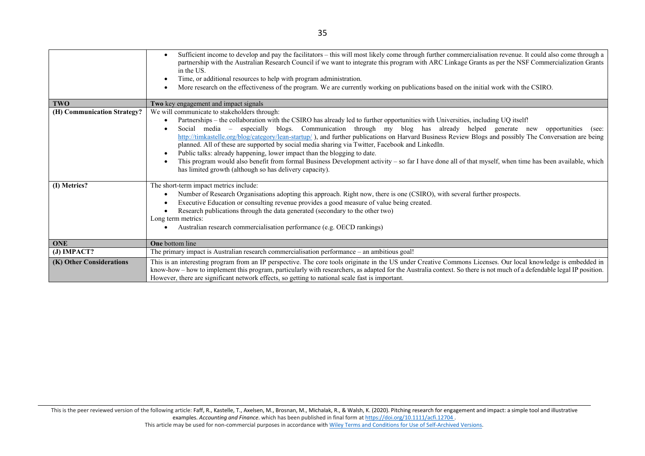|                             | Sufficient income to develop and pay the facilitators – this will most likely come through further commercialisation revenue. It could also come through a<br>partnership with the Australian Research Council if we want to integrate this program with ARC Linkage Grants as per the NSF Commercialization Grants<br>in the US.<br>Time, or additional resources to help with program administration.                                                                                                                                                                                                                                                                                                                                                                                                                                                                 |
|-----------------------------|-------------------------------------------------------------------------------------------------------------------------------------------------------------------------------------------------------------------------------------------------------------------------------------------------------------------------------------------------------------------------------------------------------------------------------------------------------------------------------------------------------------------------------------------------------------------------------------------------------------------------------------------------------------------------------------------------------------------------------------------------------------------------------------------------------------------------------------------------------------------------|
|                             | More research on the effectiveness of the program. We are currently working on publications based on the initial work with the CSIRO.                                                                                                                                                                                                                                                                                                                                                                                                                                                                                                                                                                                                                                                                                                                                   |
| <b>TWO</b>                  | Two key engagement and impact signals                                                                                                                                                                                                                                                                                                                                                                                                                                                                                                                                                                                                                                                                                                                                                                                                                                   |
| (H) Communication Strategy? | We will communicate to stakeholders through:<br>Partnerships – the collaboration with the CSIRO has already led to further opportunities with Universities, including UQ itself!<br>Social media - especially blogs. Communication through my blog has already helped generate new opportunities<br>(see:<br>http://timkastelle.org/blog/category/lean-startup/), and further publications on Harvard Business Review Blogs and possibly The Conversation are being<br>planned. All of these are supported by social media sharing via Twitter, Facebook and LinkedIn.<br>Public talks: already happening, lower impact than the blogging to date.<br>This program would also benefit from formal Business Development activity - so far I have done all of that myself, when time has been available, which<br>has limited growth (although so has delivery capacity). |
| (I) Metrics?                | The short-term impact metrics include:<br>Number of Research Organisations adopting this approach. Right now, there is one (CSIRO), with several further prospects.<br>Executive Education or consulting revenue provides a good measure of value being created.<br>Research publications through the data generated (secondary to the other two)<br>Long term metrics:<br>Australian research commercialisation performance (e.g. OECD rankings)                                                                                                                                                                                                                                                                                                                                                                                                                       |
| <b>ONE</b>                  | <b>One</b> bottom line                                                                                                                                                                                                                                                                                                                                                                                                                                                                                                                                                                                                                                                                                                                                                                                                                                                  |
| (J) IMPACT?                 | The primary impact is Australian research commercialisation performance - an ambitious goal!                                                                                                                                                                                                                                                                                                                                                                                                                                                                                                                                                                                                                                                                                                                                                                            |
| (K) Other Considerations    | This is an interesting program from an IP perspective. The core tools originate in the US under Creative Commons Licenses. Our local knowledge is embedded in<br>know-how - how to implement this program, particularly with researchers, as adapted for the Australia context. So there is not much of a defendable legal IP position.<br>However, there are significant network effects, so getting to national scale fast is important.                                                                                                                                                                                                                                                                                                                                                                                                                              |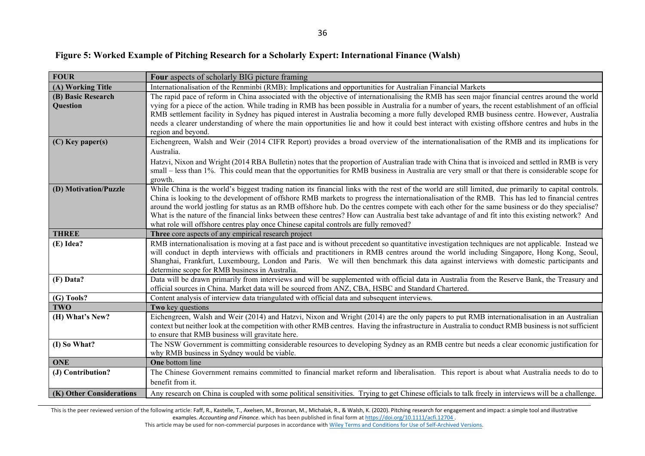# **Figure 5: Worked Example of Pitching Research for a Scholarly Expert: International Finance (Walsh)**

| <b>FOUR</b>              | Four aspects of scholarly BIG picture framing                                                                                                                                                                                                                                                          |
|--------------------------|--------------------------------------------------------------------------------------------------------------------------------------------------------------------------------------------------------------------------------------------------------------------------------------------------------|
| (A) Working Title        | Internationalisation of the Renminbi (RMB): Implications and opportunities for Australian Financial Markets                                                                                                                                                                                            |
| (B) Basic Research       | The rapid pace of reform in China associated with the objective of internationalising the RMB has seen major financial centres around the world                                                                                                                                                        |
| <b>Question</b>          | vying for a piece of the action. While trading in RMB has been possible in Australia for a number of years, the recent establishment of an official                                                                                                                                                    |
|                          | RMB settlement facility in Sydney has piqued interest in Australia becoming a more fully developed RMB business centre. However, Australia                                                                                                                                                             |
|                          | needs a clearer understanding of where the main opportunities lie and how it could best interact with existing offshore centres and hubs in the                                                                                                                                                        |
|                          | region and beyond.<br>Eichengreen, Walsh and Weir (2014 CIFR Report) provides a broad overview of the internationalisation of the RMB and its implications for                                                                                                                                         |
| (C) Key paper(s)         |                                                                                                                                                                                                                                                                                                        |
|                          | Australia.                                                                                                                                                                                                                                                                                             |
|                          | Hatzvi, Nixon and Wright (2014 RBA Bulletin) notes that the proportion of Australian trade with China that is invoiced and settled in RMB is very<br>small – less than 1%. This could mean that the opportunities for RMB business in Australia are very small or that there is considerable scope for |
|                          | growth.                                                                                                                                                                                                                                                                                                |
| (D) Motivation/Puzzle    | While China is the world's biggest trading nation its financial links with the rest of the world are still limited, due primarily to capital controls.                                                                                                                                                 |
|                          | China is looking to the development of offshore RMB markets to progress the internationalisation of the RMB. This has led to financial centres                                                                                                                                                         |
|                          | around the world jostling for status as an RMB offshore hub. Do the centres compete with each other for the same business or do they specialise?                                                                                                                                                       |
|                          | What is the nature of the financial links between these centres? How can Australia best take advantage of and fit into this existing network? And                                                                                                                                                      |
|                          | what role will offshore centres play once Chinese capital controls are fully removed?                                                                                                                                                                                                                  |
| <b>THREE</b>             | Three core aspects of any empirical research project                                                                                                                                                                                                                                                   |
| (E) Idea?                | RMB internationalisation is moving at a fast pace and is without precedent so quantitative investigation techniques are not applicable. Instead we                                                                                                                                                     |
|                          | will conduct in depth interviews with officials and practitioners in RMB centres around the world including Singapore, Hong Kong, Seoul,                                                                                                                                                               |
|                          | Shanghai, Frankfurt, Luxembourg, London and Paris. We will then benchmark this data against interviews with domestic participants and<br>determine scope for RMB business in Australia.                                                                                                                |
| (F) Data?                | Data will be drawn primarily from interviews and will be supplemented with official data in Australia from the Reserve Bank, the Treasury and                                                                                                                                                          |
|                          | official sources in China. Market data will be sourced from ANZ, CBA, HSBC and Standard Chartered.                                                                                                                                                                                                     |
| (G) Tools?               | Content analysis of interview data triangulated with official data and subsequent interviews.                                                                                                                                                                                                          |
| <b>TWO</b>               | Two key questions                                                                                                                                                                                                                                                                                      |
| (H) What's New?          | Eichengreen, Walsh and Weir (2014) and Hatzvi, Nixon and Wright (2014) are the only papers to put RMB internationalisation in an Australian                                                                                                                                                            |
|                          | context but neither look at the competition with other RMB centres. Having the infrastructure in Australia to conduct RMB business is not sufficient                                                                                                                                                   |
|                          | to ensure that RMB business will gravitate here.                                                                                                                                                                                                                                                       |
| (I) So What?             | The NSW Government is committing considerable resources to developing Sydney as an RMB centre but needs a clear economic justification for                                                                                                                                                             |
|                          | why RMB business in Sydney would be viable.                                                                                                                                                                                                                                                            |
| <b>ONE</b>               | <b>One</b> bottom line                                                                                                                                                                                                                                                                                 |
| (J) Contribution?        | The Chinese Government remains committed to financial market reform and liberalisation. This report is about what Australia needs to do to                                                                                                                                                             |
|                          | benefit from it.                                                                                                                                                                                                                                                                                       |
| (K) Other Considerations | Any research on China is coupled with some political sensitivities. Trying to get Chinese officials to talk freely in interviews will be a challenge.                                                                                                                                                  |

This is the peer reviewed version of the following article: Faff, R., Kastelle, T., Axelsen, M., Brosnan, M., Michalak, R., & Walsh, K. (2020). Pitching research for engagement and impact: a simple tool and illustrative examples. *Accounting and Finance*. which has been published in final form a[t https://doi.org/10.1111/acfi.12704](https://doi.org/10.1111/acfi.12704) .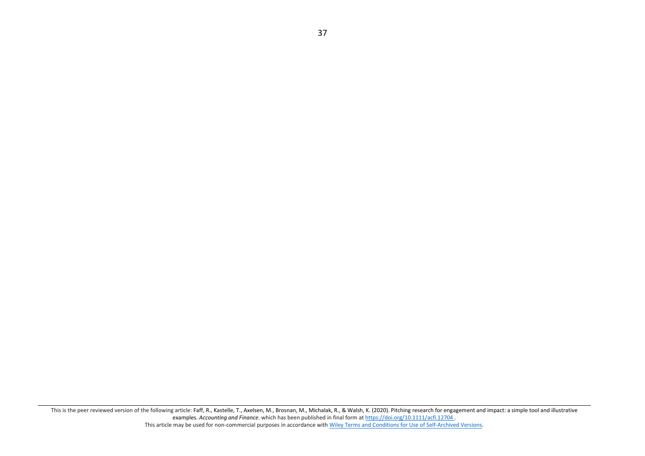This is the peer reviewed version of the following article: Faff, R., Kastelle, T., Axelsen, M., Brosnan, M., Michalak, R., & Walsh, K. (2020). Pitching research for engagement and impact: a simple tool and illustrative examples. *Accounting and Finance*. which has been published in final form a[t https://doi.org/10.1111/acfi.12704](https://doi.org/10.1111/acfi.12704). This article may be used for non-commercial purposes in accordance wit[h Wiley Terms and Conditions for Use of Self-Archived Versions.](https://authorservices.wiley.com/author-resources/Journal-Authors/licensing/self-archiving.html)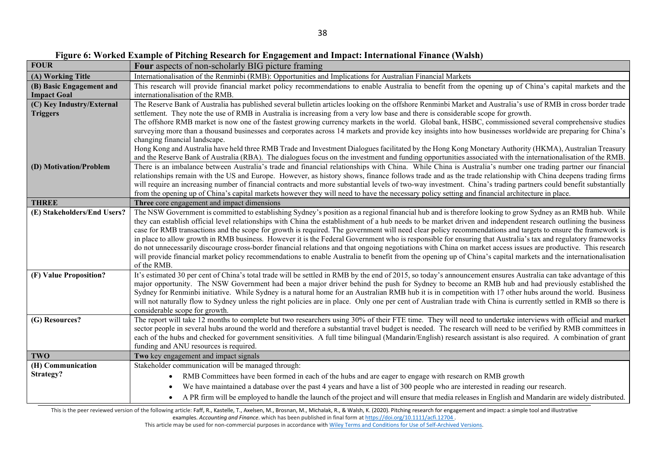| <b>FOUR</b>                 | Four aspects of non-scholarly BIG picture framing                                                                                                                                                                                                                                                                                |
|-----------------------------|----------------------------------------------------------------------------------------------------------------------------------------------------------------------------------------------------------------------------------------------------------------------------------------------------------------------------------|
| (A) Working Title           | Internationalisation of the Renminbi (RMB): Opportunities and Implications for Australian Financial Markets                                                                                                                                                                                                                      |
| (B) Basic Engagement and    | This research will provide financial market policy recommendations to enable Australia to benefit from the opening up of China's capital markets and the                                                                                                                                                                         |
| <b>Impact Goal</b>          | internationalisation of the RMB.                                                                                                                                                                                                                                                                                                 |
| (C) Key Industry/External   | The Reserve Bank of Australia has published several bulletin articles looking on the offshore Renminbi Market and Australia's use of RMB in cross border trade                                                                                                                                                                   |
| <b>Triggers</b>             | settlement. They note the use of RMB in Australia is increasing from a very low base and there is considerable scope for growth.                                                                                                                                                                                                 |
|                             | The offshore RMB market is now one of the fastest growing currency markets in the world. Global bank, HSBC, commissioned several comprehensive studies<br>surveying more than a thousand businesses and corporates across 14 markets and provide key insights into how businesses worldwide are preparing for China's            |
|                             | changing financial landscape.                                                                                                                                                                                                                                                                                                    |
|                             | Hong Kong and Australia have held three RMB Trade and Investment Dialogues facilitated by the Hong Kong Monetary Authority (HKMA), Australian Treasury                                                                                                                                                                           |
|                             | and the Reserve Bank of Australia (RBA). The dialogues focus on the investment and funding opportunities associated with the internationalisation of the RMB.                                                                                                                                                                    |
| (D) Motivation/Problem      | There is an imbalance between Australia's trade and financial relationships with China. While China is Australia's number one trading partner our financial                                                                                                                                                                      |
|                             | relationships remain with the US and Europe. However, as history shows, finance follows trade and as the trade relationship with China deepens trading firms                                                                                                                                                                     |
|                             | will require an increasing number of financial contracts and more substantial levels of two-way investment. China's trading partners could benefit substantially                                                                                                                                                                 |
|                             | from the opening up of China's capital markets however they will need to have the necessary policy setting and financial architecture in place.                                                                                                                                                                                  |
| <b>THREE</b>                | Three core engagement and impact dimensions                                                                                                                                                                                                                                                                                      |
| (E) Stakeholders/End Users? | The NSW Government is committed to establishing Sydney's position as a regional financial hub and is therefore looking to grow Sydney as an RMB hub. While                                                                                                                                                                       |
|                             | they can establish official level relationships with China the establishment of a hub needs to be market driven and independent research outlining the business                                                                                                                                                                  |
|                             | case for RMB transactions and the scope for growth is required. The government will need clear policy recommendations and targets to ensure the framework is                                                                                                                                                                     |
|                             | in place to allow growth in RMB business. However it is the Federal Government who is responsible for ensuring that Australia's tax and regulatory frameworks<br>do not unnecessarily discourage cross-border financial relations and that ongoing negotiations with China on market access issues are productive. This research |
|                             | will provide financial market policy recommendations to enable Australia to benefit from the opening up of China's capital markets and the internationalisation                                                                                                                                                                  |
|                             | of the RMB.                                                                                                                                                                                                                                                                                                                      |
| (F) Value Proposition?      | It's estimated 30 per cent of China's total trade will be settled in RMB by the end of 2015, so today's announcement ensures Australia can take advantage of this                                                                                                                                                                |
|                             | major opportunity. The NSW Government had been a major driver behind the push for Sydney to become an RMB hub and had previously established the                                                                                                                                                                                 |
|                             | Sydney for Renminbi initiative. While Sydney is a natural home for an Australian RMB hub it is in competition with 17 other hubs around the world. Business                                                                                                                                                                      |
|                             | will not naturally flow to Sydney unless the right policies are in place. Only one per cent of Australian trade with China is currently settled in RMB so there is                                                                                                                                                               |
|                             | considerable scope for growth.                                                                                                                                                                                                                                                                                                   |
| (G) Resources?              | The report will take 12 months to complete but two researchers using 30% of their FTE time. They will need to undertake interviews with official and market<br>sector people in several hubs around the world and therefore a substantial travel budget is needed. The research will need to be verified by RMB committees in    |
|                             | each of the hubs and checked for government sensitivities. A full time bilingual (Mandarin/English) research assistant is also required. A combination of grant                                                                                                                                                                  |
|                             | funding and ANU resources is required.                                                                                                                                                                                                                                                                                           |
| <b>TWO</b>                  | Two key engagement and impact signals                                                                                                                                                                                                                                                                                            |
| (H) Communication           | Stakeholder communication will be managed through:                                                                                                                                                                                                                                                                               |
| Strategy?                   | RMB Committees have been formed in each of the hubs and are eager to engage with research on RMB growth                                                                                                                                                                                                                          |
|                             | We have maintained a database over the past 4 years and have a list of 300 people who are interested in reading our research.                                                                                                                                                                                                    |
|                             | A PR firm will be employed to handle the launch of the project and will ensure that media releases in English and Mandarin are widely distributed.                                                                                                                                                                               |
|                             |                                                                                                                                                                                                                                                                                                                                  |

**Figure 6: Worked Example of Pitching Research for Engagement and Impact: International Finance (Walsh)**

This is the peer reviewed version of the following article: Faff, R., Kastelle, T., Axelsen, M., Brosnan, M., Michalak, R., & Walsh, K. (2020). Pitching research for engagement and impact: a simple tool and illustrative examples. *Accounting and Finance*. which has been published in final form a[t https://doi.org/10.1111/acfi.12704](https://doi.org/10.1111/acfi.12704) .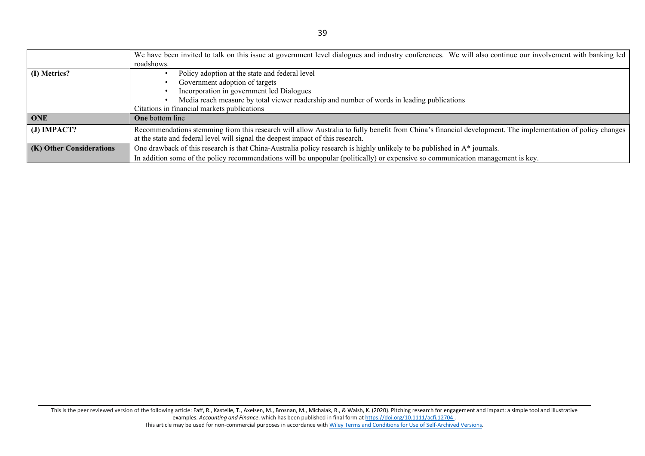|                          | We have been invited to talk on this issue at government level dialogues and industry conferences. We will also continue our involvement with banking led  |
|--------------------------|------------------------------------------------------------------------------------------------------------------------------------------------------------|
|                          | roadshows.                                                                                                                                                 |
| (I) Metrics?             | Policy adoption at the state and federal level                                                                                                             |
|                          | Government adoption of targets                                                                                                                             |
|                          | Incorporation in government led Dialogues                                                                                                                  |
|                          | Media reach measure by total viewer readership and number of words in leading publications                                                                 |
|                          | Citations in financial markets publications                                                                                                                |
| <b>ONE</b>               | <b>One</b> bottom line                                                                                                                                     |
| (J) IMPACT?              | Recommendations stemming from this research will allow Australia to fully benefit from China's financial development. The implementation of policy changes |
|                          | at the state and federal level will signal the deepest impact of this research.                                                                            |
| (K) Other Considerations | One drawback of this research is that China-Australia policy research is highly unlikely to be published in $A^*$ journals.                                |
|                          | In addition some of the policy recommendations will be unpopular (politically) or expensive so communication management is key.                            |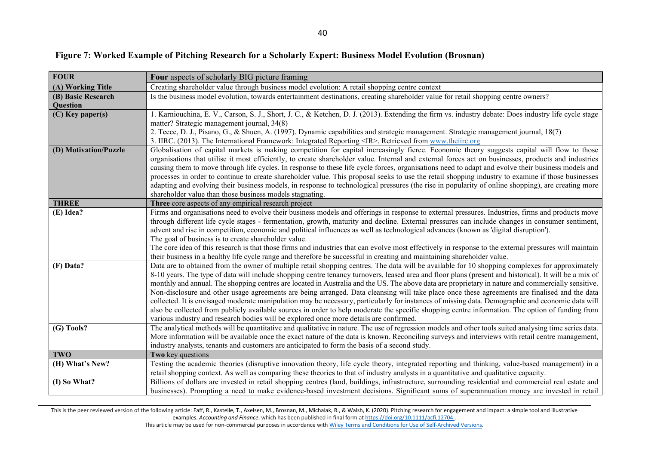# **Figure 7: Worked Example of Pitching Research for a Scholarly Expert: Business Model Evolution (Brosnan)**

| <b>FOUR</b>           | Four aspects of scholarly BIG picture framing                                                                                                                                                                                                                                                            |
|-----------------------|----------------------------------------------------------------------------------------------------------------------------------------------------------------------------------------------------------------------------------------------------------------------------------------------------------|
| (A) Working Title     | Creating shareholder value through business model evolution: A retail shopping centre context                                                                                                                                                                                                            |
| (B) Basic Research    | Is the business model evolution, towards entertainment destinations, creating shareholder value for retail shopping centre owners?                                                                                                                                                                       |
| Question              |                                                                                                                                                                                                                                                                                                          |
| (C) Key paper(s)      | 1. Karniouchina, E. V., Carson, S. J., Short, J. C., & Ketchen, D. J. (2013). Extending the firm vs. industry debate: Does industry life cycle stage                                                                                                                                                     |
|                       | matter? Strategic management journal, 34(8)                                                                                                                                                                                                                                                              |
|                       | 2. Teece, D. J., Pisano, G., & Shuen, A. (1997). Dynamic capabilities and strategic management. Strategic management journal, 18(7)                                                                                                                                                                      |
|                       | 3. IIRC. (2013). The International Framework: Integrated Reporting <ir>. Retrieved from www.theiirc.org</ir>                                                                                                                                                                                             |
| (D) Motivation/Puzzle | Globalisation of capital markets is making competition for capital increasingly fierce. Economic theory suggests capital will flow to those                                                                                                                                                              |
|                       | organisations that utilise it most efficiently, to create shareholder value. Internal and external forces act on businesses, products and industries                                                                                                                                                     |
|                       | causing them to move through life cycles. In response to these life cycle forces, organisations need to adapt and evolve their business models and<br>processes in order to continue to create shareholder value. This proposal seeks to use the retail shopping industry to examine if those businesses |
|                       | adapting and evolving their business models, in response to technological pressures (the rise in popularity of online shopping), are creating more                                                                                                                                                       |
|                       | shareholder value than those business models stagnating.                                                                                                                                                                                                                                                 |
| <b>THREE</b>          | Three core aspects of any empirical research project                                                                                                                                                                                                                                                     |
| (E) Idea?             | Firms and organisations need to evolve their business models and offerings in response to external pressures. Industries, firms and products move                                                                                                                                                        |
|                       | through different life cycle stages - fermentation, growth, maturity and decline. External pressures can include changes in consumer sentiment,                                                                                                                                                          |
|                       | advent and rise in competition, economic and political influences as well as technological advances (known as 'digital disruption').                                                                                                                                                                     |
|                       | The goal of business is to create shareholder value.                                                                                                                                                                                                                                                     |
|                       | The core idea of this research is that those firms and industries that can evolve most effectively in response to the external pressures will maintain                                                                                                                                                   |
|                       | their business in a healthy life cycle range and therefore be successful in creating and maintaining shareholder value.                                                                                                                                                                                  |
| (F) Data?             | Data are to obtained from the owner of multiple retail shopping centres. The data will be available for 10 shopping complexes for approximately                                                                                                                                                          |
|                       | 8-10 years. The type of data will include shopping centre tenancy turnovers, leased area and floor plans (present and historical). It will be a mix of                                                                                                                                                   |
|                       | monthly and annual. The shopping centres are located in Australia and the US. The above data are proprietary in nature and commercially sensitive.                                                                                                                                                       |
|                       | Non-disclosure and other usage agreements are being arranged. Data cleansing will take place once these agreements are finalised and the data                                                                                                                                                            |
|                       | collected. It is envisaged moderate manipulation may be necessary, particularly for instances of missing data. Demographic and economic data will                                                                                                                                                        |
|                       | also be collected from publicly available sources in order to help moderate the specific shopping centre information. The option of funding from<br>various industry and research bodies will be explored once more details are confirmed.                                                               |
| (G) Tools?            | The analytical methods will be quantitative and qualitative in nature. The use of regression models and other tools suited analysing time series data.                                                                                                                                                   |
|                       | More information will be available once the exact nature of the data is known. Reconciling surveys and interviews with retail centre management,                                                                                                                                                         |
|                       | industry analysts, tenants and customers are anticipated to form the basis of a second study.                                                                                                                                                                                                            |
| <b>TWO</b>            | Two key questions                                                                                                                                                                                                                                                                                        |
| (H) What's New?       | Testing the academic theories (disruptive innovation theory, life cycle theory, integrated reporting and thinking, value-based management) in a                                                                                                                                                          |
|                       | retail shopping context. As well as comparing these theories to that of industry analysts in a quantitative and qualitative capacity.                                                                                                                                                                    |
| (I) So What?          | Billions of dollars are invested in retail shopping centres (land, buildings, infrastructure, surrounding residential and commercial real estate and                                                                                                                                                     |
|                       | businesses). Prompting a need to make evidence-based investment decisions. Significant sums of superannuation money are invested in retail                                                                                                                                                               |

This is the peer reviewed version of the following article: Faff, R., Kastelle, T., Axelsen, M., Brosnan, M., Michalak, R., & Walsh, K. (2020). Pitching research for engagement and impact: a simple tool and illustrative examples. *Accounting and Finance*. which has been published in final form a[t https://doi.org/10.1111/acfi.12704](https://doi.org/10.1111/acfi.12704) .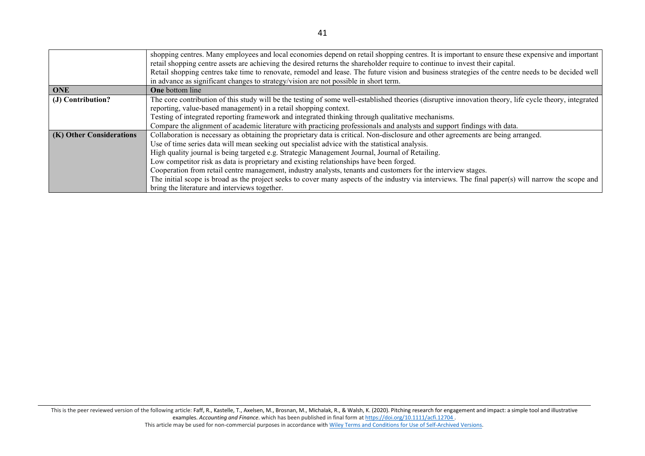|                          | shopping centres. Many employees and local economies depend on retail shopping centres. It is important to ensure these expensive and important        |  |
|--------------------------|--------------------------------------------------------------------------------------------------------------------------------------------------------|--|
|                          | retail shopping centre assets are achieving the desired returns the shareholder require to continue to invest their capital.                           |  |
|                          | Retail shopping centres take time to renovate, remodel and lease. The future vision and business strategies of the centre needs to be decided well     |  |
|                          | in advance as significant changes to strategy/vision are not possible in short term.                                                                   |  |
| <b>ONE</b>               | <b>One</b> bottom line                                                                                                                                 |  |
| (J) Contribution?        | The core contribution of this study will be the testing of some well-established theories (disruptive innovation theory, life cycle theory, integrated |  |
|                          | reporting, value-based management) in a retail shopping context.                                                                                       |  |
|                          | Testing of integrated reporting framework and integrated thinking through qualitative mechanisms.                                                      |  |
|                          | Compare the alignment of academic literature with practicing professionals and analysts and support findings with data.                                |  |
| (K) Other Considerations | Collaboration is necessary as obtaining the proprietary data is critical. Non-disclosure and other agreements are being arranged.                      |  |
|                          | Use of time series data will mean seeking out specialist advice with the statistical analysis.                                                         |  |
|                          | High quality journal is being targeted e.g. Strategic Management Journal, Journal of Retailing.                                                        |  |
|                          | Low competitor risk as data is proprietary and existing relationships have been forged.                                                                |  |
|                          | Cooperation from retail centre management, industry analysts, tenants and customers for the interview stages.                                          |  |
|                          | The initial scope is broad as the project seeks to cover many aspects of the industry via interviews. The final paper(s) will narrow the scope and     |  |
|                          | bring the literature and interviews together.                                                                                                          |  |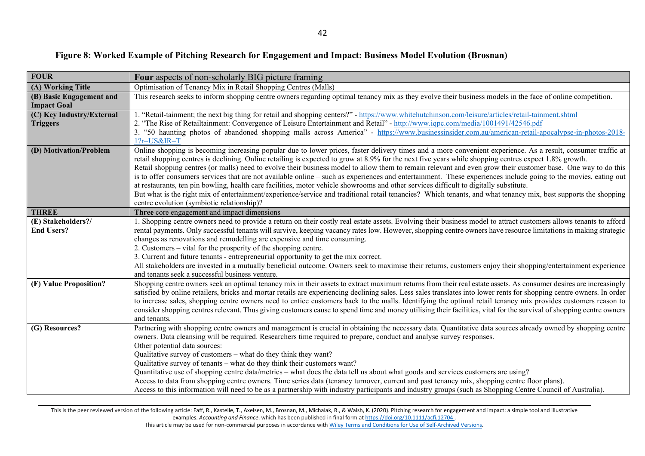# **Figure 8: Worked Example of Pitching Research for Engagement and Impact: Business Model Evolution (Brosnan)**

| <b>FOUR</b>                                    | Four aspects of non-scholarly BIG picture framing                                                                                                                                                                                                                                                                                                                                                                                                                                                                                                                                                                                                                                                                                                                                                                                                                                                                                                                                                                    |
|------------------------------------------------|----------------------------------------------------------------------------------------------------------------------------------------------------------------------------------------------------------------------------------------------------------------------------------------------------------------------------------------------------------------------------------------------------------------------------------------------------------------------------------------------------------------------------------------------------------------------------------------------------------------------------------------------------------------------------------------------------------------------------------------------------------------------------------------------------------------------------------------------------------------------------------------------------------------------------------------------------------------------------------------------------------------------|
| (A) Working Title                              | Optimisation of Tenancy Mix in Retail Shopping Centres (Malls)                                                                                                                                                                                                                                                                                                                                                                                                                                                                                                                                                                                                                                                                                                                                                                                                                                                                                                                                                       |
| (B) Basic Engagement and<br><b>Impact Goal</b> | This research seeks to inform shopping centre owners regarding optimal tenancy mix as they evolve their business models in the face of online competition.                                                                                                                                                                                                                                                                                                                                                                                                                                                                                                                                                                                                                                                                                                                                                                                                                                                           |
| (C) Key Industry/External<br><b>Triggers</b>   | 1. "Retail-tainment; the next big thing for retail and shopping centers?" - https://www.whitehutchinson.com/leisure/articles/retail-tainment.shtml<br>2. "The Rise of Retailtainment: Convergence of Leisure Entertainment and Retail" - http://www.iqpc.com/media/1001491/42546.pdf<br>3. "50 haunting photos of abandoned shopping malls across America" - https://www.businessinsider.com.au/american-retail-apocalypse-in-photos-2018-<br>$1?r = US&IR = T$                                                                                                                                                                                                                                                                                                                                                                                                                                                                                                                                                      |
| (D) Motivation/Problem                         | Online shopping is becoming increasing popular due to lower prices, faster delivery times and a more convenient experience. As a result, consumer traffic at<br>retail shopping centres is declining. Online retailing is expected to grow at 8.9% for the next five years while shopping centres expect 1.8% growth.<br>Retail shopping centres (or malls) need to evolve their business model to allow them to remain relevant and even grow their customer base. One way to do this<br>is to offer consumers services that are not available online – such as experiences and entertainment. These experiences include going to the movies, eating out<br>at restaurants, ten pin bowling, health care facilities, motor vehicle showrooms and other services difficult to digitally substitute.<br>But what is the right mix of entertainment/experience/service and traditional retail tenancies? Which tenants, and what tenancy mix, best supports the shopping<br>centre evolution (symbiotic relationship)? |
| <b>THREE</b>                                   | Three core engagement and impact dimensions                                                                                                                                                                                                                                                                                                                                                                                                                                                                                                                                                                                                                                                                                                                                                                                                                                                                                                                                                                          |
| (E) Stakeholders?/<br><b>End Users?</b>        | 1. Shopping centre owners need to provide a return on their costly real estate assets. Evolving their business model to attract customers allows tenants to afford<br>rental payments. Only successful tenants will survive, keeping vacancy rates low. However, shopping centre owners have resource limitations in making strategic<br>changes as renovations and remodelling are expensive and time consuming.<br>2. Customers – vital for the prosperity of the shopping centre.<br>3. Current and future tenants - entrepreneurial opportunity to get the mix correct.<br>All stakeholders are invested in a mutually beneficial outcome. Owners seek to maximise their returns, customers enjoy their shopping/entertainment experience<br>and tenants seek a successful business venture.                                                                                                                                                                                                                     |
| (F) Value Proposition?                         | Shopping centre owners seek an optimal tenancy mix in their assets to extract maximum returns from their real estate assets. As consumer desires are increasingly<br>satisfied by online retailers, bricks and mortar retails are experiencing declining sales. Less sales translates into lower rents for shopping centre owners. In order<br>to increase sales, shopping centre owners need to entice customers back to the malls. Identifying the optimal retail tenancy mix provides customers reason to<br>consider shopping centres relevant. Thus giving customers cause to spend time and money utilising their facilities, vital for the survival of shopping centre owners<br>and tenants.                                                                                                                                                                                                                                                                                                                 |
| (G) Resources?                                 | Partnering with shopping centre owners and management is crucial in obtaining the necessary data. Quantitative data sources already owned by shopping centre<br>owners. Data cleansing will be required. Researchers time required to prepare, conduct and analyse survey responses.<br>Other potential data sources:<br>Qualitative survey of customers - what do they think they want?<br>Qualitative survey of tenants - what do they think their customers want?<br>Quantitative use of shopping centre data/metrics – what does the data tell us about what goods and services customers are using?<br>Access to data from shopping centre owners. Time series data (tenancy turnover, current and past tenancy mix, shopping centre floor plans).<br>Access to this information will need to be as a partnership with industry participants and industry groups (such as Shopping Centre Council of Australia).                                                                                                |

This is the peer reviewed version of the following article: Faff, R., Kastelle, T., Axelsen, M., Brosnan, M., Michalak, R., & Walsh, K. (2020). Pitching research for engagement and impact: a simple tool and illustrative examples. *Accounting and Finance*. which has been published in final form a[t https://doi.org/10.1111/acfi.12704](https://doi.org/10.1111/acfi.12704) .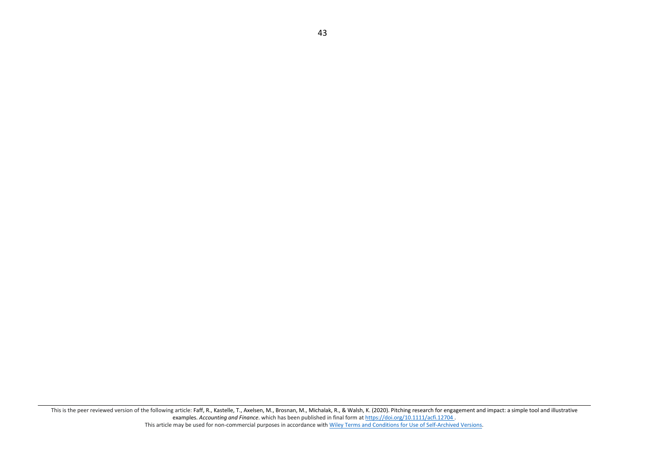This is the peer reviewed version of the following article: Faff, R., Kastelle, T., Axelsen, M., Brosnan, M., Michalak, R., & Walsh, K. (2020). Pitching research for engagement and impact: a simple tool and illustrative examples. *Accounting and Finance*. which has been published in final form a[t https://doi.org/10.1111/acfi.12704](https://doi.org/10.1111/acfi.12704). This article may be used for non-commercial purposes in accordance wit[h Wiley Terms and Conditions for Use of Self-Archived Versions.](https://authorservices.wiley.com/author-resources/Journal-Authors/licensing/self-archiving.html)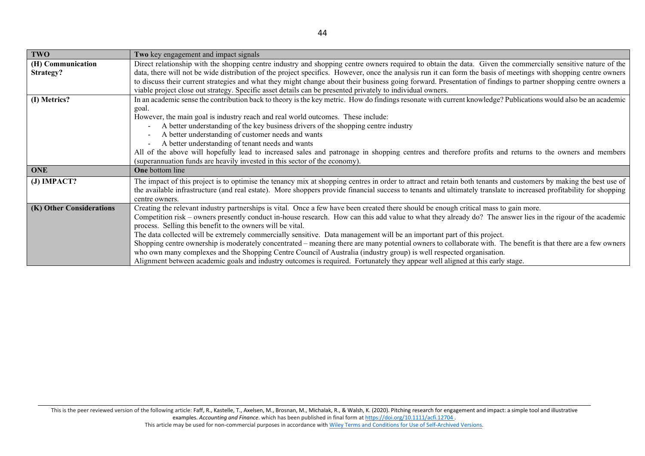| <b>TWO</b>               | Two key engagement and impact signals                                                                                                                               |
|--------------------------|---------------------------------------------------------------------------------------------------------------------------------------------------------------------|
| (H) Communication        | Direct relationship with the shopping centre industry and shopping centre owners required to obtain the data. Given the commercially sensitive nature of the        |
| Strategy?                | data, there will not be wide distribution of the project specifics. However, once the analysis run it can form the basis of meetings with shopping centre owners    |
|                          | to discuss their current strategies and what they might change about their business going forward. Presentation of findings to partner shopping centre owners a     |
|                          | viable project close out strategy. Specific asset details can be presented privately to individual owners.                                                          |
| (I) Metrics?             | In an academic sense the contribution back to theory is the key metric. How do findings resonate with current knowledge? Publications would also be an academic     |
|                          | goal.                                                                                                                                                               |
|                          | However, the main goal is industry reach and real world outcomes. These include:                                                                                    |
|                          | A better understanding of the key business drivers of the shopping centre industry                                                                                  |
|                          | A better understanding of customer needs and wants                                                                                                                  |
|                          | A better understanding of tenant needs and wants                                                                                                                    |
|                          | All of the above will hopefully lead to increased sales and patronage in shopping centres and therefore profits and returns to the owners and members               |
|                          | (superannuation funds are heavily invested in this sector of the economy).                                                                                          |
| <b>ONE</b>               | <b>One</b> bottom line                                                                                                                                              |
| (J) IMPACT?              | The impact of this project is to optimise the tenancy mix at shopping centres in order to attract and retain both tenants and customers by making the best use of   |
|                          | the available infrastructure (and real estate). More shoppers provide financial success to tenants and ultimately translate to increased profitability for shopping |
|                          | centre owners.                                                                                                                                                      |
| (K) Other Considerations | Creating the relevant industry partnerships is vital. Once a few have been created there should be enough critical mass to gain more.                               |
|                          | Competition risk – owners presently conduct in-house research. How can this add value to what they already do? The answer lies in the rigour of the academic        |
|                          | process. Selling this benefit to the owners will be vital.                                                                                                          |
|                          | The data collected will be extremely commercially sensitive. Data management will be an important part of this project.                                             |
|                          | Shopping centre ownership is moderately concentrated – meaning there are many potential owners to collaborate with. The benefit is that there are a few owners      |
|                          | who own many complexes and the Shopping Centre Council of Australia (industry group) is well respected organisation.                                                |
|                          | Alignment between academic goals and industry outcomes is required. Fortunately they appear well aligned at this early stage.                                       |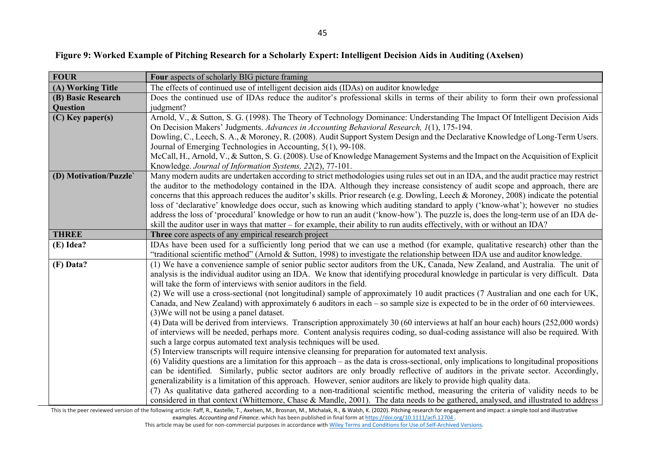**Figure 9: Worked Example of Pitching Research for a Scholarly Expert: Intelligent Decision Aids in Auditing (Axelsen)**

| <b>FOUR</b>            | Four aspects of scholarly BIG picture framing                                                                                                                                                               |
|------------------------|-------------------------------------------------------------------------------------------------------------------------------------------------------------------------------------------------------------|
| (A) Working Title      | The effects of continued use of intelligent decision aids (IDAs) on auditor knowledge                                                                                                                       |
| (B) Basic Research     | Does the continued use of IDAs reduce the auditor's professional skills in terms of their ability to form their own professional                                                                            |
| Question               | judgment?                                                                                                                                                                                                   |
| $(C)$ Key paper $(s)$  | Arnold, V., & Sutton, S. G. (1998). The Theory of Technology Dominance: Understanding The Impact Of Intelligent Decision Aids                                                                               |
|                        | On Decision Makers' Judgments. Advances in Accounting Behavioral Research, 1(1), 175-194.                                                                                                                   |
|                        | Dowling, C., Leech, S. A., & Moroney, R. (2008). Audit Support System Design and the Declarative Knowledge of Long-Term Users.                                                                              |
|                        | Journal of Emerging Technologies in Accounting, 5(1), 99-108.                                                                                                                                               |
|                        | McCall, H., Arnold, V., & Sutton, S. G. (2008). Use of Knowledge Management Systems and the Impact on the Acquisition of Explicit                                                                           |
|                        | Knowledge. Journal of Information Systems, 22(2), 77-101.                                                                                                                                                   |
| (D) Motivation/Puzzle` | Many modern audits are undertaken according to strict methodologies using rules set out in an IDA, and the audit practice may restrict                                                                      |
|                        | the auditor to the methodology contained in the IDA. Although they increase consistency of audit scope and approach, there are                                                                              |
|                        | concerns that this approach reduces the auditor's skills. Prior research (e.g. Dowling, Leech & Moroney, 2008) indicate the potential                                                                       |
|                        | loss of 'declarative' knowledge does occur, such as knowing which auditing standard to apply ('know-what'); however no studies                                                                              |
|                        | address the loss of 'procedural' knowledge or how to run an audit ('know-how'). The puzzle is, does the long-term use of an IDA de-                                                                         |
|                        | skill the auditor user in ways that matter – for example, their ability to run audits effectively, with or without an IDA?                                                                                  |
| <b>THREE</b>           | Three core aspects of any empirical research project                                                                                                                                                        |
| $(E)$ Idea?            | IDAs have been used for a sufficiently long period that we can use a method (for example, qualitative research) other than the                                                                              |
|                        | "traditional scientific method" (Arnold & Sutton, 1998) to investigate the relationship between IDA use and auditor knowledge.                                                                              |
| (F) Data?              | (1) We have a convenience sample of senior public sector auditors from the UK, Canada, New Zealand, and Australia. The unit of                                                                              |
|                        | analysis is the individual auditor using an IDA. We know that identifying procedural knowledge in particular is very difficult. Data<br>will take the form of interviews with senior auditors in the field. |
|                        | (2) We will use a cross-sectional (not longitudinal) sample of approximately 10 audit practices (7 Australian and one each for UK,                                                                          |
|                        | Canada, and New Zealand) with approximately 6 auditors in each $-$ so sample size is expected to be in the order of 60 interviewees.                                                                        |
|                        | (3) We will not be using a panel dataset.                                                                                                                                                                   |
|                        | (4) Data will be derived from interviews. Transcription approximately 30 (60 interviews at half an hour each) hours (252,000 words)                                                                         |
|                        | of interviews will be needed, perhaps more. Content analysis requires coding, so dual-coding assistance will also be required. With                                                                         |
|                        | such a large corpus automated text analysis techniques will be used.                                                                                                                                        |
|                        | (5) Interview transcripts will require intensive cleansing for preparation for automated text analysis.                                                                                                     |
|                        | (6) Validity questions are a limitation for this approach – as the data is cross-sectional, only implications to longitudinal propositions                                                                  |
|                        | can be identified. Similarly, public sector auditors are only broadly reflective of auditors in the private sector. Accordingly,                                                                            |
|                        | generalizability is a limitation of this approach. However, senior auditors are likely to provide high quality data.                                                                                        |
|                        | (7) As qualitative data gathered according to a non-traditional scientific method, measuring the criteria of validity needs to be                                                                           |
|                        | considered in that context (Whittemore, Chase & Mandle, 2001). The data needs to be gathered, analysed, and illustrated to address                                                                          |

This is the peer reviewed version of the following article: Faff, R., Kastelle, T., Axelsen, M., Brosnan, M., Michalak, R., & Walsh, K. (2020). Pitching research for engagement and impact: a simple tool and illustrative examples. *Accounting and Finance*. which has been published in final form a[t https://doi.org/10.1111/acfi.12704](https://doi.org/10.1111/acfi.12704) .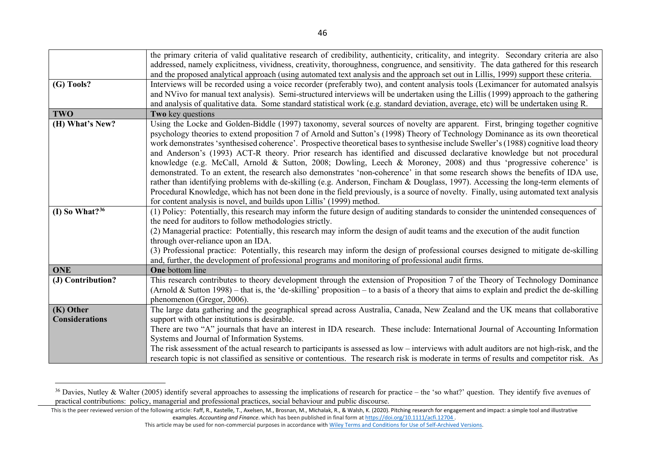<span id="page-46-0"></span>

|                       | the primary criteria of valid qualitative research of credibility, authenticity, criticality, and integrity. Secondary criteria are also  |
|-----------------------|-------------------------------------------------------------------------------------------------------------------------------------------|
|                       | addressed, namely explicitness, vividness, creativity, thoroughness, congruence, and sensitivity. The data gathered for this research     |
|                       | and the proposed analytical approach (using automated text analysis and the approach set out in Lillis, 1999) support these criteria.     |
| (G) Tools?            | Interviews will be recorded using a voice recorder (preferably two), and content analysis tools (Leximancer for automated analysis        |
|                       | and NVivo for manual text analysis). Semi-structured interviews will be undertaken using the Lillis (1999) approach to the gathering      |
|                       | and analysis of qualitative data. Some standard statistical work (e.g. standard deviation, average, etc) will be undertaken using R.      |
| <b>TWO</b>            | Two key questions                                                                                                                         |
| (H) What's New?       | Using the Locke and Golden-Biddle (1997) taxonomy, several sources of novelty are apparent. First, bringing together cognitive            |
|                       | psychology theories to extend proposition 7 of Arnold and Sutton's (1998) Theory of Technology Dominance as its own theoretical           |
|                       | work demonstrates 'synthesised coherence'. Prospective theoretical bases to synthesise include Sweller's (1988) cognitive load theory     |
|                       | and Anderson's (1993) ACT-R theory. Prior research has identified and discussed declarative knowledge but not procedural                  |
|                       | knowledge (e.g. McCall, Arnold & Sutton, 2008; Dowling, Leech & Moroney, 2008) and thus 'progressive coherence' is                        |
|                       | demonstrated. To an extent, the research also demonstrates 'non-coherence' in that some research shows the benefits of IDA use,           |
|                       | rather than identifying problems with de-skilling (e.g. Anderson, Fincham & Douglass, 1997). Accessing the long-term elements of          |
|                       | Procedural Knowledge, which has not been done in the field previously, is a source of novelty. Finally, using automated text analysis     |
|                       | for content analysis is novel, and builds upon Lillis' (1999) method.                                                                     |
| (I) So What? $36$     | (1) Policy: Potentially, this research may inform the future design of auditing standards to consider the unintended consequences of      |
|                       | the need for auditors to follow methodologies strictly.                                                                                   |
|                       | (2) Managerial practice: Potentially, this research may inform the design of audit teams and the execution of the audit function          |
|                       | through over-reliance upon an IDA.                                                                                                        |
|                       | (3) Professional practice: Potentially, this research may inform the design of professional courses designed to mitigate de-skilling      |
|                       | and, further, the development of professional programs and monitoring of professional audit firms.                                        |
| <b>ONE</b>            | <b>One</b> bottom line                                                                                                                    |
| (J) Contribution?     | This research contributes to theory development through the extension of Proposition 7 of the Theory of Technology Dominance              |
|                       | (Arnold & Sutton 1998) – that is, the 'de-skilling' proposition – to a basis of a theory that aims to explain and predict the de-skilling |
|                       | phenomenon (Gregor, 2006).                                                                                                                |
| (K) Other             | The large data gathering and the geographical spread across Australia, Canada, New Zealand and the UK means that collaborative            |
| <b>Considerations</b> | support with other institutions is desirable.                                                                                             |
|                       | There are two "A" journals that have an interest in IDA research. These include: International Journal of Accounting Information          |
|                       | Systems and Journal of Information Systems.                                                                                               |
|                       | The risk assessment of the actual research to participants is assessed as low - interviews with adult auditors are not high-risk, and the |
|                       | research topic is not classified as sensitive or contentious. The research risk is moderate in terms of results and competitor risk. As   |

<sup>&</sup>lt;sup>36</sup> Davies, Nutley & Walter (2005) identify several approaches to assessing the implications of research for practice – the 'so what?' question. They identify five avenues of practical contributions: policy, managerial and professional practices, social behaviour and public discourse.

This is the peer reviewed version of the following article: Faff, R., Kastelle, T., Axelsen, M., Brosnan, M., Michalak, R., & Walsh, K. (2020). Pitching research for engagement and impact: a simple tool and illustrative examples. *Accounting and Finance*. which has been published in final form a[t https://doi.org/10.1111/acfi.12704](https://doi.org/10.1111/acfi.12704).

This article may be used for non-commercial purposes in accordance wit[h Wiley Terms and Conditions for Use of Self-Archived Versions.](https://authorservices.wiley.com/author-resources/Journal-Authors/licensing/self-archiving.html)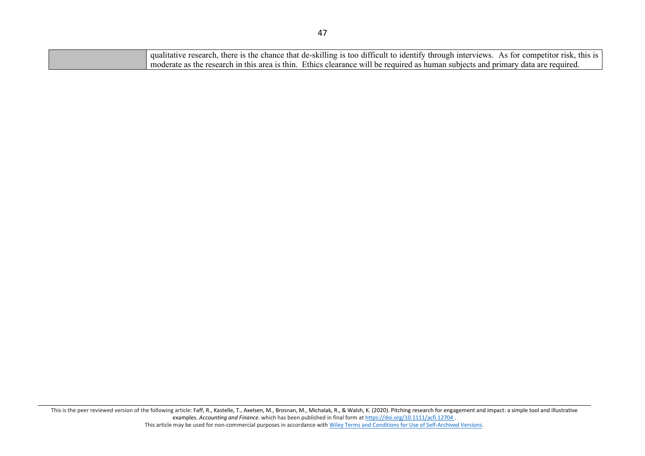| 4 qualitative research, there is the chance that de-skilling is too difficult to identify through interviews. As for competitor risk, this is |  |
|-----------------------------------------------------------------------------------------------------------------------------------------------|--|
| moderate as the research in this area is thin. Ethics clearance will be required as human subjects and primary data are required.             |  |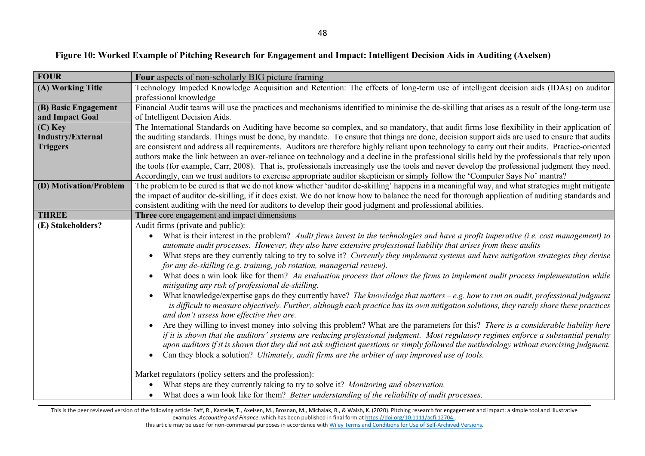# **Figure 10: Worked Example of Pitching Research for Engagement and Impact: Intelligent Decision Aids in Auditing (Axelsen)**

| Four aspects of non-scholarly BIG picture framing                                                                                                 |
|---------------------------------------------------------------------------------------------------------------------------------------------------|
| Technology Impeded Knowledge Acquisition and Retention: The effects of long-term use of intelligent decision aids (IDAs) on auditor               |
| professional knowledge                                                                                                                            |
| Financial Audit teams will use the practices and mechanisms identified to minimise the de-skilling that arises as a result of the long-term use   |
| of Intelligent Decision Aids.                                                                                                                     |
| The International Standards on Auditing have become so complex, and so mandatory, that audit firms lose flexibility in their application of       |
| the auditing standards. Things must be done, by mandate. To ensure that things are done, decision support aids are used to ensure that audits     |
| are consistent and address all requirements. Auditors are therefore highly reliant upon technology to carry out their audits. Practice-oriented   |
| authors make the link between an over-reliance on technology and a decline in the professional skills held by the professionals that rely upon    |
| the tools (for example, Carr, 2008). That is, professionals increasingly use the tools and never develop the professional judgment they need.     |
| Accordingly, can we trust auditors to exercise appropriate auditor skepticism or simply follow the 'Computer Says No' mantra?                     |
| The problem to be cured is that we do not know whether 'auditor de-skilling' happens in a meaningful way, and what strategies might mitigate      |
| the impact of auditor de-skilling, if it does exist. We do not know how to balance the need for thorough application of auditing standards and    |
| consistent auditing with the need for auditors to develop their good judgment and professional abilities.                                         |
| Three core engagement and impact dimensions                                                                                                       |
| Audit firms (private and public):                                                                                                                 |
| What is their interest in the problem? Audit firms invest in the technologies and have a profit imperative (i.e. cost management) to              |
| automate audit processes. However, they also have extensive professional liability that arises from these audits                                  |
| What steps are they currently taking to try to solve it? Currently they implement systems and have mitigation strategies they devise<br>$\bullet$ |
| for any de-skilling (e.g. training, job rotation, managerial review).                                                                             |
| What does a win look like for them? An evaluation process that allows the firms to implement audit process implementation while<br>$\bullet$      |
| mitigating any risk of professional de-skilling.                                                                                                  |
| What knowledge/expertise gaps do they currently have? The knowledge that matters $-e.g.$ how to run an audit, professional judgment<br>$\bullet$  |
| - is difficult to measure objectively. Further, although each practice has its own mitigation solutions, they rarely share these practices        |
| and don't assess how effective they are.                                                                                                          |
| Are they willing to invest money into solving this problem? What are the parameters for this? There is a considerable liability here<br>$\bullet$ |
| if it is shown that the auditors' systems are reducing professional judgment. Most regulatory regimes enforce a substantial penalty               |
| upon auditors if it is shown that they did not ask sufficient questions or simply followed the methodology without exercising judgment.           |
| Can they block a solution? Ultimately, audit firms are the arbiter of any improved use of tools.                                                  |
| Market regulators (policy setters and the profession):                                                                                            |
| What steps are they currently taking to try to solve it? Monitoring and observation.                                                              |
| • What does a win look like for them? Better understanding of the reliability of audit processes.                                                 |
|                                                                                                                                                   |

This is the peer reviewed version of the following article: Faff, R., Kastelle, T., Axelsen, M., Brosnan, M., Michalak, R., & Walsh, K. (2020). Pitching research for engagement and impact: a simple tool and illustrative examples. *Accounting and Finance*. which has been published in final form a[t https://doi.org/10.1111/acfi.12704](https://doi.org/10.1111/acfi.12704) .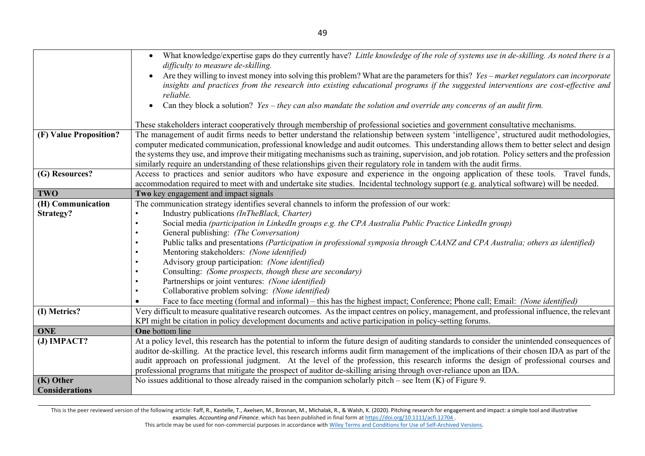|                        | What knowledge/expertise gaps do they currently have? Little knowledge of the role of systems use in de-skilling. As noted there is a            |
|------------------------|--------------------------------------------------------------------------------------------------------------------------------------------------|
|                        | difficulty to measure de-skilling.                                                                                                               |
|                        | Are they willing to invest money into solving this problem? What are the parameters for this? Yes – market regulators can incorporate            |
|                        | insights and practices from the research into existing educational programs if the suggested interventions are cost-effective and                |
|                        | reliable.                                                                                                                                        |
|                        | Can they block a solution? Yes - they can also mandate the solution and override any concerns of an audit firm.                                  |
|                        |                                                                                                                                                  |
|                        | These stakeholders interact cooperatively through membership of professional societies and government consultative mechanisms.                   |
| (F) Value Proposition? | The management of audit firms needs to better understand the relationship between system 'intelligence', structured audit methodologies,         |
|                        | computer medicated communication, professional knowledge and audit outcomes. This understanding allows them to better select and design          |
|                        | the systems they use, and improve their mitigating mechanisms such as training, supervision, and job rotation. Policy setters and the profession |
|                        | similarly require an understanding of these relationships given their regulatory role in tandem with the audit firms.                            |
| (G) Resources?         | Access to practices and senior auditors who have exposure and experience in the ongoing application of these tools. Travel funds,                |
|                        | accommodation required to meet with and undertake site studies. Incidental technology support (e.g. analytical software) will be needed.         |
| <b>TWO</b>             | Two key engagement and impact signals                                                                                                            |
| (H) Communication      | The communication strategy identifies several channels to inform the profession of our work:                                                     |
| Strategy?              | Industry publications (InTheBlack, Charter)<br>$\bullet$                                                                                         |
|                        | Social media (participation in LinkedIn groups e.g. the CPA Australia Public Practice LinkedIn group)<br>$\bullet$                               |
|                        | General publishing: (The Conversation)<br>$\bullet$                                                                                              |
|                        | Public talks and presentations (Participation in professional symposia through CAANZ and CPA Australia; others as identified)                    |
|                        | Mentoring stakeholders: (None identified)                                                                                                        |
|                        | Advisory group participation: (None identified)                                                                                                  |
|                        | Consulting: (Some prospects, though these are secondary)                                                                                         |
|                        | Partnerships or joint ventures: (None identified)<br>$\bullet$                                                                                   |
|                        | Collaborative problem solving: (None identified)<br>$\bullet$                                                                                    |
|                        | Face to face meeting (formal and informal) – this has the highest impact; Conference; Phone call; Email: (None identified)<br>$\bullet$          |
| (I) Metrics?           | Very difficult to measure qualitative research outcomes. As the impact centres on policy, management, and professional influence, the relevant   |
|                        | KPI might be citation in policy development documents and active participation in policy-setting forums.                                         |
| <b>ONE</b>             | <b>One</b> bottom line                                                                                                                           |
| (J) IMPACT?            | At a policy level, this research has the potential to inform the future design of auditing standards to consider the unintended consequences of  |
|                        | auditor de-skilling. At the practice level, this research informs audit firm management of the implications of their chosen IDA as part of the   |
|                        | audit approach on professional judgment. At the level of the profession, this research informs the design of professional courses and            |
|                        | professional programs that mitigate the prospect of auditor de-skilling arising through over-reliance upon an IDA.                               |
| (K) Other              | No issues additional to those already raised in the companion scholarly pitch – see Item $(K)$ of Figure 9.                                      |
| <b>Considerations</b>  |                                                                                                                                                  |

This is the peer reviewed version of the following article: Faff, R., Kastelle, T., Axelsen, M., Brosnan, M., Michalak, R., & Walsh, K. (2020). Pitching research for engagement and impact: a simple tool and illustrative examples. *Accounting and Finance*. which has been published in final form a[t https://doi.org/10.1111/acfi.12704](https://doi.org/10.1111/acfi.12704).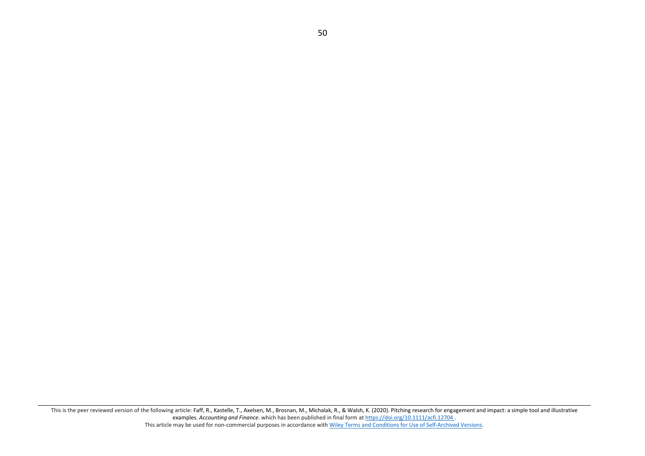This is the peer reviewed version of the following article: Faff, R., Kastelle, T., Axelsen, M., Brosnan, M., Michalak, R., & Walsh, K. (2020). Pitching research for engagement and impact: a simple tool and illustrative examples. *Accounting and Finance*. which has been published in final form a[t https://doi.org/10.1111/acfi.12704](https://doi.org/10.1111/acfi.12704). This article may be used for non-commercial purposes in accordance wit[h Wiley Terms and Conditions for Use of Self-Archived Versions.](https://authorservices.wiley.com/author-resources/Journal-Authors/licensing/self-archiving.html)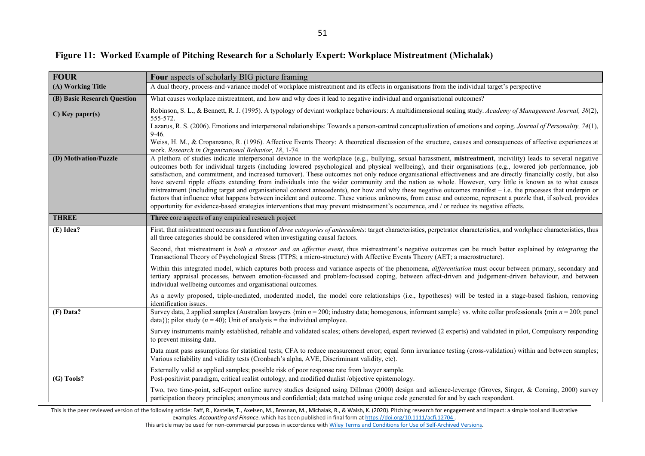# **Figure 11: Worked Example of Pitching Research for a Scholarly Expert: Workplace Mistreatment (Michalak)**

| <b>FOUR</b>                 | Four aspects of scholarly BIG picture framing                                                                                                                                                                                                                                                                                                                                                                                                                                                                                                                                                                                                                                                                                                                                                                                                                                                                                                                                                                                                                                                                                                                                                         |
|-----------------------------|-------------------------------------------------------------------------------------------------------------------------------------------------------------------------------------------------------------------------------------------------------------------------------------------------------------------------------------------------------------------------------------------------------------------------------------------------------------------------------------------------------------------------------------------------------------------------------------------------------------------------------------------------------------------------------------------------------------------------------------------------------------------------------------------------------------------------------------------------------------------------------------------------------------------------------------------------------------------------------------------------------------------------------------------------------------------------------------------------------------------------------------------------------------------------------------------------------|
| (A) Working Title           | A dual theory, process-and-variance model of workplace mistreatment and its effects in organisations from the individual target's perspective                                                                                                                                                                                                                                                                                                                                                                                                                                                                                                                                                                                                                                                                                                                                                                                                                                                                                                                                                                                                                                                         |
| (B) Basic Research Question | What causes workplace mistreatment, and how and why does it lead to negative individual and organisational outcomes?                                                                                                                                                                                                                                                                                                                                                                                                                                                                                                                                                                                                                                                                                                                                                                                                                                                                                                                                                                                                                                                                                  |
| C) Key paper(s)             | Robinson, S. L., & Bennett, R. J. (1995). A typology of deviant workplace behaviours: A multidimensional scaling study. Academy of Management Journal, 38(2),<br>555-572.<br>Lazarus, R. S. (2006). Emotions and interpersonal relationships: Towards a person-centred conceptualization of emotions and coping. Journal of Personality, 74(1),<br>$9-46.$<br>Weiss, H. M., & Cropanzano, R. (1996). Affective Events Theory: A theoretical discussion of the structure, causes and consequences of affective experiences at                                                                                                                                                                                                                                                                                                                                                                                                                                                                                                                                                                                                                                                                          |
| (D) Motivation/Puzzle       | work. Research in Organizational Behavior, 18, 1-74.<br>A plethora of studies indicate interpersonal deviance in the workplace (e.g., bullying, sexual harassment, mistreatment, incivility) leads to several negative<br>outcomes both for individual targets (including lowered psychological and physical wellbeing), and their organisations (e.g., lowered job performance, job<br>satisfaction, and commitment, and increased turnover). These outcomes not only reduce organisational effectiveness and are directly financially costly, but also<br>have several ripple effects extending from individuals into the wider community and the nation as whole. However, very little is known as to what causes<br>mistreatment (including target and organisational context antecedents), nor how and why these negative outcomes manifest – i.e. the processes that underpin or<br>factors that influence what happens between incident and outcome. These various unknowns, from cause and outcome, represent a puzzle that, if solved, provides<br>opportunity for evidence-based strategies interventions that may prevent mistreatment's occurrence, and / or reduce its negative effects. |
| <b>THREE</b>                | Three core aspects of any empirical research project                                                                                                                                                                                                                                                                                                                                                                                                                                                                                                                                                                                                                                                                                                                                                                                                                                                                                                                                                                                                                                                                                                                                                  |
| (E) Idea?                   | First, that mistreatment occurs as a function of three categories of antecedents: target characteristics, perpetrator characteristics, and workplace characteristics, thus<br>all three categories should be considered when investigating causal factors.<br>Second, that mistreatment is both a stressor and an affective event, thus mistreatment's negative outcomes can be much better explained by integrating the                                                                                                                                                                                                                                                                                                                                                                                                                                                                                                                                                                                                                                                                                                                                                                              |
|                             | Transactional Theory of Psychological Stress (TTPS; a micro-structure) with Affective Events Theory (AET; a macrostructure).<br>Within this integrated model, which captures both process and variance aspects of the phenomena, differentiation must occur between primary, secondary and<br>tertiary appraisal processes, between emotion-focussed and problem-focussed coping, between affect-driven and judgement-driven behaviour, and between<br>individual wellbeing outcomes and organisational outcomes.<br>As a newly proposed, triple-mediated, moderated model, the model core relationships (i.e., hypotheses) will be tested in a stage-based fashion, removing                                                                                                                                                                                                                                                                                                                                                                                                                                                                                                                         |
| (F) Data?                   | identification issues.<br>Survey data, 2 applied samples (Australian lawyers $\{\min n = 200\}$ ; industry data; homogenous, informant sample} vs. white collar professionals $\{\min n = 200\}$ ; panel<br>data}); pilot study ( $n = 40$ ); Unit of analysis = the individual employee.<br>Survey instruments mainly established, reliable and validated scales; others developed, expert reviewed (2 experts) and validated in pilot, Compulsory responding                                                                                                                                                                                                                                                                                                                                                                                                                                                                                                                                                                                                                                                                                                                                        |
|                             | to prevent missing data.<br>Data must pass assumptions for statistical tests; CFA to reduce measurement error; equal form invariance testing (cross-validation) within and between samples;                                                                                                                                                                                                                                                                                                                                                                                                                                                                                                                                                                                                                                                                                                                                                                                                                                                                                                                                                                                                           |
|                             | Various reliability and validity tests (Cronbach's alpha, AVE, Discriminant validity, etc).                                                                                                                                                                                                                                                                                                                                                                                                                                                                                                                                                                                                                                                                                                                                                                                                                                                                                                                                                                                                                                                                                                           |
| $(G)$ Tools?                | Externally valid as applied samples; possible risk of poor response rate from lawyer sample.<br>Post-positivist paradigm, critical realist ontology, and modified dualist /objective epistemology.                                                                                                                                                                                                                                                                                                                                                                                                                                                                                                                                                                                                                                                                                                                                                                                                                                                                                                                                                                                                    |
|                             | Two, two time-point, self-report online survey studies designed using Dillman (2000) design and salience-leverage (Groves, Singer, & Corning, 2000) survey<br>participation theory principles; anonymous and confidential; data matched using unique code generated for and by each respondent.                                                                                                                                                                                                                                                                                                                                                                                                                                                                                                                                                                                                                                                                                                                                                                                                                                                                                                       |

This is the peer reviewed version of the following article: Faff, R., Kastelle, T., Axelsen, M., Brosnan, M., Michalak, R., & Walsh, K. (2020). Pitching research for engagement and impact: a simple tool and illustrative examples. *Accounting and Finance*. which has been published in final form a[t https://doi.org/10.1111/acfi.12704](https://doi.org/10.1111/acfi.12704) .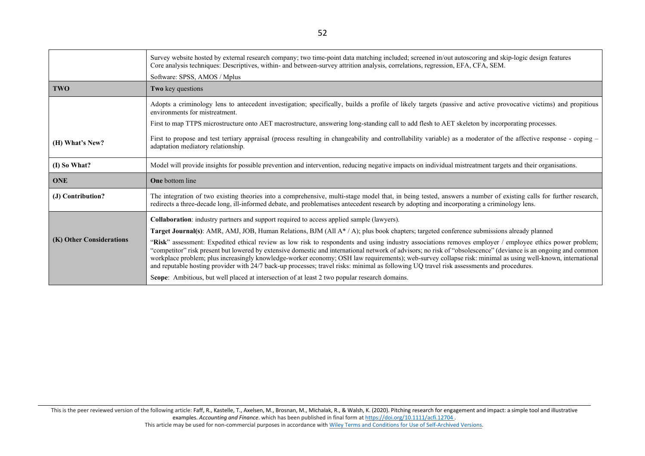|                          | Survey website hosted by external research company; two time-point data matching included; screened in/out autoscoring and skip-logic design features<br>Core analysis techniques: Descriptives, within- and between-survey attrition analysis, correlations, regression, EFA, CFA, SEM.                                                                                                                                                                                                                                                                                                                                               |
|--------------------------|----------------------------------------------------------------------------------------------------------------------------------------------------------------------------------------------------------------------------------------------------------------------------------------------------------------------------------------------------------------------------------------------------------------------------------------------------------------------------------------------------------------------------------------------------------------------------------------------------------------------------------------|
|                          | Software: SPSS, AMOS / Mplus                                                                                                                                                                                                                                                                                                                                                                                                                                                                                                                                                                                                           |
| <b>TWO</b>               | Two key questions                                                                                                                                                                                                                                                                                                                                                                                                                                                                                                                                                                                                                      |
|                          | Adopts a criminology lens to antecedent investigation; specifically, builds a profile of likely targets (passive and active provocative victims) and propitious<br>environments for mistreatment.                                                                                                                                                                                                                                                                                                                                                                                                                                      |
|                          | First to map TTPS microstructure onto AET macrostructure, answering long-standing call to add flesh to AET skeleton by incorporating processes.                                                                                                                                                                                                                                                                                                                                                                                                                                                                                        |
| (H) What's New?          | First to propose and test tertiary appraisal (process resulting in changeability and controllability variable) as a moderator of the affective response - coping -<br>adaptation mediatory relationship.                                                                                                                                                                                                                                                                                                                                                                                                                               |
| (I) So What?             | Model will provide insights for possible prevention and intervention, reducing negative impacts on individual mistreatment targets and their organisations.                                                                                                                                                                                                                                                                                                                                                                                                                                                                            |
| <b>ONE</b>               | <b>One</b> bottom line                                                                                                                                                                                                                                                                                                                                                                                                                                                                                                                                                                                                                 |
| (J) Contribution?        | The integration of two existing theories into a comprehensive, multi-stage model that, in being tested, answers a number of existing calls for further research,<br>redirects a three-decade long, ill-informed debate, and problematises antecedent research by adopting and incorporating a criminology lens.                                                                                                                                                                                                                                                                                                                        |
|                          | Collaboration: industry partners and support required to access applied sample (lawyers).                                                                                                                                                                                                                                                                                                                                                                                                                                                                                                                                              |
| (K) Other Considerations | Target Journal(s): AMR, AMJ, JOB, Human Relations, BJM (All A <sup>*</sup> / A); plus book chapters; targeted conference submissions already planned                                                                                                                                                                                                                                                                                                                                                                                                                                                                                   |
|                          | "Risk" assessment: Expedited ethical review as low risk to respondents and using industry associations removes employer / employee ethics power problem;<br>"competitor" risk present but lowered by extensive domestic and international network of advisors; no risk of "obsolescence" (deviance is an ongoing and common<br>workplace problem; plus increasingly knowledge-worker economy; OSH law requirements); web-survey collapse risk: minimal as using well-known, international<br>and reputable hosting provider with 24/7 back-up processes; travel risks: minimal as following UQ travel risk assessments and procedures. |
|                          | Scope: Ambitious, but well placed at intersection of at least 2 two popular research domains.                                                                                                                                                                                                                                                                                                                                                                                                                                                                                                                                          |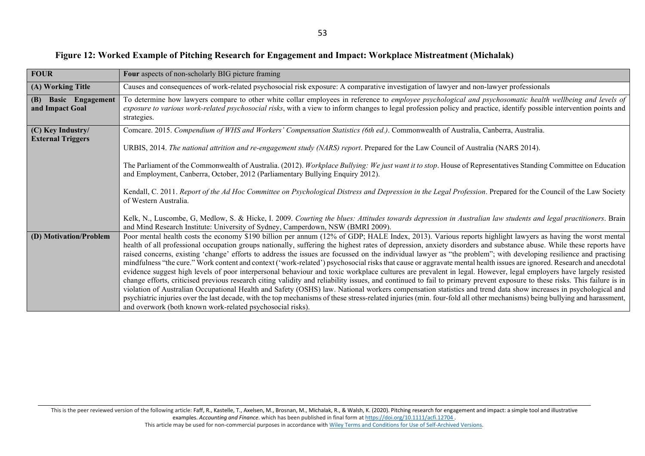# **Figure 12: Worked Example of Pitching Research for Engagement and Impact: Workplace Mistreatment (Michalak)**

| <b>FOUR</b>                                              | Four aspects of non-scholarly BIG picture framing                                                                                                                                                                                                                                                                                                                                                                                                                                                                                                                                                                                                                                                                                                                                                                                                                                                                                                                                                                                                                                                                                                                                                                                                                                                                                                                                                                                            |
|----------------------------------------------------------|----------------------------------------------------------------------------------------------------------------------------------------------------------------------------------------------------------------------------------------------------------------------------------------------------------------------------------------------------------------------------------------------------------------------------------------------------------------------------------------------------------------------------------------------------------------------------------------------------------------------------------------------------------------------------------------------------------------------------------------------------------------------------------------------------------------------------------------------------------------------------------------------------------------------------------------------------------------------------------------------------------------------------------------------------------------------------------------------------------------------------------------------------------------------------------------------------------------------------------------------------------------------------------------------------------------------------------------------------------------------------------------------------------------------------------------------|
| (A) Working Title                                        | Causes and consequences of work-related psychosocial risk exposure: A comparative investigation of lawyer and non-lawyer professionals                                                                                                                                                                                                                                                                                                                                                                                                                                                                                                                                                                                                                                                                                                                                                                                                                                                                                                                                                                                                                                                                                                                                                                                                                                                                                                       |
| <b>Basic Engagement</b><br><b>(B)</b><br>and Impact Goal | To determine how lawyers compare to other white collar employees in reference to employee psychological and psychosomatic health wellbeing and levels of<br>exposure to various work-related psychosocial risks, with a view to inform changes to legal profession policy and practice, identify possible intervention points and<br>strategies.                                                                                                                                                                                                                                                                                                                                                                                                                                                                                                                                                                                                                                                                                                                                                                                                                                                                                                                                                                                                                                                                                             |
| (C) Key Industry/<br><b>External Triggers</b>            | Comcare. 2015. Compendium of WHS and Workers' Compensation Statistics (6th ed.). Commonwealth of Australia, Canberra, Australia.                                                                                                                                                                                                                                                                                                                                                                                                                                                                                                                                                                                                                                                                                                                                                                                                                                                                                                                                                                                                                                                                                                                                                                                                                                                                                                             |
|                                                          | URBIS, 2014. The national attrition and re-engagement study (NARS) report. Prepared for the Law Council of Australia (NARS 2014).                                                                                                                                                                                                                                                                                                                                                                                                                                                                                                                                                                                                                                                                                                                                                                                                                                                                                                                                                                                                                                                                                                                                                                                                                                                                                                            |
|                                                          | The Parliament of the Commonwealth of Australia. (2012). Workplace Bullying: We just want it to stop. House of Representatives Standing Committee on Education<br>and Employment, Canberra, October, 2012 (Parliamentary Bullying Enquiry 2012).                                                                                                                                                                                                                                                                                                                                                                                                                                                                                                                                                                                                                                                                                                                                                                                                                                                                                                                                                                                                                                                                                                                                                                                             |
|                                                          | Kendall, C. 2011. Report of the Ad Hoc Committee on Psychological Distress and Depression in the Legal Profession. Prepared for the Council of the Law Society<br>of Western Australia.                                                                                                                                                                                                                                                                                                                                                                                                                                                                                                                                                                                                                                                                                                                                                                                                                                                                                                                                                                                                                                                                                                                                                                                                                                                      |
|                                                          | Kelk, N., Luscombe, G, Medlow, S. & Hicke, I. 2009. Courting the blues: Attitudes towards depression in Australian law students and legal practitioners. Brain<br>and Mind Research Institute: University of Sydney, Camperdown, NSW (BMRI 2009).                                                                                                                                                                                                                                                                                                                                                                                                                                                                                                                                                                                                                                                                                                                                                                                                                                                                                                                                                                                                                                                                                                                                                                                            |
| (D) Motivation/Problem                                   | Poor mental health costs the economy \$190 billion per annum (12% of GDP; HALE Index, 2013). Various reports highlight lawyers as having the worst mental<br>health of all professional occupation groups nationally, suffering the highest rates of depression, anxiety disorders and substance abuse. While these reports have<br>raised concerns, existing 'change' efforts to address the issues are focussed on the individual lawyer as "the problem"; with developing resilience and practising<br>mindfulness "the cure." Work content and context ('work-related') psychosocial risks that cause or aggravate mental health issues are ignored. Research and anecdotal<br>evidence suggest high levels of poor interpersonal behaviour and toxic workplace cultures are prevalent in legal. However, legal employers have largely resisted<br>change efforts, criticised previous research citing validity and reliability issues, and continued to fail to primary prevent exposure to these risks. This failure is in<br>violation of Australian Occupational Health and Safety (OSHS) law. National workers compensation statistics and trend data show increases in psychological and<br>psychiatric injuries over the last decade, with the top mechanisms of these stress-related injuries (min. four-fold all other mechanisms) being bullying and harassment,<br>and overwork (both known work-related psychosocial risks). |

This is the peer reviewed version of the following article: Faff, R., Kastelle, T., Axelsen, M., Brosnan, M., Michalak, R., & Walsh, K. (2020). Pitching research for engagement and impact: a simple tool and illustrative examples. *Accounting and Finance*. which has been published in final form a[t https://doi.org/10.1111/acfi.12704](https://doi.org/10.1111/acfi.12704) . This article may be used for non-commercial purposes in accordance wit[h Wiley Terms and Conditions for Use of Self-Archived Versions.](https://authorservices.wiley.com/author-resources/Journal-Authors/licensing/self-archiving.html)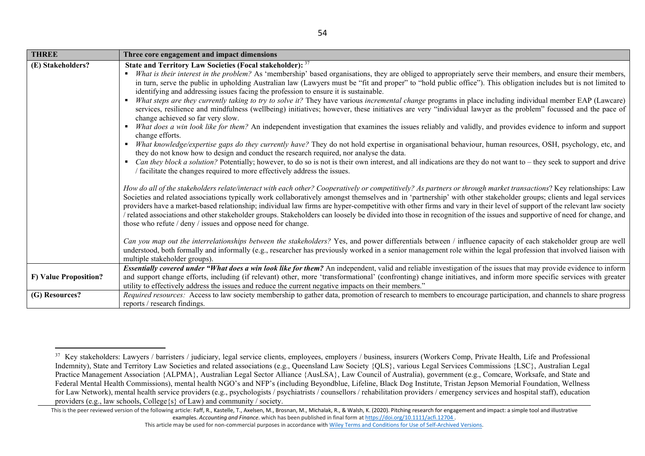<span id="page-54-0"></span>

| <b>THREE</b>          | Three core engagement and impact dimensions                                                                                                                                                                                                         |
|-----------------------|-----------------------------------------------------------------------------------------------------------------------------------------------------------------------------------------------------------------------------------------------------|
| (E) Stakeholders?     | State and Territory Law Societies (Focal stakeholder): 37                                                                                                                                                                                           |
|                       | What is their interest in the problem? As 'membership' based organisations, they are obliged to appropriately serve their members, and ensure their members,                                                                                        |
|                       | in turn, serve the public in upholding Australian law (Lawyers must be "fit and proper" to "hold public office"). This obligation includes but is not limited to                                                                                    |
|                       | identifying and addressing issues facing the profession to ensure it is sustainable.                                                                                                                                                                |
|                       | What steps are they currently taking to try to solve it? They have various incremental change programs in place including individual member EAP (Lawcare)                                                                                           |
|                       | services, resilience and mindfulness (wellbeing) initiatives; however, these initiatives are very "individual lawyer as the problem" focussed and the pace of                                                                                       |
|                       | change achieved so far very slow.                                                                                                                                                                                                                   |
|                       | What does a win look like for them? An independent investigation that examines the issues reliably and validly, and provides evidence to inform and support                                                                                         |
|                       | change efforts.<br>٠                                                                                                                                                                                                                                |
|                       | What knowledge/expertise gaps do they currently have? They do not hold expertise in organisational behaviour, human resources, OSH, psychology, etc, and<br>they do not know how to design and conduct the research required, nor analyse the data. |
|                       | Can they block a solution? Potentially; however, to do so is not is their own interest, and all indications are they do not want to – they seek to support and drive                                                                                |
|                       | / facilitate the changes required to more effectively address the issues.                                                                                                                                                                           |
|                       |                                                                                                                                                                                                                                                     |
|                       | How do all of the stakeholders relate/interact with each other? Cooperatively or competitively? As partners or through market transactions? Key relationships: Law                                                                                  |
|                       | Societies and related associations typically work collaboratively amongst themselves and in 'partnership' with other stakeholder groups; clients and legal services                                                                                 |
|                       | providers have a market-based relationship; individual law firms are hyper-competitive with other firms and vary in their level of support of the relevant law society                                                                              |
|                       | / related associations and other stakeholder groups. Stakeholders can loosely be divided into those in recognition of the issues and supportive of need for change, and                                                                             |
|                       | those who refute / deny / issues and oppose need for change.                                                                                                                                                                                        |
|                       |                                                                                                                                                                                                                                                     |
|                       | Can you map out the interrelationships between the stakeholders? Yes, and power differentials between / influence capacity of each stakeholder group are well                                                                                       |
|                       | understood, both formally and informally (e.g., researcher has previously worked in a senior management role within the legal profession that involved liaison with<br>multiple stakeholder groups).                                                |
|                       | Essentially covered under "What does a win look like for them? An independent, valid and reliable investigation of the issues that may provide evidence to inform                                                                                   |
| F) Value Proposition? | and support change efforts, including (if relevant) other, more 'transformational' (confronting) change initiatives, and inform more specific services with greater                                                                                 |
|                       | utility to effectively address the issues and reduce the current negative impacts on their members."                                                                                                                                                |
| (G) Resources?        | Required resources: Access to law society membership to gather data, promotion of research to members to encourage participation, and channels to share progress                                                                                    |
|                       | reports / research findings.                                                                                                                                                                                                                        |

<sup>&</sup>lt;sup>37</sup> Key stakeholders: Lawyers / barristers / judiciary, legal service clients, employees, employers / business, insurers (Workers Comp, Private Health, Life and Professional Indemnity), State and Territory Law Societies and related associations (e.g., Queensland Law Society {QLS}, various Legal Services Commissions {LSC}, Australian Legal Practice Management Association {ALPMA}, Australian Legal Sector Alliance {AusLSA}, Law Council of Australia), government (e.g., Comcare, Worksafe, and State and Federal Mental Health Commissions), mental health NGO's and NFP's (including Beyondblue, Lifeline, Black Dog Institute, Tristan Jepson Memorial Foundation, Wellness for Law Network), mental health service providers (e.g., psychologists / psychiatrists / counsellors / rehabilitation providers / emergency services and hospital staff), education providers (e.g., law schools, College{s} of Law) and community / society.

This is the peer reviewed version of the following article: Faff, R., Kastelle, T., Axelsen, M., Brosnan, M., Michalak, R., & Walsh, K. (2020). Pitching research for engagement and impact: a simple tool and illustrative examples. *Accounting and Finance*. which has been published in final form a[t https://doi.org/10.1111/acfi.12704](https://doi.org/10.1111/acfi.12704) .

This article may be used for non-commercial purposes in accordance wit[h Wiley Terms and Conditions for Use of Self-Archived Versions.](https://authorservices.wiley.com/author-resources/Journal-Authors/licensing/self-archiving.html)